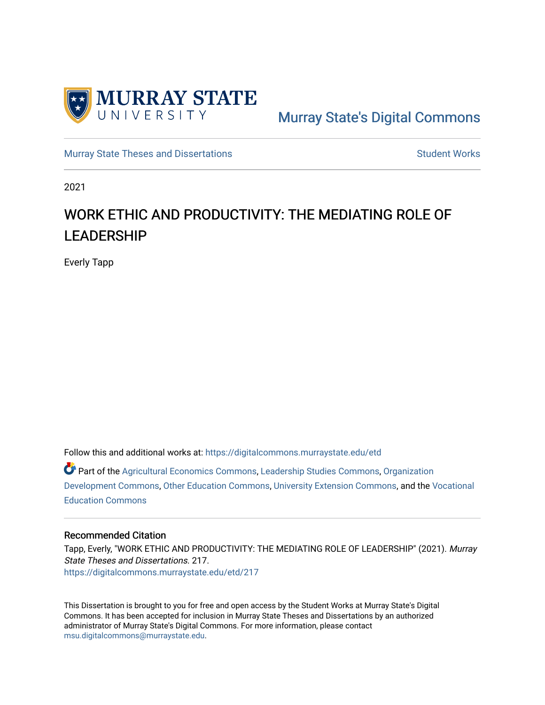

# [Murray State's Digital Commons](https://digitalcommons.murraystate.edu/)

[Murray State Theses and Dissertations](https://digitalcommons.murraystate.edu/etd) [Student Works](https://digitalcommons.murraystate.edu/allstudent) Student Works

2021

# WORK ETHIC AND PRODUCTIVITY: THE MEDIATING ROLE OF LEADERSHIP

Everly Tapp

Follow this and additional works at: [https://digitalcommons.murraystate.edu/etd](https://digitalcommons.murraystate.edu/etd?utm_source=digitalcommons.murraystate.edu%2Fetd%2F217&utm_medium=PDF&utm_campaign=PDFCoverPages) 

Part of the [Agricultural Economics Commons,](http://network.bepress.com/hgg/discipline/1225?utm_source=digitalcommons.murraystate.edu%2Fetd%2F217&utm_medium=PDF&utm_campaign=PDFCoverPages) [Leadership Studies Commons](http://network.bepress.com/hgg/discipline/1250?utm_source=digitalcommons.murraystate.edu%2Fetd%2F217&utm_medium=PDF&utm_campaign=PDFCoverPages), [Organization](http://network.bepress.com/hgg/discipline/1242?utm_source=digitalcommons.murraystate.edu%2Fetd%2F217&utm_medium=PDF&utm_campaign=PDFCoverPages) [Development Commons](http://network.bepress.com/hgg/discipline/1242?utm_source=digitalcommons.murraystate.edu%2Fetd%2F217&utm_medium=PDF&utm_campaign=PDFCoverPages), [Other Education Commons](http://network.bepress.com/hgg/discipline/811?utm_source=digitalcommons.murraystate.edu%2Fetd%2F217&utm_medium=PDF&utm_campaign=PDFCoverPages), [University Extension Commons,](http://network.bepress.com/hgg/discipline/1361?utm_source=digitalcommons.murraystate.edu%2Fetd%2F217&utm_medium=PDF&utm_campaign=PDFCoverPages) and the [Vocational](http://network.bepress.com/hgg/discipline/1369?utm_source=digitalcommons.murraystate.edu%2Fetd%2F217&utm_medium=PDF&utm_campaign=PDFCoverPages) [Education Commons](http://network.bepress.com/hgg/discipline/1369?utm_source=digitalcommons.murraystate.edu%2Fetd%2F217&utm_medium=PDF&utm_campaign=PDFCoverPages) 

# Recommended Citation

Tapp, Everly, "WORK ETHIC AND PRODUCTIVITY: THE MEDIATING ROLE OF LEADERSHIP" (2021). Murray State Theses and Dissertations. 217. [https://digitalcommons.murraystate.edu/etd/217](https://digitalcommons.murraystate.edu/etd/217?utm_source=digitalcommons.murraystate.edu%2Fetd%2F217&utm_medium=PDF&utm_campaign=PDFCoverPages) 

This Dissertation is brought to you for free and open access by the Student Works at Murray State's Digital Commons. It has been accepted for inclusion in Murray State Theses and Dissertations by an authorized administrator of Murray State's Digital Commons. For more information, please contact [msu.digitalcommons@murraystate.edu](mailto:msu.digitalcommons@murraystate.edu).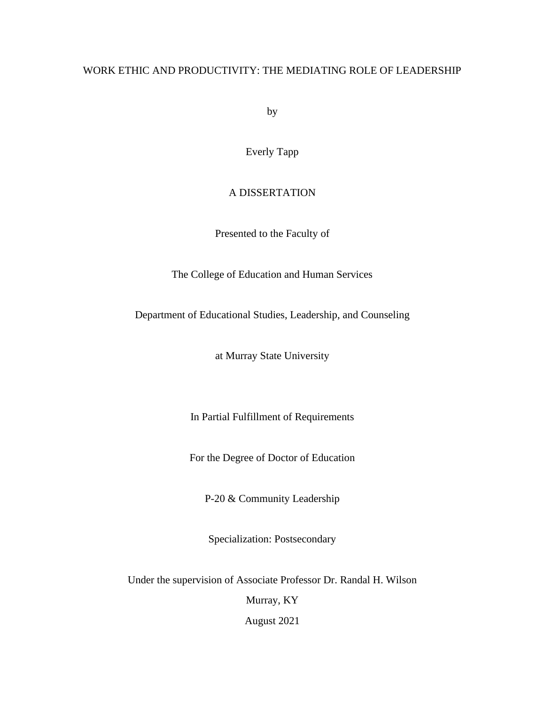# WORK ETHIC AND PRODUCTIVITY: THE MEDIATING ROLE OF LEADERSHIP

by

Everly Tapp

# A DISSERTATION

Presented to the Faculty of

The College of Education and Human Services

Department of Educational Studies, Leadership, and Counseling

at Murray State University

In Partial Fulfillment of Requirements

For the Degree of Doctor of Education

P-20 & Community Leadership

Specialization: Postsecondary

Under the supervision of Associate Professor Dr. Randal H. Wilson

Murray, KY

August 2021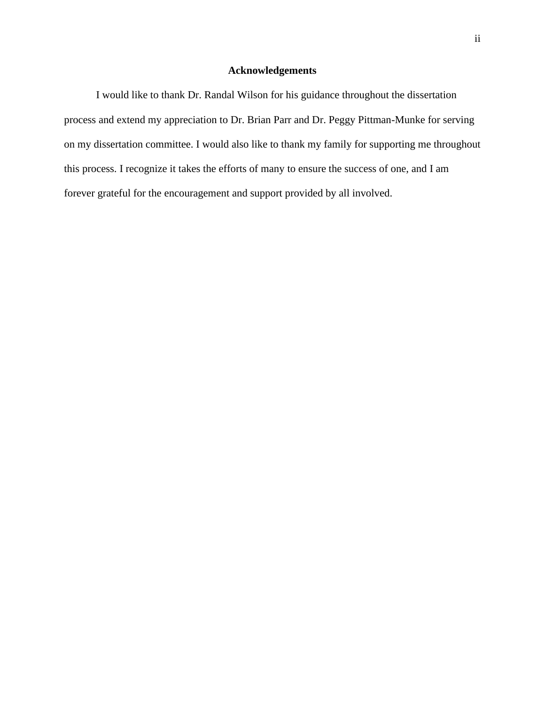# **Acknowledgements**

<span id="page-2-0"></span>I would like to thank Dr. Randal Wilson for his guidance throughout the dissertation process and extend my appreciation to Dr. Brian Parr and Dr. Peggy Pittman-Munke for serving on my dissertation committee. I would also like to thank my family for supporting me throughout this process. I recognize it takes the efforts of many to ensure the success of one, and I am forever grateful for the encouragement and support provided by all involved.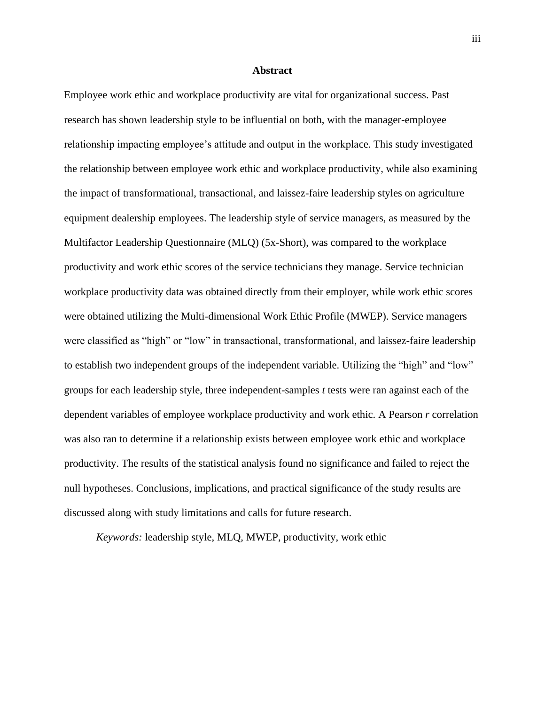## **Abstract**

<span id="page-3-0"></span>Employee work ethic and workplace productivity are vital for organizational success. Past research has shown leadership style to be influential on both, with the manager-employee relationship impacting employee's attitude and output in the workplace. This study investigated the relationship between employee work ethic and workplace productivity, while also examining the impact of transformational, transactional, and laissez-faire leadership styles on agriculture equipment dealership employees. The leadership style of service managers, as measured by the Multifactor Leadership Questionnaire (MLQ) (5x-Short), was compared to the workplace productivity and work ethic scores of the service technicians they manage. Service technician workplace productivity data was obtained directly from their employer, while work ethic scores were obtained utilizing the Multi-dimensional Work Ethic Profile (MWEP). Service managers were classified as "high" or "low" in transactional, transformational, and laissez-faire leadership to establish two independent groups of the independent variable. Utilizing the "high" and "low" groups for each leadership style, three independent-samples *t* tests were ran against each of the dependent variables of employee workplace productivity and work ethic. A Pearson *r* correlation was also ran to determine if a relationship exists between employee work ethic and workplace productivity. The results of the statistical analysis found no significance and failed to reject the null hypotheses. Conclusions, implications, and practical significance of the study results are discussed along with study limitations and calls for future research.

*Keywords:* leadership style, MLQ, MWEP, productivity, work ethic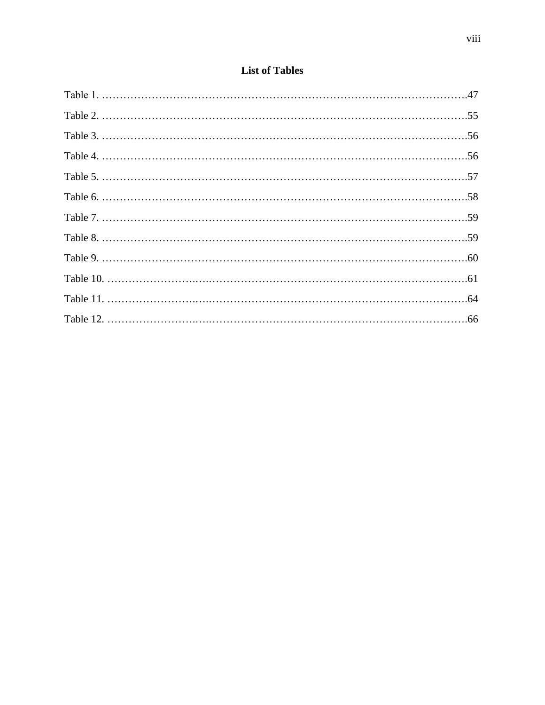<span id="page-8-0"></span>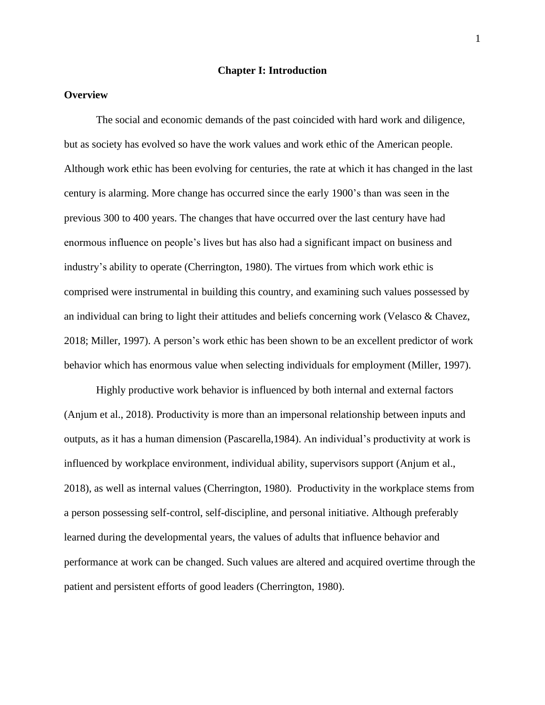# **Chapter I: Introduction**

# <span id="page-9-1"></span><span id="page-9-0"></span>**Overview**

The social and economic demands of the past coincided with hard work and diligence, but as society has evolved so have the work values and work ethic of the American people. Although work ethic has been evolving for centuries, the rate at which it has changed in the last century is alarming. More change has occurred since the early 1900's than was seen in the previous 300 to 400 years. The changes that have occurred over the last century have had enormous influence on people's lives but has also had a significant impact on business and industry's ability to operate (Cherrington, 1980). The virtues from which work ethic is comprised were instrumental in building this country, and examining such values possessed by an individual can bring to light their attitudes and beliefs concerning work (Velasco & Chavez, 2018; Miller, 1997). A person's work ethic has been shown to be an excellent predictor of work behavior which has enormous value when selecting individuals for employment (Miller, 1997).

Highly productive work behavior is influenced by both internal and external factors (Anjum et al., 2018). Productivity is more than an impersonal relationship between inputs and outputs, as it has a human dimension (Pascarella,1984). An individual's productivity at work is influenced by workplace environment, individual ability, supervisors support (Anjum et al., 2018), as well as internal values (Cherrington, 1980). Productivity in the workplace stems from a person possessing self-control, self-discipline, and personal initiative. Although preferably learned during the developmental years, the values of adults that influence behavior and performance at work can be changed. Such values are altered and acquired overtime through the patient and persistent efforts of good leaders (Cherrington, 1980).

1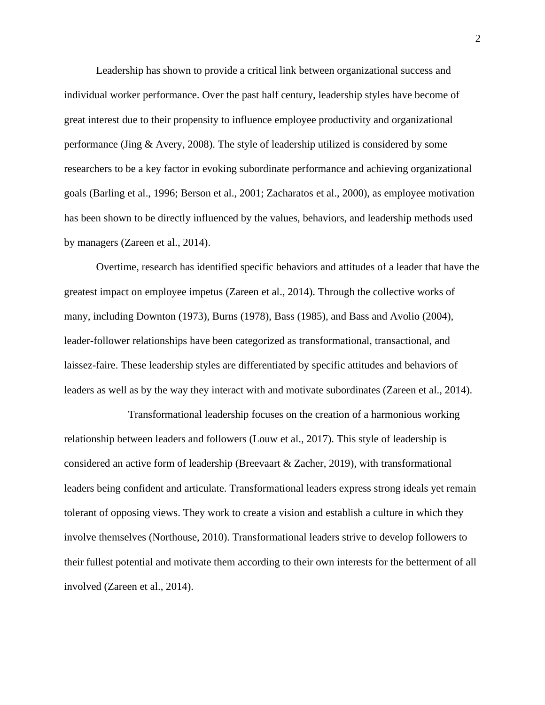Leadership has shown to provide a critical link between organizational success and individual worker performance. Over the past half century, leadership styles have become of great interest due to their propensity to influence employee productivity and organizational performance (Jing & Avery, 2008). The style of leadership utilized is considered by some researchers to be a key factor in evoking subordinate performance and achieving organizational goals (Barling et al., 1996; Berson et al., 2001; Zacharatos et al., 2000), as employee motivation has been shown to be directly influenced by the values, behaviors, and leadership methods used by managers (Zareen et al., 2014).

Overtime, research has identified specific behaviors and attitudes of a leader that have the greatest impact on employee impetus (Zareen et al., 2014). Through the collective works of many, including Downton (1973), Burns (1978), Bass (1985), and Bass and Avolio (2004), leader-follower relationships have been categorized as transformational, transactional, and laissez-faire. These leadership styles are differentiated by specific attitudes and behaviors of leaders as well as by the way they interact with and motivate subordinates (Zareen et al., 2014).

Transformational leadership focuses on the creation of a harmonious working relationship between leaders and followers (Louw et al., 2017). This style of leadership is considered an active form of leadership (Breevaart & Zacher, 2019), with transformational leaders being confident and articulate. Transformational leaders express strong ideals yet remain tolerant of opposing views. They work to create a vision and establish a culture in which they involve themselves (Northouse, 2010). Transformational leaders strive to develop followers to their fullest potential and motivate them according to their own interests for the betterment of all involved (Zareen et al., 2014).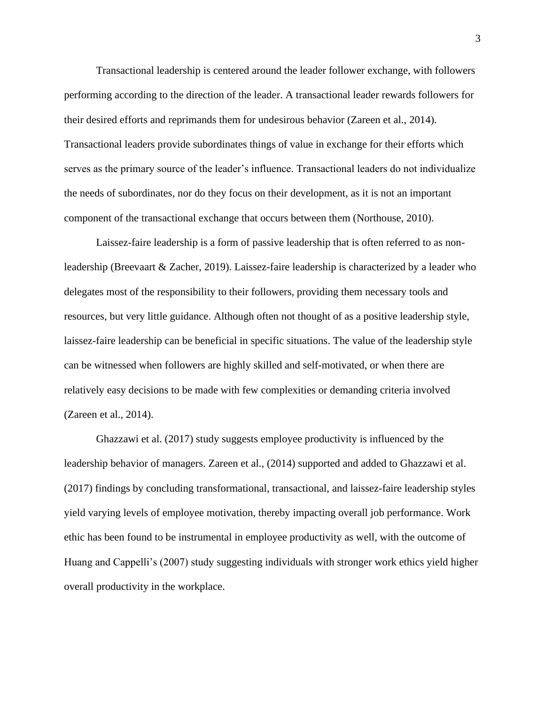Transactional leadership is centered around the leader follower exchange, with followers performing according to the direction of the leader. A transactional leader rewards followers for their desired efforts and reprimands them for undesirous behavior (Zareen et al., 2014). Transactional leaders provide subordinates things of value in exchange for their efforts which serves as the primary source of the leader's influence. Transactional leaders do not individualize the needs of subordinates, nor do they focus on their development, as it is not an important component of the transactional exchange that occurs between them (Northouse, 2010).

Laissez-faire leadership is a form of passive leadership that is often referred to as nonleadership (Breevaart & Zacher, 2019). Laissez-faire leadership is characterized by a leader who delegates most of the responsibility to their followers, providing them necessary tools and resources, but very little guidance. Although often not thought of as a positive leadership style, laissez-faire leadership can be beneficial in specific situations. The value of the leadership style can be witnessed when followers are highly skilled and self-motivated, or when there are relatively easy decisions to be made with few complexities or demanding criteria involved (Zareen et al., 2014).

Ghazzawi et al. (2017) study suggests employee productivity is influenced by the leadership behavior of managers. Zareen et al., (2014) supported and added to Ghazzawi et al. (2017) findings by concluding transformational, transactional, and laissez-faire leadership styles yield varying levels of employee motivation, thereby impacting overall job performance. Work ethic has been found to be instrumental in employee productivity as well, with the outcome of Huang and Cappelli's (2007) study suggesting individuals with stronger work ethics yield higher overall productivity in the workplace.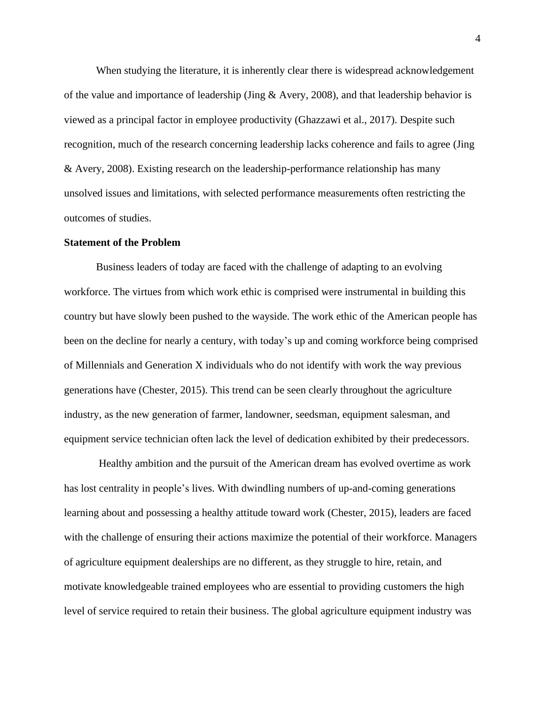When studying the literature, it is inherently clear there is widespread acknowledgement of the value and importance of leadership (Jing & Avery, 2008), and that leadership behavior is viewed as a principal factor in employee productivity (Ghazzawi et al., 2017). Despite such recognition, much of the research concerning leadership lacks coherence and fails to agree (Jing & Avery, 2008). Existing research on the leadership-performance relationship has many unsolved issues and limitations, with selected performance measurements often restricting the outcomes of studies.

#### <span id="page-12-0"></span>**Statement of the Problem**

Business leaders of today are faced with the challenge of adapting to an evolving workforce. The virtues from which work ethic is comprised were instrumental in building this country but have slowly been pushed to the wayside. The work ethic of the American people has been on the decline for nearly a century, with today's up and coming workforce being comprised of Millennials and Generation X individuals who do not identify with work the way previous generations have (Chester, 2015). This trend can be seen clearly throughout the agriculture industry, as the new generation of farmer, landowner, seedsman, equipment salesman, and equipment service technician often lack the level of dedication exhibited by their predecessors.

Healthy ambition and the pursuit of the American dream has evolved overtime as work has lost centrality in people's lives. With dwindling numbers of up-and-coming generations learning about and possessing a healthy attitude toward work (Chester, 2015), leaders are faced with the challenge of ensuring their actions maximize the potential of their workforce. Managers of agriculture equipment dealerships are no different, as they struggle to hire, retain, and motivate knowledgeable trained employees who are essential to providing customers the high level of service required to retain their business. The global agriculture equipment industry was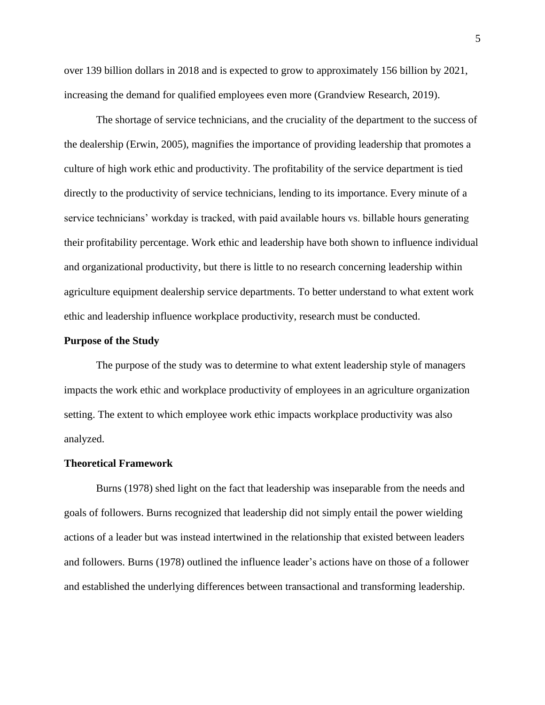over 139 billion dollars in 2018 and is expected to grow to approximately 156 billion by 2021, increasing the demand for qualified employees even more (Grandview Research, 2019).

The shortage of service technicians, and the cruciality of the department to the success of the dealership (Erwin, 2005), magnifies the importance of providing leadership that promotes a culture of high work ethic and productivity. The profitability of the service department is tied directly to the productivity of service technicians, lending to its importance. Every minute of a service technicians' workday is tracked, with paid available hours vs. billable hours generating their profitability percentage. Work ethic and leadership have both shown to influence individual and organizational productivity, but there is little to no research concerning leadership within agriculture equipment dealership service departments. To better understand to what extent work ethic and leadership influence workplace productivity, research must be conducted.

# <span id="page-13-0"></span>**Purpose of the Study**

The purpose of the study was to determine to what extent leadership style of managers impacts the work ethic and workplace productivity of employees in an agriculture organization setting. The extent to which employee work ethic impacts workplace productivity was also analyzed.

## <span id="page-13-1"></span>**Theoretical Framework**

Burns (1978) shed light on the fact that leadership was inseparable from the needs and goals of followers. Burns recognized that leadership did not simply entail the power wielding actions of a leader but was instead intertwined in the relationship that existed between leaders and followers. Burns (1978) outlined the influence leader's actions have on those of a follower and established the underlying differences between transactional and transforming leadership.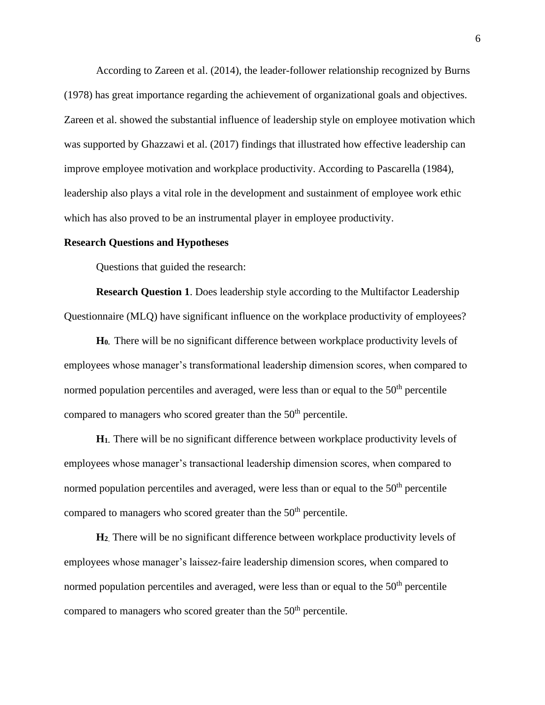According to Zareen et al. (2014), the leader-follower relationship recognized by Burns (1978) has great importance regarding the achievement of organizational goals and objectives. Zareen et al. showed the substantial influence of leadership style on employee motivation which was supported by Ghazzawi et al. (2017) findings that illustrated how effective leadership can improve employee motivation and workplace productivity. According to Pascarella (1984), leadership also plays a vital role in the development and sustainment of employee work ethic which has also proved to be an instrumental player in employee productivity.

### <span id="page-14-0"></span>**Research Questions and Hypotheses**

Questions that guided the research:

**Research Question 1**. Does leadership style according to the Multifactor Leadership Questionnaire (MLQ) have significant influence on the workplace productivity of employees?

**H0.** There will be no significant difference between workplace productivity levels of employees whose manager's transformational leadership dimension scores, when compared to normed population percentiles and averaged, were less than or equal to the  $50<sup>th</sup>$  percentile compared to managers who scored greater than the 50<sup>th</sup> percentile.

**H1.** There will be no significant difference between workplace productivity levels of employees whose manager's transactional leadership dimension scores, when compared to normed population percentiles and averaged, were less than or equal to the  $50<sup>th</sup>$  percentile compared to managers who scored greater than the  $50<sup>th</sup>$  percentile.

**H<sup>2</sup>**. There will be no significant difference between workplace productivity levels of employees whose manager's laissez-faire leadership dimension scores, when compared to normed population percentiles and averaged, were less than or equal to the  $50<sup>th</sup>$  percentile compared to managers who scored greater than the 50<sup>th</sup> percentile.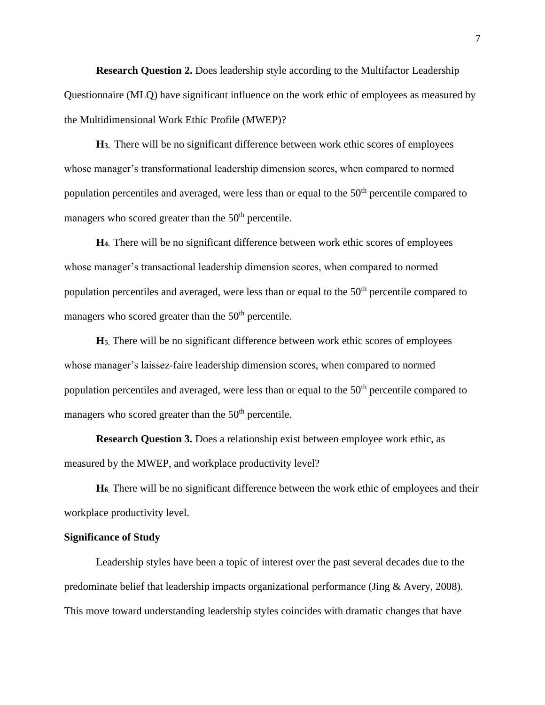**Research Question 2.** Does leadership style according to the Multifactor Leadership Questionnaire (MLQ) have significant influence on the work ethic of employees as measured by the Multidimensional Work Ethic Profile (MWEP)?

**H3.** There will be no significant difference between work ethic scores of employees whose manager's transformational leadership dimension scores, when compared to normed population percentiles and averaged, were less than or equal to the 50<sup>th</sup> percentile compared to managers who scored greater than the  $50<sup>th</sup>$  percentile.

**H4.** There will be no significant difference between work ethic scores of employees whose manager's transactional leadership dimension scores, when compared to normed population percentiles and averaged, were less than or equal to the  $50<sup>th</sup>$  percentile compared to managers who scored greater than the  $50<sup>th</sup>$  percentile.

**H<sup>5</sup>**. There will be no significant difference between work ethic scores of employees whose manager's laissez-faire leadership dimension scores, when compared to normed population percentiles and averaged, were less than or equal to the 50<sup>th</sup> percentile compared to managers who scored greater than the  $50<sup>th</sup>$  percentile.

**Research Question 3.** Does a relationship exist between employee work ethic, as measured by the MWEP, and workplace productivity level?

**H<sup>6</sup>**. There will be no significant difference between the work ethic of employees and their workplace productivity level.

# <span id="page-15-0"></span>**Significance of Study**

Leadership styles have been a topic of interest over the past several decades due to the predominate belief that leadership impacts organizational performance (Jing & Avery, 2008). This move toward understanding leadership styles coincides with dramatic changes that have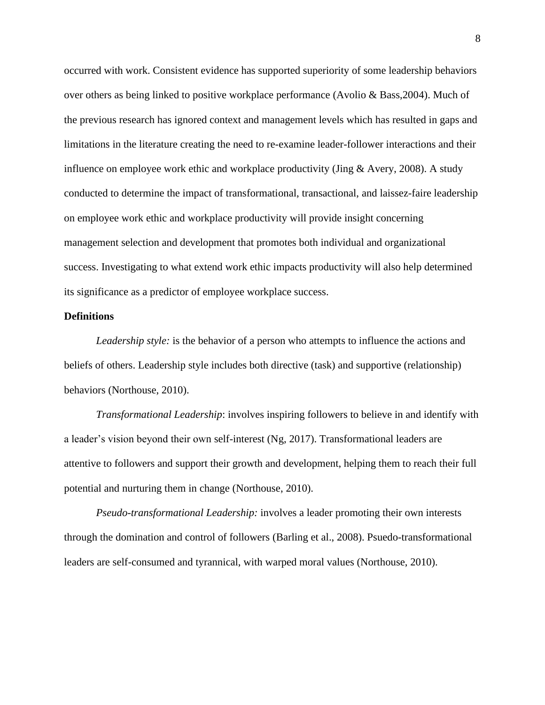occurred with work. Consistent evidence has supported superiority of some leadership behaviors over others as being linked to positive workplace performance (Avolio & Bass,2004). Much of the previous research has ignored context and management levels which has resulted in gaps and limitations in the literature creating the need to re-examine leader-follower interactions and their influence on employee work ethic and workplace productivity (Jing  $\&$  Avery, 2008). A study conducted to determine the impact of transformational, transactional, and laissez-faire leadership on employee work ethic and workplace productivity will provide insight concerning management selection and development that promotes both individual and organizational success. Investigating to what extend work ethic impacts productivity will also help determined its significance as a predictor of employee workplace success.

### <span id="page-16-0"></span>**Definitions**

*Leadership style:* is the behavior of a person who attempts to influence the actions and beliefs of others. Leadership style includes both directive (task) and supportive (relationship) behaviors (Northouse, 2010).

*Transformational Leadership*: involves inspiring followers to believe in and identify with a leader's vision beyond their own self-interest (Ng, 2017). Transformational leaders are attentive to followers and support their growth and development, helping them to reach their full potential and nurturing them in change (Northouse, 2010).

*Pseudo-transformational Leadership:* involves a leader promoting their own interests through the domination and control of followers (Barling et al., 2008). Psuedo-transformational leaders are self-consumed and tyrannical, with warped moral values (Northouse, 2010).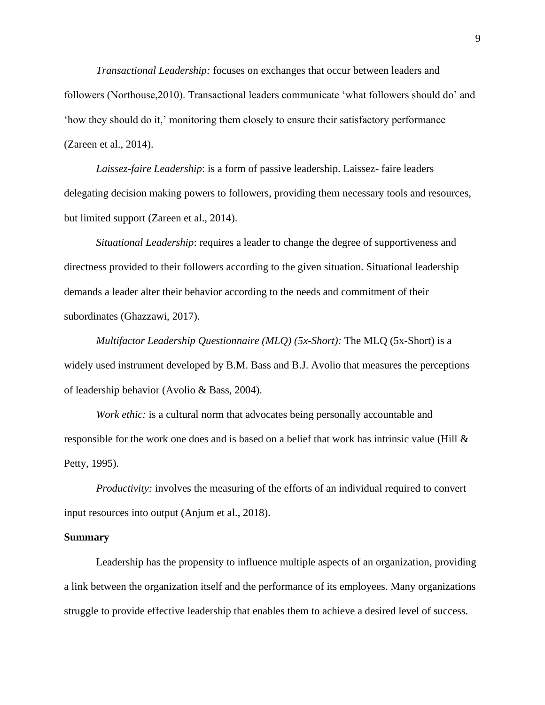*Transactional Leadership:* focuses on exchanges that occur between leaders and followers (Northouse,2010). Transactional leaders communicate 'what followers should do' and 'how they should do it,' monitoring them closely to ensure their satisfactory performance (Zareen et al., 2014).

*Laissez-faire Leadership*: is a form of passive leadership. Laissez- faire leaders delegating decision making powers to followers, providing them necessary tools and resources, but limited support (Zareen et al., 2014).

*Situational Leadership*: requires a leader to change the degree of supportiveness and directness provided to their followers according to the given situation. Situational leadership demands a leader alter their behavior according to the needs and commitment of their subordinates (Ghazzawi, 2017).

*Multifactor Leadership Questionnaire (MLQ) (5x-Short):* The MLQ (5x-Short) is a widely used instrument developed by B.M. Bass and B.J. Avolio that measures the perceptions of leadership behavior (Avolio & Bass, 2004).

*Work ethic:* is a cultural norm that advocates being personally accountable and responsible for the work one does and is based on a belief that work has intrinsic value (Hill  $\&$ Petty, 1995).

*Productivity:* involves the measuring of the efforts of an individual required to convert input resources into output (Anjum et al., 2018).

#### <span id="page-17-0"></span>**Summary**

Leadership has the propensity to influence multiple aspects of an organization, providing a link between the organization itself and the performance of its employees. Many organizations struggle to provide effective leadership that enables them to achieve a desired level of success.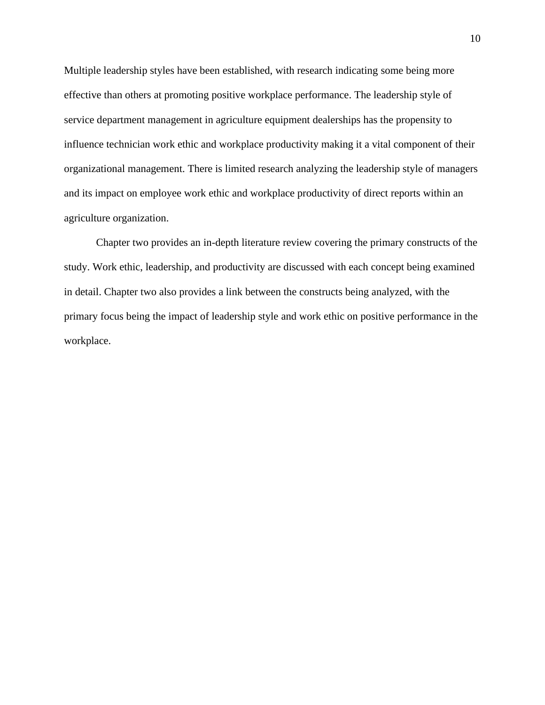Multiple leadership styles have been established, with research indicating some being more effective than others at promoting positive workplace performance. The leadership style of service department management in agriculture equipment dealerships has the propensity to influence technician work ethic and workplace productivity making it a vital component of their organizational management. There is limited research analyzing the leadership style of managers and its impact on employee work ethic and workplace productivity of direct reports within an agriculture organization.

Chapter two provides an in-depth literature review covering the primary constructs of the study. Work ethic, leadership, and productivity are discussed with each concept being examined in detail. Chapter two also provides a link between the constructs being analyzed, with the primary focus being the impact of leadership style and work ethic on positive performance in the workplace.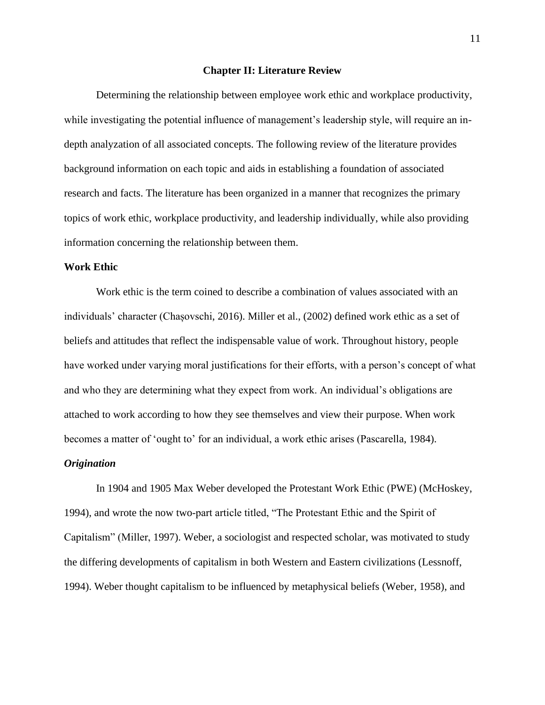#### **Chapter II: Literature Review**

<span id="page-19-0"></span>Determining the relationship between employee work ethic and workplace productivity, while investigating the potential influence of management's leadership style, will require an indepth analyzation of all associated concepts. The following review of the literature provides background information on each topic and aids in establishing a foundation of associated research and facts. The literature has been organized in a manner that recognizes the primary topics of work ethic, workplace productivity, and leadership individually, while also providing information concerning the relationship between them.

# <span id="page-19-1"></span>**Work Ethic**

Work ethic is the term coined to describe a combination of values associated with an individuals' character (Chașovschi, 2016). Miller et al., (2002) defined work ethic as a set of beliefs and attitudes that reflect the indispensable value of work. Throughout history, people have worked under varying moral justifications for their efforts, with a person's concept of what and who they are determining what they expect from work. An individual's obligations are attached to work according to how they see themselves and view their purpose. When work becomes a matter of 'ought to' for an individual, a work ethic arises (Pascarella, 1984).

## <span id="page-19-2"></span>*Origination*

In 1904 and 1905 Max Weber developed the Protestant Work Ethic (PWE) (McHoskey, 1994), and wrote the now two-part article titled, "The Protestant Ethic and the Spirit of Capitalism" (Miller, 1997). Weber, a sociologist and respected scholar, was motivated to study the differing developments of capitalism in both Western and Eastern civilizations (Lessnoff, 1994). Weber thought capitalism to be influenced by metaphysical beliefs (Weber, 1958), and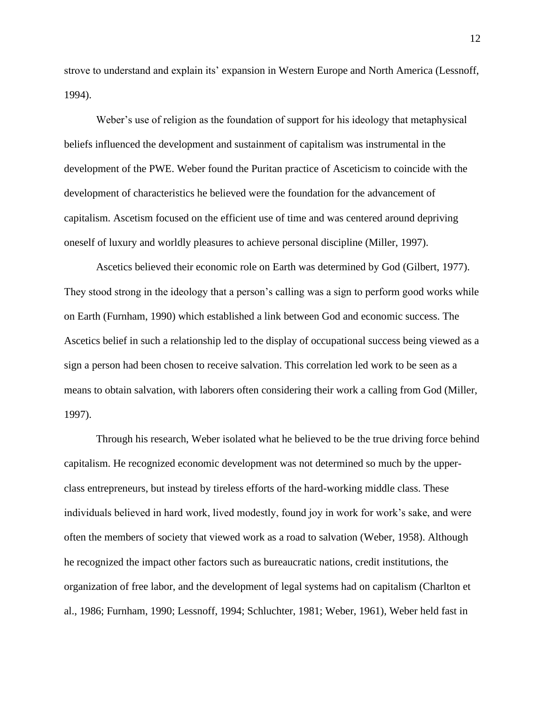strove to understand and explain its' expansion in Western Europe and North America (Lessnoff, 1994).

Weber's use of religion as the foundation of support for his ideology that metaphysical beliefs influenced the development and sustainment of capitalism was instrumental in the development of the PWE. Weber found the Puritan practice of Asceticism to coincide with the development of characteristics he believed were the foundation for the advancement of capitalism. Ascetism focused on the efficient use of time and was centered around depriving oneself of luxury and worldly pleasures to achieve personal discipline (Miller, 1997).

Ascetics believed their economic role on Earth was determined by God (Gilbert, 1977). They stood strong in the ideology that a person's calling was a sign to perform good works while on Earth (Furnham, 1990) which established a link between God and economic success. The Ascetics belief in such a relationship led to the display of occupational success being viewed as a sign a person had been chosen to receive salvation. This correlation led work to be seen as a means to obtain salvation, with laborers often considering their work a calling from God (Miller, 1997).

Through his research, Weber isolated what he believed to be the true driving force behind capitalism. He recognized economic development was not determined so much by the upperclass entrepreneurs, but instead by tireless efforts of the hard-working middle class. These individuals believed in hard work, lived modestly, found joy in work for work's sake, and were often the members of society that viewed work as a road to salvation (Weber, 1958). Although he recognized the impact other factors such as bureaucratic nations, credit institutions, the organization of free labor, and the development of legal systems had on capitalism (Charlton et al., 1986; Furnham, 1990; Lessnoff, 1994; Schluchter, 1981; Weber, 1961), Weber held fast in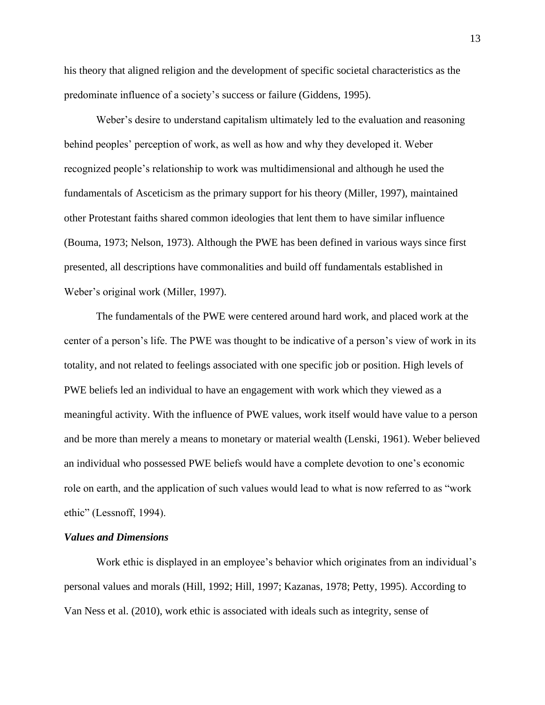his theory that aligned religion and the development of specific societal characteristics as the predominate influence of a society's success or failure (Giddens, 1995).

Weber's desire to understand capitalism ultimately led to the evaluation and reasoning behind peoples' perception of work, as well as how and why they developed it. Weber recognized people's relationship to work was multidimensional and although he used the fundamentals of Asceticism as the primary support for his theory (Miller, 1997), maintained other Protestant faiths shared common ideologies that lent them to have similar influence (Bouma, 1973; Nelson, 1973). Although the PWE has been defined in various ways since first presented, all descriptions have commonalities and build off fundamentals established in Weber's original work (Miller, 1997).

The fundamentals of the PWE were centered around hard work, and placed work at the center of a person's life. The PWE was thought to be indicative of a person's view of work in its totality, and not related to feelings associated with one specific job or position. High levels of PWE beliefs led an individual to have an engagement with work which they viewed as a meaningful activity. With the influence of PWE values, work itself would have value to a person and be more than merely a means to monetary or material wealth (Lenski, 1961). Weber believed an individual who possessed PWE beliefs would have a complete devotion to one's economic role on earth, and the application of such values would lead to what is now referred to as "work ethic" (Lessnoff, 1994).

#### <span id="page-21-0"></span>*Values and Dimensions*

Work ethic is displayed in an employee's behavior which originates from an individual's personal values and morals (Hill, 1992; Hill, 1997; Kazanas, 1978; Petty, 1995). According to Van Ness et al. (2010), work ethic is associated with ideals such as integrity, sense of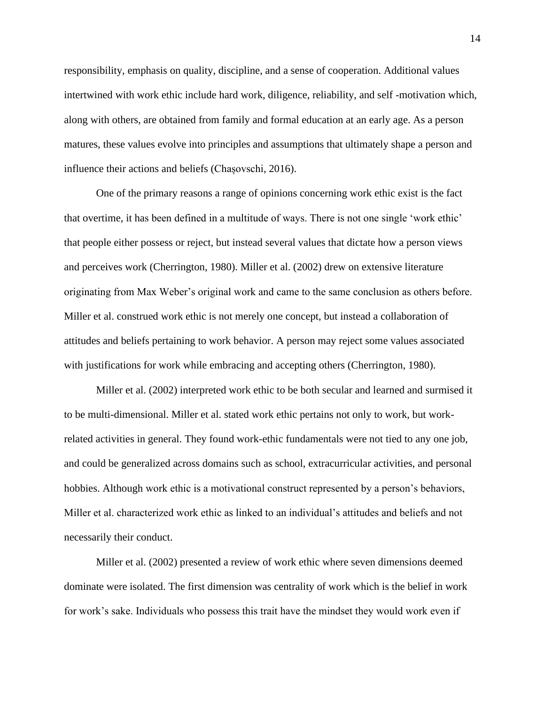responsibility, emphasis on quality, discipline, and a sense of cooperation. Additional values intertwined with work ethic include hard work, diligence, reliability, and self -motivation which, along with others, are obtained from family and formal education at an early age. As a person matures, these values evolve into principles and assumptions that ultimately shape a person and influence their actions and beliefs (Chașovschi, 2016).

One of the primary reasons a range of opinions concerning work ethic exist is the fact that overtime, it has been defined in a multitude of ways. There is not one single 'work ethic' that people either possess or reject, but instead several values that dictate how a person views and perceives work (Cherrington, 1980). Miller et al. (2002) drew on extensive literature originating from Max Weber's original work and came to the same conclusion as others before. Miller et al. construed work ethic is not merely one concept, but instead a collaboration of attitudes and beliefs pertaining to work behavior. A person may reject some values associated with justifications for work while embracing and accepting others (Cherrington, 1980).

Miller et al. (2002) interpreted work ethic to be both secular and learned and surmised it to be multi-dimensional. Miller et al. stated work ethic pertains not only to work, but workrelated activities in general. They found work-ethic fundamentals were not tied to any one job, and could be generalized across domains such as school, extracurricular activities, and personal hobbies. Although work ethic is a motivational construct represented by a person's behaviors, Miller et al. characterized work ethic as linked to an individual's attitudes and beliefs and not necessarily their conduct.

Miller et al. (2002) presented a review of work ethic where seven dimensions deemed dominate were isolated. The first dimension was centrality of work which is the belief in work for work's sake. Individuals who possess this trait have the mindset they would work even if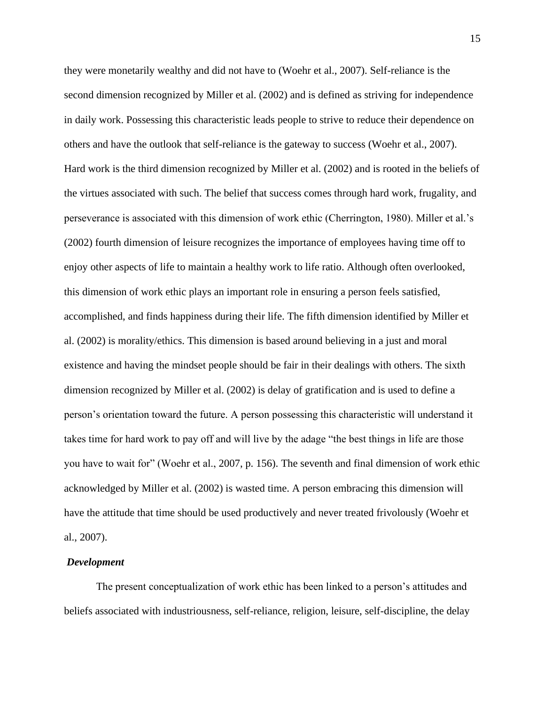they were monetarily wealthy and did not have to (Woehr et al., 2007). Self-reliance is the second dimension recognized by Miller et al. (2002) and is defined as striving for independence in daily work. Possessing this characteristic leads people to strive to reduce their dependence on others and have the outlook that self-reliance is the gateway to success (Woehr et al., 2007). Hard work is the third dimension recognized by Miller et al. (2002) and is rooted in the beliefs of the virtues associated with such. The belief that success comes through hard work, frugality, and perseverance is associated with this dimension of work ethic (Cherrington, 1980). Miller et al.'s (2002) fourth dimension of leisure recognizes the importance of employees having time off to enjoy other aspects of life to maintain a healthy work to life ratio. Although often overlooked, this dimension of work ethic plays an important role in ensuring a person feels satisfied, accomplished, and finds happiness during their life. The fifth dimension identified by Miller et al. (2002) is morality/ethics. This dimension is based around believing in a just and moral existence and having the mindset people should be fair in their dealings with others. The sixth dimension recognized by Miller et al. (2002) is delay of gratification and is used to define a person's orientation toward the future. A person possessing this characteristic will understand it takes time for hard work to pay off and will live by the adage "the best things in life are those you have to wait for" (Woehr et al., 2007, p. 156). The seventh and final dimension of work ethic acknowledged by Miller et al. (2002) is wasted time. A person embracing this dimension will have the attitude that time should be used productively and never treated frivolously (Woehr et al., 2007).

## <span id="page-23-0"></span>*Development*

The present conceptualization of work ethic has been linked to a person's attitudes and beliefs associated with industriousness, self-reliance, religion, leisure, self-discipline, the delay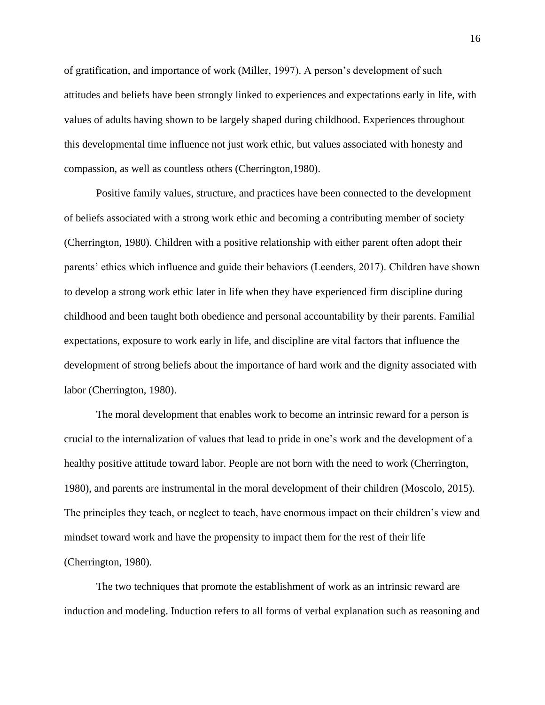of gratification, and importance of work (Miller, 1997). A person's development of such attitudes and beliefs have been strongly linked to experiences and expectations early in life, with values of adults having shown to be largely shaped during childhood. Experiences throughout this developmental time influence not just work ethic, but values associated with honesty and compassion, as well as countless others (Cherrington,1980).

Positive family values, structure, and practices have been connected to the development of beliefs associated with a strong work ethic and becoming a contributing member of society (Cherrington, 1980). Children with a positive relationship with either parent often adopt their parents' ethics which influence and guide their behaviors (Leenders, 2017). Children have shown to develop a strong work ethic later in life when they have experienced firm discipline during childhood and been taught both obedience and personal accountability by their parents. Familial expectations, exposure to work early in life, and discipline are vital factors that influence the development of strong beliefs about the importance of hard work and the dignity associated with labor (Cherrington, 1980).

The moral development that enables work to become an intrinsic reward for a person is crucial to the internalization of values that lead to pride in one's work and the development of a healthy positive attitude toward labor. People are not born with the need to work (Cherrington, 1980), and parents are instrumental in the moral development of their children (Moscolo, 2015). The principles they teach, or neglect to teach, have enormous impact on their children's view and mindset toward work and have the propensity to impact them for the rest of their life (Cherrington, 1980).

The two techniques that promote the establishment of work as an intrinsic reward are induction and modeling. Induction refers to all forms of verbal explanation such as reasoning and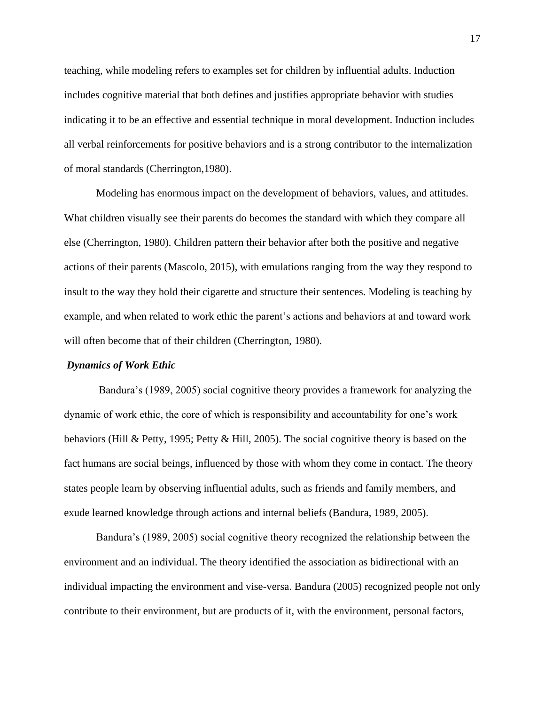teaching, while modeling refers to examples set for children by influential adults. Induction includes cognitive material that both defines and justifies appropriate behavior with studies indicating it to be an effective and essential technique in moral development. Induction includes all verbal reinforcements for positive behaviors and is a strong contributor to the internalization of moral standards (Cherrington,1980).

Modeling has enormous impact on the development of behaviors, values, and attitudes. What children visually see their parents do becomes the standard with which they compare all else (Cherrington, 1980). Children pattern their behavior after both the positive and negative actions of their parents (Mascolo, 2015), with emulations ranging from the way they respond to insult to the way they hold their cigarette and structure their sentences. Modeling is teaching by example, and when related to work ethic the parent's actions and behaviors at and toward work will often become that of their children (Cherrington, 1980).

## <span id="page-25-0"></span>*Dynamics of Work Ethic*

Bandura's (1989, 2005) social cognitive theory provides a framework for analyzing the dynamic of work ethic, the core of which is responsibility and accountability for one's work behaviors (Hill & Petty, 1995; Petty & Hill, 2005). The social cognitive theory is based on the fact humans are social beings, influenced by those with whom they come in contact. The theory states people learn by observing influential adults, such as friends and family members, and exude learned knowledge through actions and internal beliefs (Bandura, 1989, 2005).

Bandura's (1989, 2005) social cognitive theory recognized the relationship between the environment and an individual. The theory identified the association as bidirectional with an individual impacting the environment and vise-versa. Bandura (2005) recognized people not only contribute to their environment, but are products of it, with the environment, personal factors,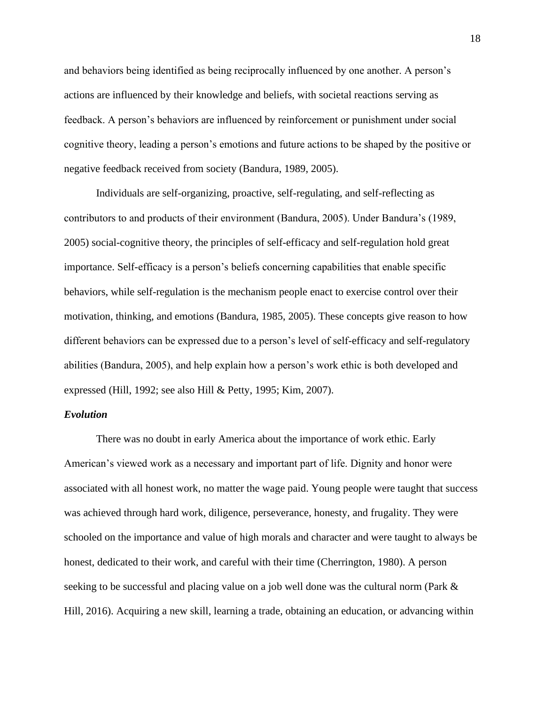and behaviors being identified as being reciprocally influenced by one another. A person's actions are influenced by their knowledge and beliefs, with societal reactions serving as feedback. A person's behaviors are influenced by reinforcement or punishment under social cognitive theory, leading a person's emotions and future actions to be shaped by the positive or negative feedback received from society (Bandura, 1989, 2005).

Individuals are self-organizing, proactive, self-regulating, and self-reflecting as contributors to and products of their environment (Bandura, 2005). Under Bandura's (1989, 2005) social-cognitive theory, the principles of self-efficacy and self-regulation hold great importance. Self-efficacy is a person's beliefs concerning capabilities that enable specific behaviors, while self-regulation is the mechanism people enact to exercise control over their motivation, thinking, and emotions (Bandura, 1985, 2005). These concepts give reason to how different behaviors can be expressed due to a person's level of self-efficacy and self-regulatory abilities (Bandura, 2005), and help explain how a person's work ethic is both developed and expressed (Hill, 1992; see also Hill & Petty, 1995; Kim, 2007).

# <span id="page-26-0"></span>*Evolution*

There was no doubt in early America about the importance of work ethic. Early American's viewed work as a necessary and important part of life. Dignity and honor were associated with all honest work, no matter the wage paid. Young people were taught that success was achieved through hard work, diligence, perseverance, honesty, and frugality. They were schooled on the importance and value of high morals and character and were taught to always be honest, dedicated to their work, and careful with their time (Cherrington, 1980). A person seeking to be successful and placing value on a job well done was the cultural norm (Park & Hill, 2016). Acquiring a new skill, learning a trade, obtaining an education, or advancing within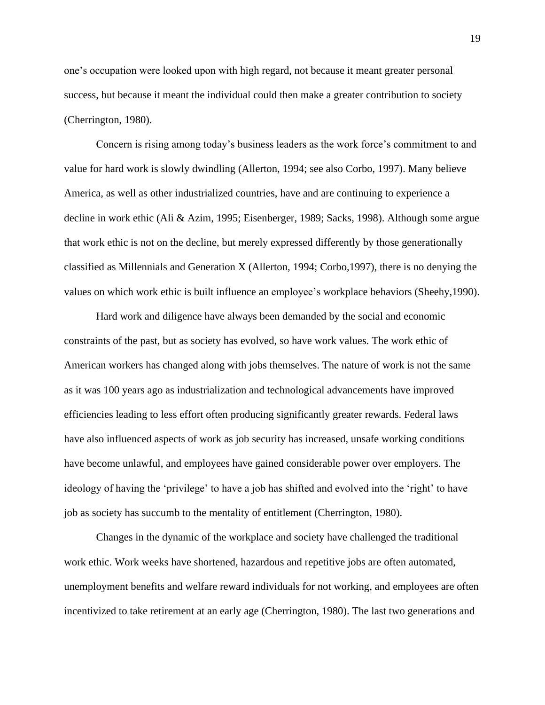one's occupation were looked upon with high regard, not because it meant greater personal success, but because it meant the individual could then make a greater contribution to society (Cherrington, 1980).

Concern is rising among today's business leaders as the work force's commitment to and value for hard work is slowly dwindling (Allerton, 1994; see also Corbo, 1997). Many believe America, as well as other industrialized countries, have and are continuing to experience a decline in work ethic (Ali & Azim, 1995; Eisenberger, 1989; Sacks, 1998). Although some argue that work ethic is not on the decline, but merely expressed differently by those generationally classified as Millennials and Generation X (Allerton, 1994; Corbo,1997), there is no denying the values on which work ethic is built influence an employee's workplace behaviors (Sheehy,1990).

Hard work and diligence have always been demanded by the social and economic constraints of the past, but as society has evolved, so have work values. The work ethic of American workers has changed along with jobs themselves. The nature of work is not the same as it was 100 years ago as industrialization and technological advancements have improved efficiencies leading to less effort often producing significantly greater rewards. Federal laws have also influenced aspects of work as job security has increased, unsafe working conditions have become unlawful, and employees have gained considerable power over employers. The ideology of having the 'privilege' to have a job has shifted and evolved into the 'right' to have job as society has succumb to the mentality of entitlement (Cherrington, 1980).

Changes in the dynamic of the workplace and society have challenged the traditional work ethic. Work weeks have shortened, hazardous and repetitive jobs are often automated, unemployment benefits and welfare reward individuals for not working, and employees are often incentivized to take retirement at an early age (Cherrington, 1980). The last two generations and

19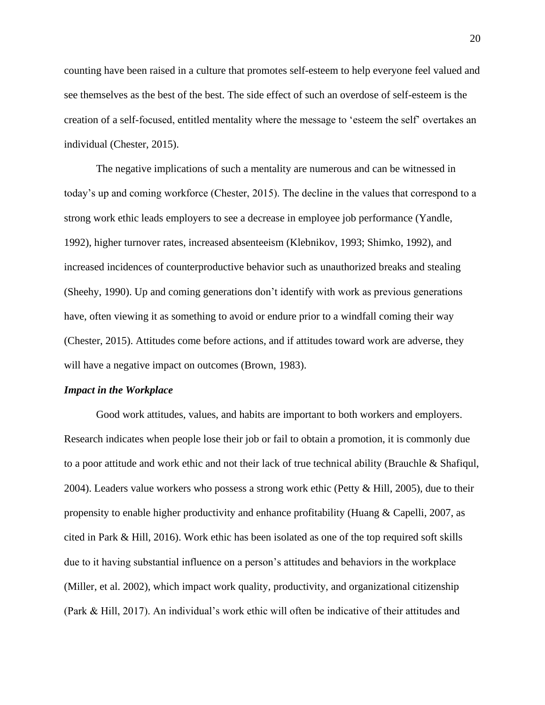counting have been raised in a culture that promotes self-esteem to help everyone feel valued and see themselves as the best of the best. The side effect of such an overdose of self-esteem is the creation of a self-focused, entitled mentality where the message to 'esteem the self' overtakes an individual (Chester, 2015).

The negative implications of such a mentality are numerous and can be witnessed in today's up and coming workforce (Chester, 2015). The decline in the values that correspond to a strong work ethic leads employers to see a decrease in employee job performance (Yandle, 1992), higher turnover rates, increased absenteeism (Klebnikov, 1993; Shimko, 1992), and increased incidences of counterproductive behavior such as unauthorized breaks and stealing (Sheehy, 1990). Up and coming generations don't identify with work as previous generations have, often viewing it as something to avoid or endure prior to a windfall coming their way (Chester, 2015). Attitudes come before actions, and if attitudes toward work are adverse, they will have a negative impact on outcomes (Brown, 1983).

#### *Impact in the Workplace*

Good work attitudes, values, and habits are important to both workers and employers. Research indicates when people lose their job or fail to obtain a promotion, it is commonly due to a poor attitude and work ethic and not their lack of true technical ability (Brauchle & Shafiqul, 2004). Leaders value workers who possess a strong work ethic (Petty & Hill, 2005), due to their propensity to enable higher productivity and enhance profitability (Huang & Capelli, 2007, as cited in Park & Hill, 2016). Work ethic has been isolated as one of the top required soft skills due to it having substantial influence on a person's attitudes and behaviors in the workplace (Miller, et al. 2002), which impact work quality, productivity, and organizational citizenship (Park & Hill, 2017). An individual's work ethic will often be indicative of their attitudes and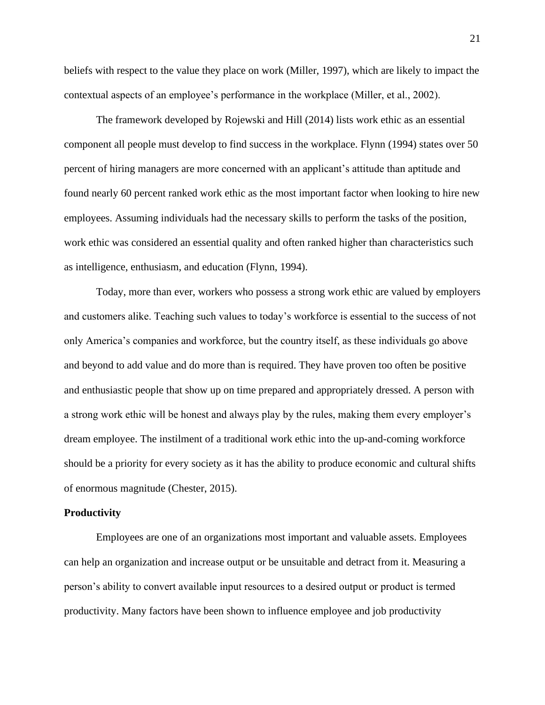beliefs with respect to the value they place on work (Miller, 1997), which are likely to impact the contextual aspects of an employee's performance in the workplace (Miller, et al., 2002).

The framework developed by Rojewski and Hill (2014) lists work ethic as an essential component all people must develop to find success in the workplace. Flynn (1994) states over 50 percent of hiring managers are more concerned with an applicant's attitude than aptitude and found nearly 60 percent ranked work ethic as the most important factor when looking to hire new employees. Assuming individuals had the necessary skills to perform the tasks of the position, work ethic was considered an essential quality and often ranked higher than characteristics such as intelligence, enthusiasm, and education (Flynn, 1994).

Today, more than ever, workers who possess a strong work ethic are valued by employers and customers alike. Teaching such values to today's workforce is essential to the success of not only America's companies and workforce, but the country itself, as these individuals go above and beyond to add value and do more than is required. They have proven too often be positive and enthusiastic people that show up on time prepared and appropriately dressed. A person with a strong work ethic will be honest and always play by the rules, making them every employer's dream employee. The instilment of a traditional work ethic into the up-and-coming workforce should be a priority for every society as it has the ability to produce economic and cultural shifts of enormous magnitude (Chester, 2015).

#### <span id="page-29-0"></span>**Productivity**

Employees are one of an organizations most important and valuable assets. Employees can help an organization and increase output or be unsuitable and detract from it. Measuring a person's ability to convert available input resources to a desired output or product is termed productivity. Many factors have been shown to influence employee and job productivity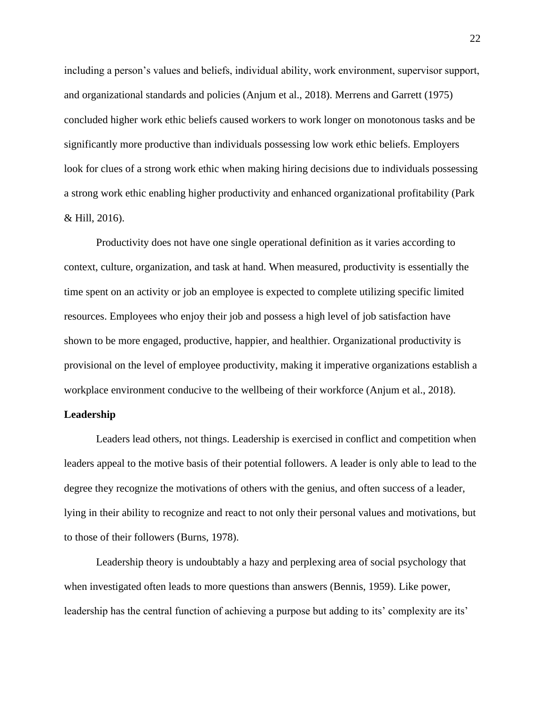including a person's values and beliefs, individual ability, work environment, supervisor support, and organizational standards and policies (Anjum et al., 2018). Merrens and Garrett (1975) concluded higher work ethic beliefs caused workers to work longer on monotonous tasks and be significantly more productive than individuals possessing low work ethic beliefs. Employers look for clues of a strong work ethic when making hiring decisions due to individuals possessing a strong work ethic enabling higher productivity and enhanced organizational profitability (Park & Hill, 2016).

Productivity does not have one single operational definition as it varies according to context, culture, organization, and task at hand. When measured, productivity is essentially the time spent on an activity or job an employee is expected to complete utilizing specific limited resources. Employees who enjoy their job and possess a high level of job satisfaction have shown to be more engaged, productive, happier, and healthier. Organizational productivity is provisional on the level of employee productivity, making it imperative organizations establish a workplace environment conducive to the wellbeing of their workforce (Anjum et al., 2018).

# <span id="page-30-0"></span>**Leadership**

Leaders lead others, not things. Leadership is exercised in conflict and competition when leaders appeal to the motive basis of their potential followers. A leader is only able to lead to the degree they recognize the motivations of others with the genius, and often success of a leader, lying in their ability to recognize and react to not only their personal values and motivations, but to those of their followers (Burns, 1978).

Leadership theory is undoubtably a hazy and perplexing area of social psychology that when investigated often leads to more questions than answers (Bennis, 1959). Like power, leadership has the central function of achieving a purpose but adding to its' complexity are its'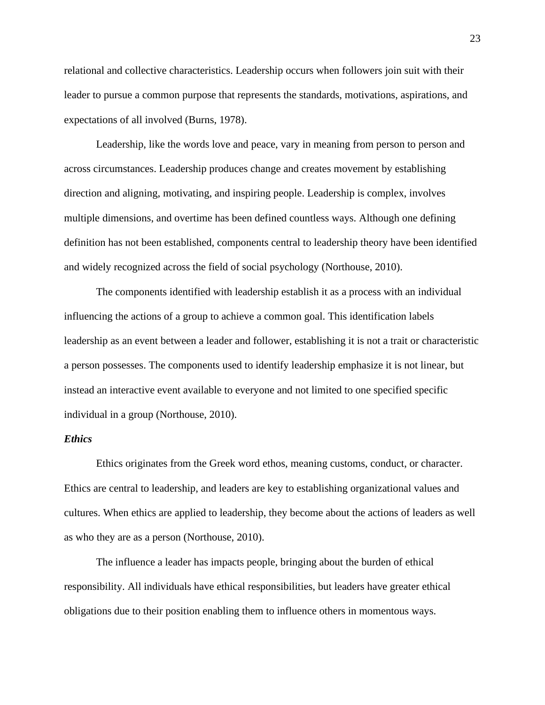relational and collective characteristics. Leadership occurs when followers join suit with their leader to pursue a common purpose that represents the standards, motivations, aspirations, and expectations of all involved (Burns, 1978).

Leadership, like the words love and peace, vary in meaning from person to person and across circumstances. Leadership produces change and creates movement by establishing direction and aligning, motivating, and inspiring people. Leadership is complex, involves multiple dimensions, and overtime has been defined countless ways. Although one defining definition has not been established, components central to leadership theory have been identified and widely recognized across the field of social psychology (Northouse, 2010).

The components identified with leadership establish it as a process with an individual influencing the actions of a group to achieve a common goal. This identification labels leadership as an event between a leader and follower, establishing it is not a trait or characteristic a person possesses. The components used to identify leadership emphasize it is not linear, but instead an interactive event available to everyone and not limited to one specified specific individual in a group (Northouse, 2010).

# <span id="page-31-0"></span>*Ethics*

Ethics originates from the Greek word ethos, meaning customs, conduct, or character. Ethics are central to leadership, and leaders are key to establishing organizational values and cultures. When ethics are applied to leadership, they become about the actions of leaders as well as who they are as a person (Northouse, 2010).

The influence a leader has impacts people, bringing about the burden of ethical responsibility. All individuals have ethical responsibilities, but leaders have greater ethical obligations due to their position enabling them to influence others in momentous ways.

23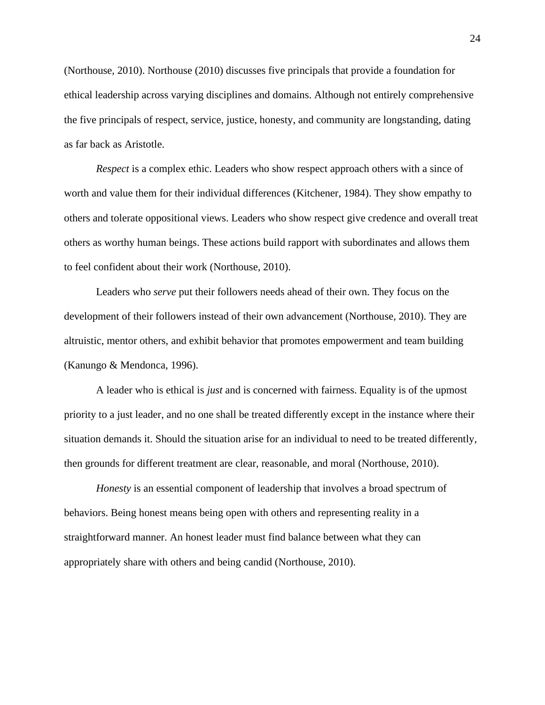(Northouse, 2010). Northouse (2010) discusses five principals that provide a foundation for ethical leadership across varying disciplines and domains. Although not entirely comprehensive the five principals of respect, service, justice, honesty, and community are longstanding, dating as far back as Aristotle.

*Respect* is a complex ethic. Leaders who show respect approach others with a since of worth and value them for their individual differences (Kitchener, 1984). They show empathy to others and tolerate oppositional views. Leaders who show respect give credence and overall treat others as worthy human beings. These actions build rapport with subordinates and allows them to feel confident about their work (Northouse, 2010).

Leaders who *serve* put their followers needs ahead of their own. They focus on the development of their followers instead of their own advancement (Northouse, 2010). They are altruistic, mentor others, and exhibit behavior that promotes empowerment and team building (Kanungo & Mendonca, 1996).

A leader who is ethical is *just* and is concerned with fairness. Equality is of the upmost priority to a just leader, and no one shall be treated differently except in the instance where their situation demands it. Should the situation arise for an individual to need to be treated differently, then grounds for different treatment are clear, reasonable, and moral (Northouse, 2010).

*Honesty* is an essential component of leadership that involves a broad spectrum of behaviors. Being honest means being open with others and representing reality in a straightforward manner. An honest leader must find balance between what they can appropriately share with others and being candid (Northouse, 2010).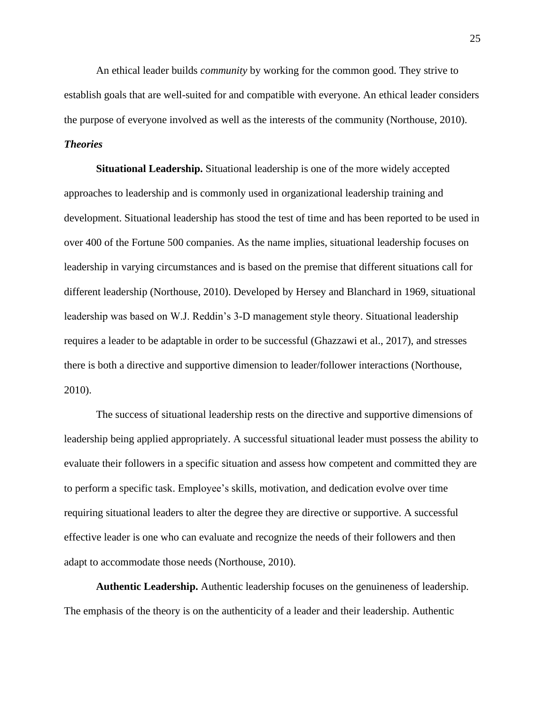An ethical leader builds *community* by working for the common good. They strive to establish goals that are well-suited for and compatible with everyone. An ethical leader considers the purpose of everyone involved as well as the interests of the community (Northouse, 2010).

# <span id="page-33-0"></span>*Theories*

<span id="page-33-1"></span>**Situational Leadership.** Situational leadership is one of the more widely accepted approaches to leadership and is commonly used in organizational leadership training and development. Situational leadership has stood the test of time and has been reported to be used in over 400 of the Fortune 500 companies. As the name implies, situational leadership focuses on leadership in varying circumstances and is based on the premise that different situations call for different leadership (Northouse, 2010). Developed by Hersey and Blanchard in 1969, situational leadership was based on W.J. Reddin's 3-D management style theory. Situational leadership requires a leader to be adaptable in order to be successful (Ghazzawi et al., 2017), and stresses there is both a directive and supportive dimension to leader/follower interactions (Northouse, 2010).

The success of situational leadership rests on the directive and supportive dimensions of leadership being applied appropriately. A successful situational leader must possess the ability to evaluate their followers in a specific situation and assess how competent and committed they are to perform a specific task. Employee's skills, motivation, and dedication evolve over time requiring situational leaders to alter the degree they are directive or supportive. A successful effective leader is one who can evaluate and recognize the needs of their followers and then adapt to accommodate those needs (Northouse, 2010).

<span id="page-33-2"></span>**Authentic Leadership.** Authentic leadership focuses on the genuineness of leadership. The emphasis of the theory is on the authenticity of a leader and their leadership. Authentic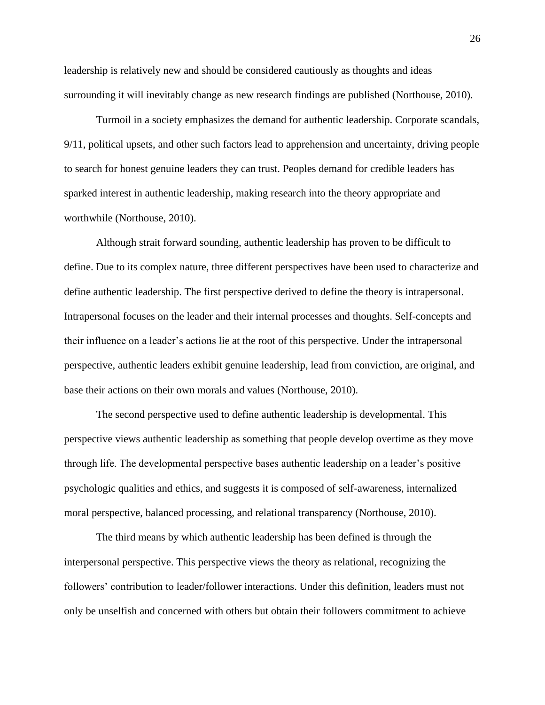leadership is relatively new and should be considered cautiously as thoughts and ideas surrounding it will inevitably change as new research findings are published (Northouse, 2010).

Turmoil in a society emphasizes the demand for authentic leadership. Corporate scandals, 9/11, political upsets, and other such factors lead to apprehension and uncertainty, driving people to search for honest genuine leaders they can trust. Peoples demand for credible leaders has sparked interest in authentic leadership, making research into the theory appropriate and worthwhile (Northouse, 2010).

Although strait forward sounding, authentic leadership has proven to be difficult to define. Due to its complex nature, three different perspectives have been used to characterize and define authentic leadership. The first perspective derived to define the theory is intrapersonal. Intrapersonal focuses on the leader and their internal processes and thoughts. Self-concepts and their influence on a leader's actions lie at the root of this perspective. Under the intrapersonal perspective, authentic leaders exhibit genuine leadership, lead from conviction, are original, and base their actions on their own morals and values (Northouse, 2010).

The second perspective used to define authentic leadership is developmental. This perspective views authentic leadership as something that people develop overtime as they move through life. The developmental perspective bases authentic leadership on a leader's positive psychologic qualities and ethics, and suggests it is composed of self-awareness, internalized moral perspective, balanced processing, and relational transparency (Northouse, 2010).

The third means by which authentic leadership has been defined is through the interpersonal perspective. This perspective views the theory as relational, recognizing the followers' contribution to leader/follower interactions. Under this definition, leaders must not only be unselfish and concerned with others but obtain their followers commitment to achieve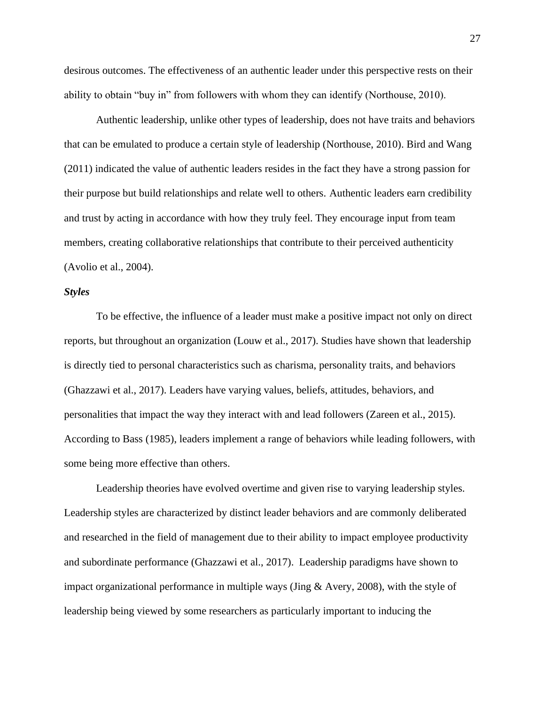desirous outcomes. The effectiveness of an authentic leader under this perspective rests on their ability to obtain "buy in" from followers with whom they can identify (Northouse, 2010).

Authentic leadership, unlike other types of leadership, does not have traits and behaviors that can be emulated to produce a certain style of leadership (Northouse, 2010). Bird and Wang (2011) indicated the value of authentic leaders resides in the fact they have a strong passion for their purpose but build relationships and relate well to others. Authentic leaders earn credibility and trust by acting in accordance with how they truly feel. They encourage input from team members, creating collaborative relationships that contribute to their perceived authenticity (Avolio et al., 2004).

### <span id="page-35-0"></span>*Styles*

To be effective, the influence of a leader must make a positive impact not only on direct reports, but throughout an organization (Louw et al., 2017). Studies have shown that leadership is directly tied to personal characteristics such as charisma, personality traits, and behaviors (Ghazzawi et al., 2017). Leaders have varying values, beliefs, attitudes, behaviors, and personalities that impact the way they interact with and lead followers (Zareen et al., 2015). According to Bass (1985), leaders implement a range of behaviors while leading followers, with some being more effective than others.

Leadership theories have evolved overtime and given rise to varying leadership styles. Leadership styles are characterized by distinct leader behaviors and are commonly deliberated and researched in the field of management due to their ability to impact employee productivity and subordinate performance (Ghazzawi et al., 2017). Leadership paradigms have shown to impact organizational performance in multiple ways (Jing & Avery, 2008), with the style of leadership being viewed by some researchers as particularly important to inducing the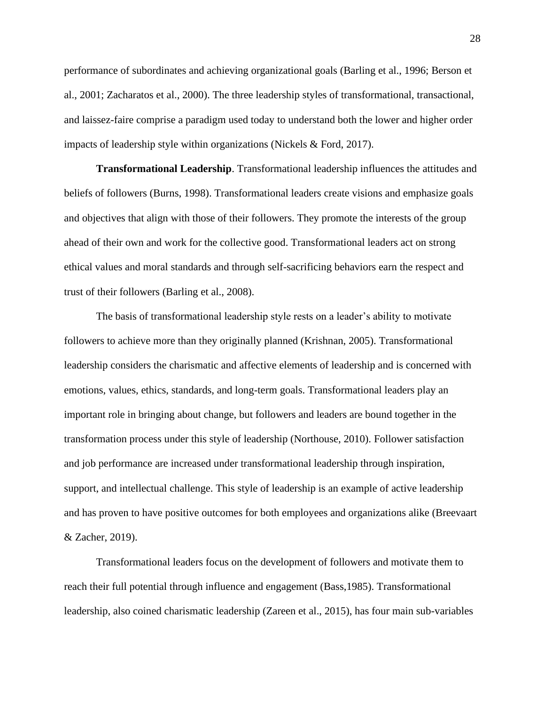performance of subordinates and achieving organizational goals (Barling et al., 1996; Berson et al., 2001; Zacharatos et al., 2000). The three leadership styles of transformational, transactional, and laissez-faire comprise a paradigm used today to understand both the lower and higher order impacts of leadership style within organizations (Nickels & Ford, 2017).

**Transformational Leadership**. Transformational leadership influences the attitudes and beliefs of followers (Burns, 1998). Transformational leaders create visions and emphasize goals and objectives that align with those of their followers. They promote the interests of the group ahead of their own and work for the collective good. Transformational leaders act on strong ethical values and moral standards and through self-sacrificing behaviors earn the respect and trust of their followers (Barling et al., 2008).

The basis of transformational leadership style rests on a leader's ability to motivate followers to achieve more than they originally planned (Krishnan, 2005). Transformational leadership considers the charismatic and affective elements of leadership and is concerned with emotions, values, ethics, standards, and long-term goals. Transformational leaders play an important role in bringing about change, but followers and leaders are bound together in the transformation process under this style of leadership (Northouse, 2010). Follower satisfaction and job performance are increased under transformational leadership through inspiration, support, and intellectual challenge. This style of leadership is an example of active leadership and has proven to have positive outcomes for both employees and organizations alike (Breevaart & Zacher, 2019).

Transformational leaders focus on the development of followers and motivate them to reach their full potential through influence and engagement (Bass,1985). Transformational leadership, also coined charismatic leadership (Zareen et al., 2015), has four main sub-variables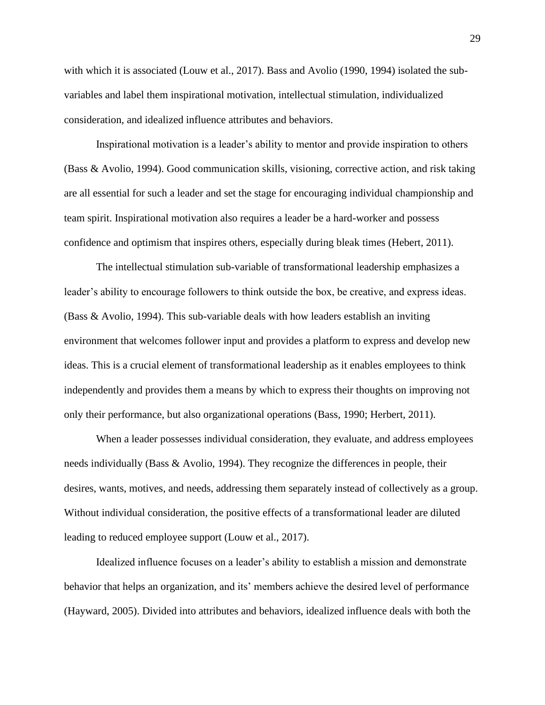with which it is associated (Louw et al., 2017). Bass and Avolio (1990, 1994) isolated the subvariables and label them inspirational motivation, intellectual stimulation, individualized consideration, and idealized influence attributes and behaviors.

Inspirational motivation is a leader's ability to mentor and provide inspiration to others (Bass & Avolio, 1994). Good communication skills, visioning, corrective action, and risk taking are all essential for such a leader and set the stage for encouraging individual championship and team spirit. Inspirational motivation also requires a leader be a hard-worker and possess confidence and optimism that inspires others, especially during bleak times (Hebert, 2011).

The intellectual stimulation sub-variable of transformational leadership emphasizes a leader's ability to encourage followers to think outside the box, be creative, and express ideas. (Bass & Avolio, 1994). This sub-variable deals with how leaders establish an inviting environment that welcomes follower input and provides a platform to express and develop new ideas. This is a crucial element of transformational leadership as it enables employees to think independently and provides them a means by which to express their thoughts on improving not only their performance, but also organizational operations (Bass, 1990; Herbert, 2011).

When a leader possesses individual consideration, they evaluate, and address employees needs individually (Bass & Avolio, 1994). They recognize the differences in people, their desires, wants, motives, and needs, addressing them separately instead of collectively as a group. Without individual consideration, the positive effects of a transformational leader are diluted leading to reduced employee support (Louw et al., 2017).

Idealized influence focuses on a leader's ability to establish a mission and demonstrate behavior that helps an organization, and its' members achieve the desired level of performance (Hayward, 2005). Divided into attributes and behaviors, idealized influence deals with both the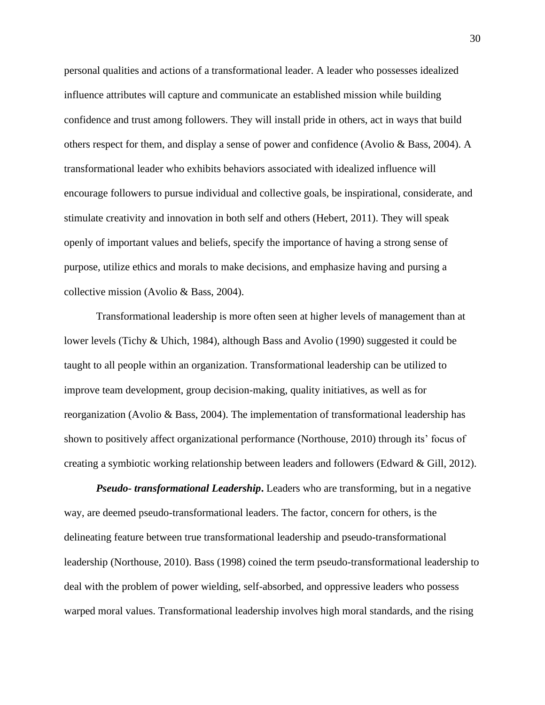personal qualities and actions of a transformational leader. A leader who possesses idealized influence attributes will capture and communicate an established mission while building confidence and trust among followers. They will install pride in others, act in ways that build others respect for them, and display a sense of power and confidence (Avolio & Bass, 2004). A transformational leader who exhibits behaviors associated with idealized influence will encourage followers to pursue individual and collective goals, be inspirational, considerate, and stimulate creativity and innovation in both self and others (Hebert, 2011). They will speak openly of important values and beliefs, specify the importance of having a strong sense of purpose, utilize ethics and morals to make decisions, and emphasize having and pursing a collective mission (Avolio & Bass, 2004).

Transformational leadership is more often seen at higher levels of management than at lower levels (Tichy & Uhich, 1984), although Bass and Avolio (1990) suggested it could be taught to all people within an organization. Transformational leadership can be utilized to improve team development, group decision-making, quality initiatives, as well as for reorganization (Avolio & Bass, 2004). The implementation of transformational leadership has shown to positively affect organizational performance (Northouse, 2010) through its' focus of creating a symbiotic working relationship between leaders and followers (Edward & Gill, 2012).

*Pseudo- transformational Leadership***.** Leaders who are transforming, but in a negative way, are deemed pseudo-transformational leaders. The factor, concern for others, is the delineating feature between true transformational leadership and pseudo-transformational leadership (Northouse, 2010). Bass (1998) coined the term pseudo-transformational leadership to deal with the problem of power wielding, self-absorbed, and oppressive leaders who possess warped moral values. Transformational leadership involves high moral standards, and the rising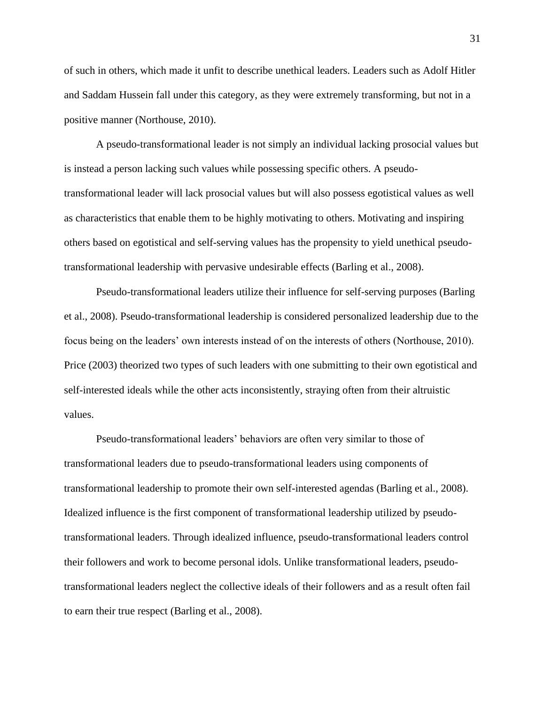of such in others, which made it unfit to describe unethical leaders. Leaders such as Adolf Hitler and Saddam Hussein fall under this category, as they were extremely transforming, but not in a positive manner (Northouse, 2010).

A pseudo-transformational leader is not simply an individual lacking prosocial values but is instead a person lacking such values while possessing specific others. A pseudotransformational leader will lack prosocial values but will also possess egotistical values as well as characteristics that enable them to be highly motivating to others. Motivating and inspiring others based on egotistical and self-serving values has the propensity to yield unethical pseudotransformational leadership with pervasive undesirable effects (Barling et al., 2008).

Pseudo-transformational leaders utilize their influence for self-serving purposes (Barling et al., 2008). Pseudo-transformational leadership is considered personalized leadership due to the focus being on the leaders' own interests instead of on the interests of others (Northouse, 2010). Price (2003) theorized two types of such leaders with one submitting to their own egotistical and self-interested ideals while the other acts inconsistently, straying often from their altruistic values.

Pseudo-transformational leaders' behaviors are often very similar to those of transformational leaders due to pseudo-transformational leaders using components of transformational leadership to promote their own self-interested agendas (Barling et al., 2008). Idealized influence is the first component of transformational leadership utilized by pseudotransformational leaders. Through idealized influence, pseudo-transformational leaders control their followers and work to become personal idols. Unlike transformational leaders, pseudotransformational leaders neglect the collective ideals of their followers and as a result often fail to earn their true respect (Barling et al., 2008).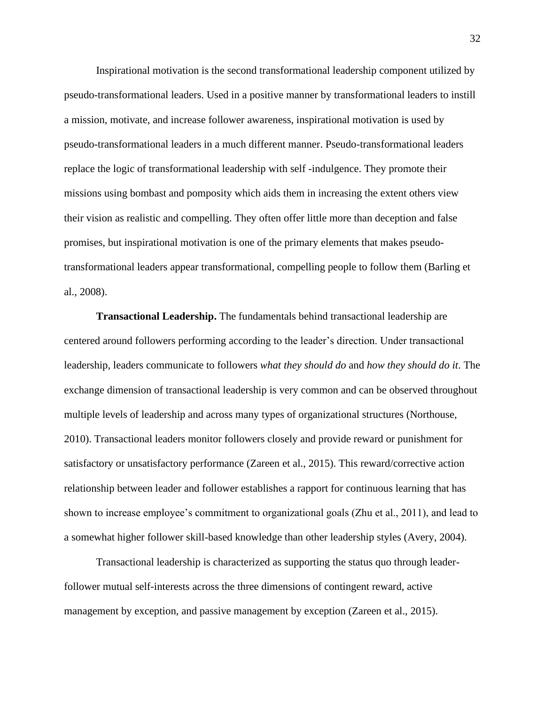Inspirational motivation is the second transformational leadership component utilized by pseudo-transformational leaders. Used in a positive manner by transformational leaders to instill a mission, motivate, and increase follower awareness, inspirational motivation is used by pseudo-transformational leaders in a much different manner. Pseudo-transformational leaders replace the logic of transformational leadership with self -indulgence. They promote their missions using bombast and pomposity which aids them in increasing the extent others view their vision as realistic and compelling. They often offer little more than deception and false promises, but inspirational motivation is one of the primary elements that makes pseudotransformational leaders appear transformational, compelling people to follow them (Barling et al., 2008).

**Transactional Leadership.** The fundamentals behind transactional leadership are centered around followers performing according to the leader's direction. Under transactional leadership, leaders communicate to followers *what they should do* and *how they should do it*. The exchange dimension of transactional leadership is very common and can be observed throughout multiple levels of leadership and across many types of organizational structures (Northouse, 2010). Transactional leaders monitor followers closely and provide reward or punishment for satisfactory or unsatisfactory performance (Zareen et al., 2015). This reward/corrective action relationship between leader and follower establishes a rapport for continuous learning that has shown to increase employee's commitment to organizational goals (Zhu et al., 2011), and lead to a somewhat higher follower skill-based knowledge than other leadership styles (Avery, 2004).

Transactional leadership is characterized as supporting the status quo through leaderfollower mutual self-interests across the three dimensions of contingent reward, active management by exception, and passive management by exception (Zareen et al., 2015).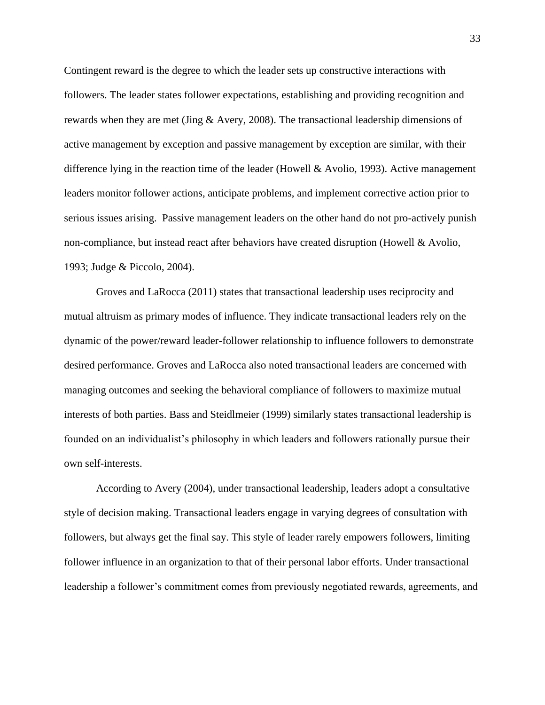Contingent reward is the degree to which the leader sets up constructive interactions with followers. The leader states follower expectations, establishing and providing recognition and rewards when they are met (Jing & Avery, 2008). The transactional leadership dimensions of active management by exception and passive management by exception are similar, with their difference lying in the reaction time of the leader (Howell & Avolio, 1993). Active management leaders monitor follower actions, anticipate problems, and implement corrective action prior to serious issues arising. Passive management leaders on the other hand do not pro-actively punish non-compliance, but instead react after behaviors have created disruption (Howell & Avolio, 1993; Judge & Piccolo, 2004).

Groves and LaRocca (2011) states that transactional leadership uses reciprocity and mutual altruism as primary modes of influence. They indicate transactional leaders rely on the dynamic of the power/reward leader-follower relationship to influence followers to demonstrate desired performance. Groves and LaRocca also noted transactional leaders are concerned with managing outcomes and seeking the behavioral compliance of followers to maximize mutual interests of both parties. Bass and Steidlmeier (1999) similarly states transactional leadership is founded on an individualist's philosophy in which leaders and followers rationally pursue their own self-interests.

According to Avery (2004), under transactional leadership, leaders adopt a consultative style of decision making. Transactional leaders engage in varying degrees of consultation with followers, but always get the final say. This style of leader rarely empowers followers, limiting follower influence in an organization to that of their personal labor efforts. Under transactional leadership a follower's commitment comes from previously negotiated rewards, agreements, and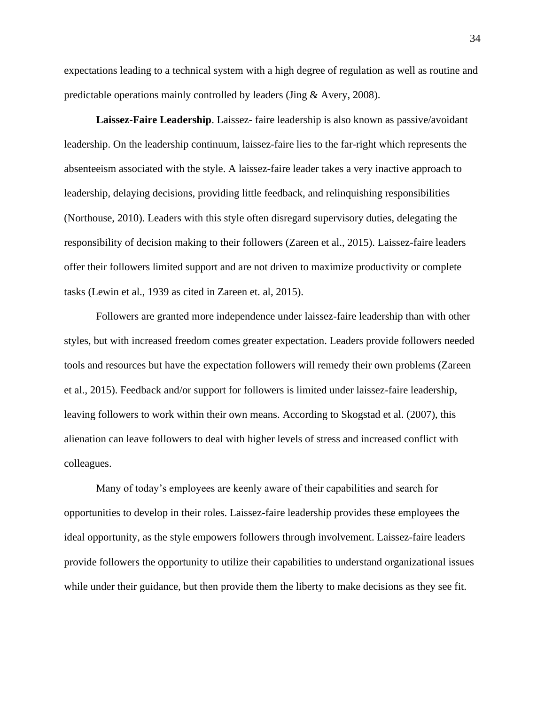expectations leading to a technical system with a high degree of regulation as well as routine and predictable operations mainly controlled by leaders (Jing & Avery, 2008).

**Laissez-Faire Leadership**. Laissez- faire leadership is also known as passive/avoidant leadership. On the leadership continuum, laissez-faire lies to the far-right which represents the absenteeism associated with the style. A laissez-faire leader takes a very inactive approach to leadership, delaying decisions, providing little feedback, and relinquishing responsibilities (Northouse, 2010). Leaders with this style often disregard supervisory duties, delegating the responsibility of decision making to their followers (Zareen et al., 2015). Laissez-faire leaders offer their followers limited support and are not driven to maximize productivity or complete tasks (Lewin et al., 1939 as cited in Zareen et. al, 2015).

Followers are granted more independence under laissez-faire leadership than with other styles, but with increased freedom comes greater expectation. Leaders provide followers needed tools and resources but have the expectation followers will remedy their own problems (Zareen et al., 2015). Feedback and/or support for followers is limited under laissez-faire leadership, leaving followers to work within their own means. According to Skogstad et al. (2007), this alienation can leave followers to deal with higher levels of stress and increased conflict with colleagues.

Many of today's employees are keenly aware of their capabilities and search for opportunities to develop in their roles. Laissez-faire leadership provides these employees the ideal opportunity, as the style empowers followers through involvement. Laissez-faire leaders provide followers the opportunity to utilize their capabilities to understand organizational issues while under their guidance, but then provide them the liberty to make decisions as they see fit.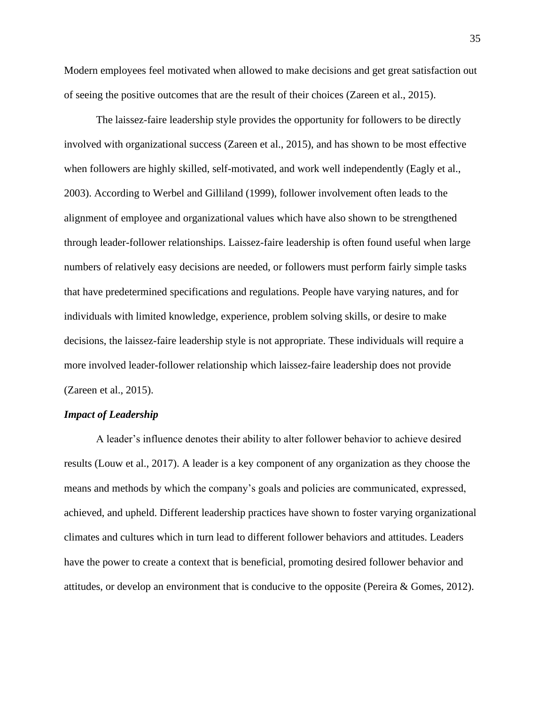Modern employees feel motivated when allowed to make decisions and get great satisfaction out of seeing the positive outcomes that are the result of their choices (Zareen et al., 2015).

The laissez-faire leadership style provides the opportunity for followers to be directly involved with organizational success (Zareen et al., 2015), and has shown to be most effective when followers are highly skilled, self-motivated, and work well independently (Eagly et al., 2003). According to Werbel and Gilliland (1999), follower involvement often leads to the alignment of employee and organizational values which have also shown to be strengthened through leader-follower relationships. Laissez-faire leadership is often found useful when large numbers of relatively easy decisions are needed, or followers must perform fairly simple tasks that have predetermined specifications and regulations. People have varying natures, and for individuals with limited knowledge, experience, problem solving skills, or desire to make decisions, the laissez-faire leadership style is not appropriate. These individuals will require a more involved leader-follower relationship which laissez-faire leadership does not provide (Zareen et al., 2015).

### *Impact of Leadership*

A leader's influence denotes their ability to alter follower behavior to achieve desired results (Louw et al., 2017). A leader is a key component of any organization as they choose the means and methods by which the company's goals and policies are communicated, expressed, achieved, and upheld. Different leadership practices have shown to foster varying organizational climates and cultures which in turn lead to different follower behaviors and attitudes. Leaders have the power to create a context that is beneficial, promoting desired follower behavior and attitudes, or develop an environment that is conducive to the opposite (Pereira & Gomes, 2012).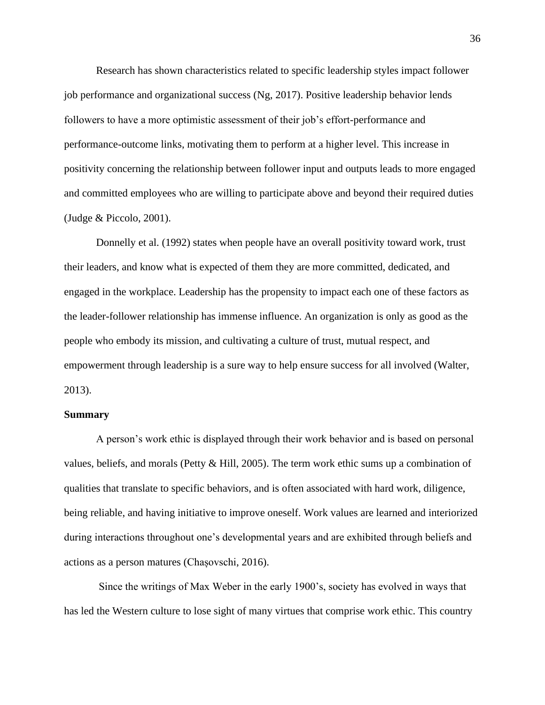Research has shown characteristics related to specific leadership styles impact follower job performance and organizational success (Ng, 2017). Positive leadership behavior lends followers to have a more optimistic assessment of their job's effort-performance and performance-outcome links, motivating them to perform at a higher level. This increase in positivity concerning the relationship between follower input and outputs leads to more engaged and committed employees who are willing to participate above and beyond their required duties (Judge & Piccolo, 2001).

Donnelly et al. (1992) states when people have an overall positivity toward work, trust their leaders, and know what is expected of them they are more committed, dedicated, and engaged in the workplace. Leadership has the propensity to impact each one of these factors as the leader-follower relationship has immense influence. An organization is only as good as the people who embody its mission, and cultivating a culture of trust, mutual respect, and empowerment through leadership is a sure way to help ensure success for all involved (Walter, 2013).

#### **Summary**

A person's work ethic is displayed through their work behavior and is based on personal values, beliefs, and morals (Petty & Hill, 2005). The term work ethic sums up a combination of qualities that translate to specific behaviors, and is often associated with hard work, diligence, being reliable, and having initiative to improve oneself. Work values are learned and interiorized during interactions throughout one's developmental years and are exhibited through beliefs and actions as a person matures (Chașovschi, 2016).

Since the writings of Max Weber in the early 1900's, society has evolved in ways that has led the Western culture to lose sight of many virtues that comprise work ethic. This country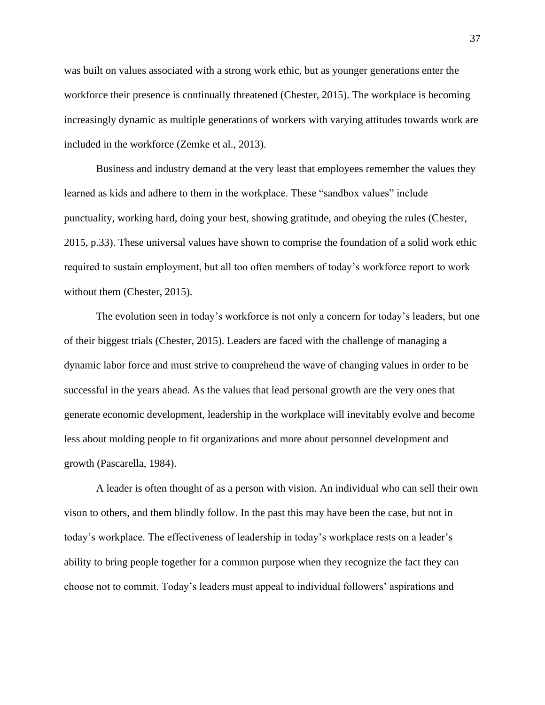was built on values associated with a strong work ethic, but as younger generations enter the workforce their presence is continually threatened (Chester, 2015). The workplace is becoming increasingly dynamic as multiple generations of workers with varying attitudes towards work are included in the workforce (Zemke et al., 2013).

Business and industry demand at the very least that employees remember the values they learned as kids and adhere to them in the workplace. These "sandbox values" include punctuality, working hard, doing your best, showing gratitude, and obeying the rules (Chester, 2015, p.33). These universal values have shown to comprise the foundation of a solid work ethic required to sustain employment, but all too often members of today's workforce report to work without them (Chester, 2015).

The evolution seen in today's workforce is not only a concern for today's leaders, but one of their biggest trials (Chester, 2015). Leaders are faced with the challenge of managing a dynamic labor force and must strive to comprehend the wave of changing values in order to be successful in the years ahead. As the values that lead personal growth are the very ones that generate economic development, leadership in the workplace will inevitably evolve and become less about molding people to fit organizations and more about personnel development and growth (Pascarella, 1984).

A leader is often thought of as a person with vision. An individual who can sell their own vison to others, and them blindly follow. In the past this may have been the case, but not in today's workplace. The effectiveness of leadership in today's workplace rests on a leader's ability to bring people together for a common purpose when they recognize the fact they can choose not to commit. Today's leaders must appeal to individual followers' aspirations and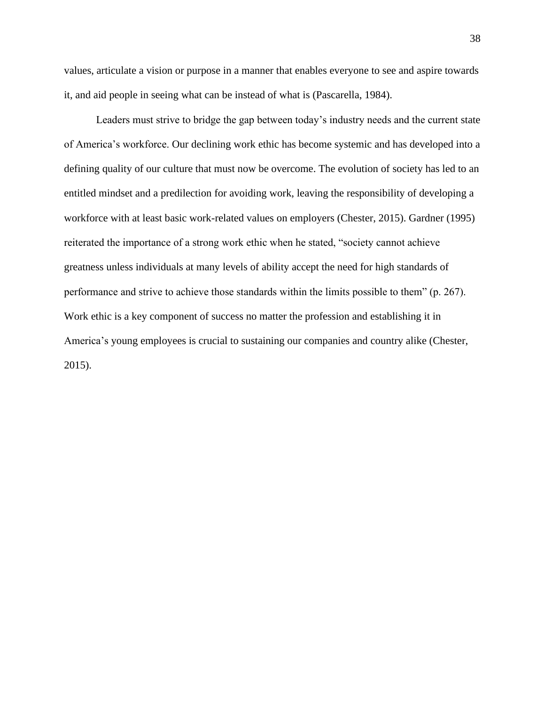values, articulate a vision or purpose in a manner that enables everyone to see and aspire towards it, and aid people in seeing what can be instead of what is (Pascarella, 1984).

Leaders must strive to bridge the gap between today's industry needs and the current state of America's workforce. Our declining work ethic has become systemic and has developed into a defining quality of our culture that must now be overcome. The evolution of society has led to an entitled mindset and a predilection for avoiding work, leaving the responsibility of developing a workforce with at least basic work-related values on employers (Chester, 2015). Gardner (1995) reiterated the importance of a strong work ethic when he stated, "society cannot achieve greatness unless individuals at many levels of ability accept the need for high standards of performance and strive to achieve those standards within the limits possible to them" (p. 267). Work ethic is a key component of success no matter the profession and establishing it in America's young employees is crucial to sustaining our companies and country alike (Chester, 2015).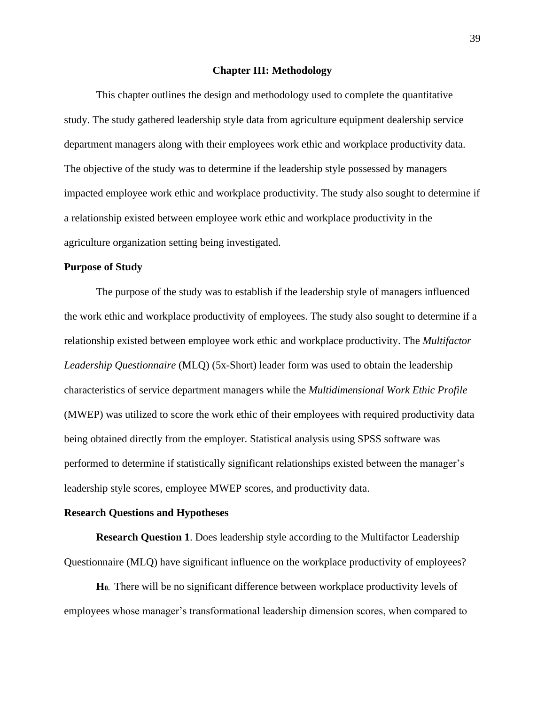#### **Chapter III: Methodology**

This chapter outlines the design and methodology used to complete the quantitative study. The study gathered leadership style data from agriculture equipment dealership service department managers along with their employees work ethic and workplace productivity data. The objective of the study was to determine if the leadership style possessed by managers impacted employee work ethic and workplace productivity. The study also sought to determine if a relationship existed between employee work ethic and workplace productivity in the agriculture organization setting being investigated.

#### **Purpose of Study**

The purpose of the study was to establish if the leadership style of managers influenced the work ethic and workplace productivity of employees. The study also sought to determine if a relationship existed between employee work ethic and workplace productivity. The *Multifactor Leadership Questionnaire* (MLQ) (5x-Short) leader form was used to obtain the leadership characteristics of service department managers while the *Multidimensional Work Ethic Profile* (MWEP) was utilized to score the work ethic of their employees with required productivity data being obtained directly from the employer. Statistical analysis using SPSS software was performed to determine if statistically significant relationships existed between the manager's leadership style scores, employee MWEP scores, and productivity data.

#### **Research Questions and Hypotheses**

**Research Question 1**. Does leadership style according to the Multifactor Leadership Questionnaire (MLQ) have significant influence on the workplace productivity of employees?

**H0.** There will be no significant difference between workplace productivity levels of employees whose manager's transformational leadership dimension scores, when compared to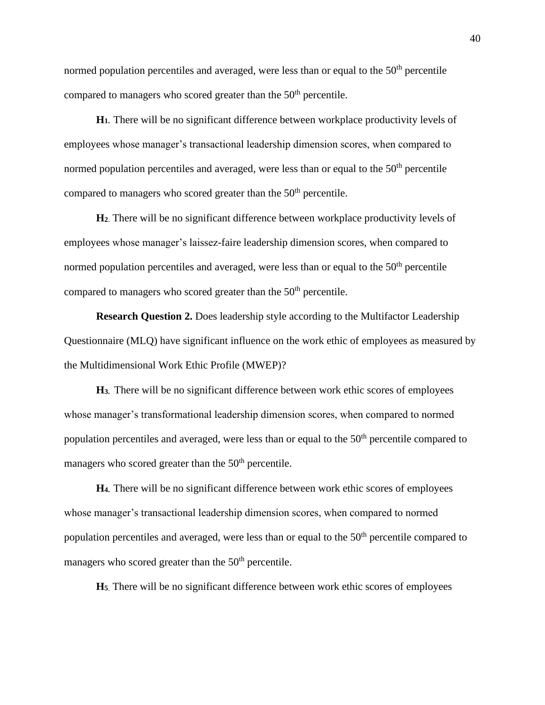normed population percentiles and averaged, were less than or equal to the  $50<sup>th</sup>$  percentile compared to managers who scored greater than the 50<sup>th</sup> percentile.

**H1.** There will be no significant difference between workplace productivity levels of employees whose manager's transactional leadership dimension scores, when compared to normed population percentiles and averaged, were less than or equal to the  $50<sup>th</sup>$  percentile compared to managers who scored greater than the  $50<sup>th</sup>$  percentile.

**H<sup>2</sup>**. There will be no significant difference between workplace productivity levels of employees whose manager's laissez-faire leadership dimension scores, when compared to normed population percentiles and averaged, were less than or equal to the  $50<sup>th</sup>$  percentile compared to managers who scored greater than the 50<sup>th</sup> percentile.

**Research Question 2.** Does leadership style according to the Multifactor Leadership Questionnaire (MLQ) have significant influence on the work ethic of employees as measured by the Multidimensional Work Ethic Profile (MWEP)?

**H3.** There will be no significant difference between work ethic scores of employees whose manager's transformational leadership dimension scores, when compared to normed population percentiles and averaged, were less than or equal to the 50<sup>th</sup> percentile compared to managers who scored greater than the  $50<sup>th</sup>$  percentile.

**H4.** There will be no significant difference between work ethic scores of employees whose manager's transactional leadership dimension scores, when compared to normed population percentiles and averaged, were less than or equal to the  $50<sup>th</sup>$  percentile compared to managers who scored greater than the  $50<sup>th</sup>$  percentile.

**H<sup>5</sup>**. There will be no significant difference between work ethic scores of employees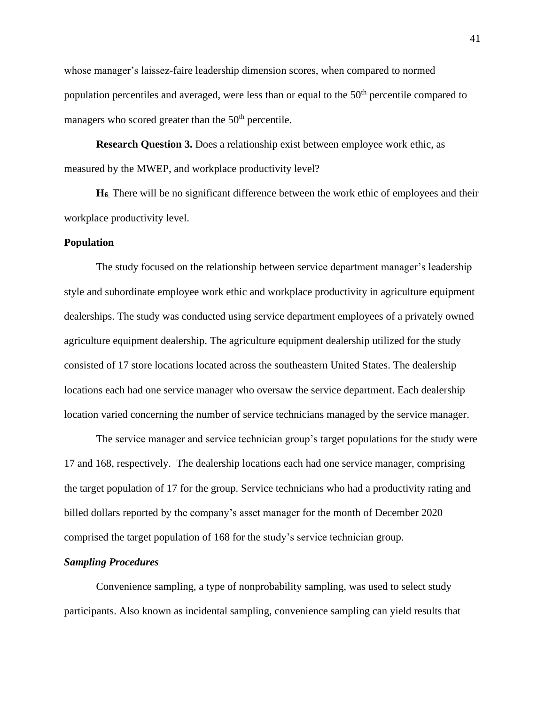whose manager's laissez-faire leadership dimension scores, when compared to normed population percentiles and averaged, were less than or equal to the  $50<sup>th</sup>$  percentile compared to managers who scored greater than the  $50<sup>th</sup>$  percentile.

**Research Question 3.** Does a relationship exist between employee work ethic, as measured by the MWEP, and workplace productivity level?

**H<sup>6</sup>**. There will be no significant difference between the work ethic of employees and their workplace productivity level.

## **Population**

The study focused on the relationship between service department manager's leadership style and subordinate employee work ethic and workplace productivity in agriculture equipment dealerships. The study was conducted using service department employees of a privately owned agriculture equipment dealership. The agriculture equipment dealership utilized for the study consisted of 17 store locations located across the southeastern United States. The dealership locations each had one service manager who oversaw the service department. Each dealership location varied concerning the number of service technicians managed by the service manager.

The service manager and service technician group's target populations for the study were 17 and 168, respectively. The dealership locations each had one service manager, comprising the target population of 17 for the group. Service technicians who had a productivity rating and billed dollars reported by the company's asset manager for the month of December 2020 comprised the target population of 168 for the study's service technician group.

### *Sampling Procedures*

Convenience sampling, a type of nonprobability sampling, was used to select study participants. Also known as incidental sampling, convenience sampling can yield results that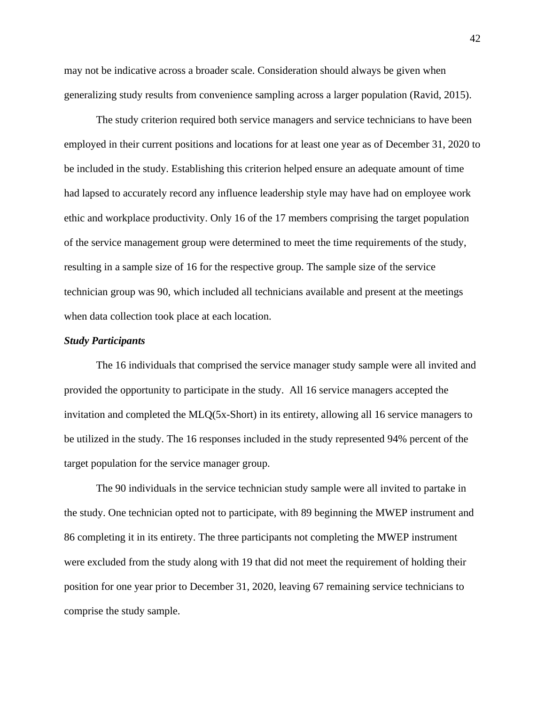may not be indicative across a broader scale. Consideration should always be given when generalizing study results from convenience sampling across a larger population (Ravid, 2015).

The study criterion required both service managers and service technicians to have been employed in their current positions and locations for at least one year as of December 31, 2020 to be included in the study. Establishing this criterion helped ensure an adequate amount of time had lapsed to accurately record any influence leadership style may have had on employee work ethic and workplace productivity. Only 16 of the 17 members comprising the target population of the service management group were determined to meet the time requirements of the study, resulting in a sample size of 16 for the respective group. The sample size of the service technician group was 90, which included all technicians available and present at the meetings when data collection took place at each location.

#### *Study Participants*

The 16 individuals that comprised the service manager study sample were all invited and provided the opportunity to participate in the study. All 16 service managers accepted the invitation and completed the MLQ(5x-Short) in its entirety, allowing all 16 service managers to be utilized in the study. The 16 responses included in the study represented 94% percent of the target population for the service manager group.

The 90 individuals in the service technician study sample were all invited to partake in the study. One technician opted not to participate, with 89 beginning the MWEP instrument and 86 completing it in its entirety. The three participants not completing the MWEP instrument were excluded from the study along with 19 that did not meet the requirement of holding their position for one year prior to December 31, 2020, leaving 67 remaining service technicians to comprise the study sample.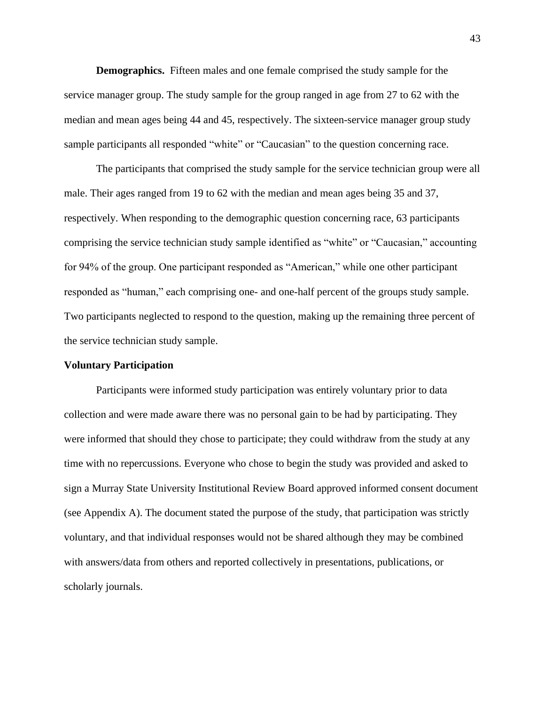**Demographics.** Fifteen males and one female comprised the study sample for the service manager group. The study sample for the group ranged in age from 27 to 62 with the median and mean ages being 44 and 45, respectively. The sixteen-service manager group study sample participants all responded "white" or "Caucasian" to the question concerning race.

The participants that comprised the study sample for the service technician group were all male. Their ages ranged from 19 to 62 with the median and mean ages being 35 and 37, respectively. When responding to the demographic question concerning race, 63 participants comprising the service technician study sample identified as "white" or "Caucasian," accounting for 94% of the group. One participant responded as "American," while one other participant responded as "human," each comprising one- and one-half percent of the groups study sample. Two participants neglected to respond to the question, making up the remaining three percent of the service technician study sample.

### **Voluntary Participation**

Participants were informed study participation was entirely voluntary prior to data collection and were made aware there was no personal gain to be had by participating. They were informed that should they chose to participate; they could withdraw from the study at any time with no repercussions. Everyone who chose to begin the study was provided and asked to sign a Murray State University Institutional Review Board approved informed consent document (see Appendix A). The document stated the purpose of the study, that participation was strictly voluntary, and that individual responses would not be shared although they may be combined with answers/data from others and reported collectively in presentations, publications, or scholarly journals.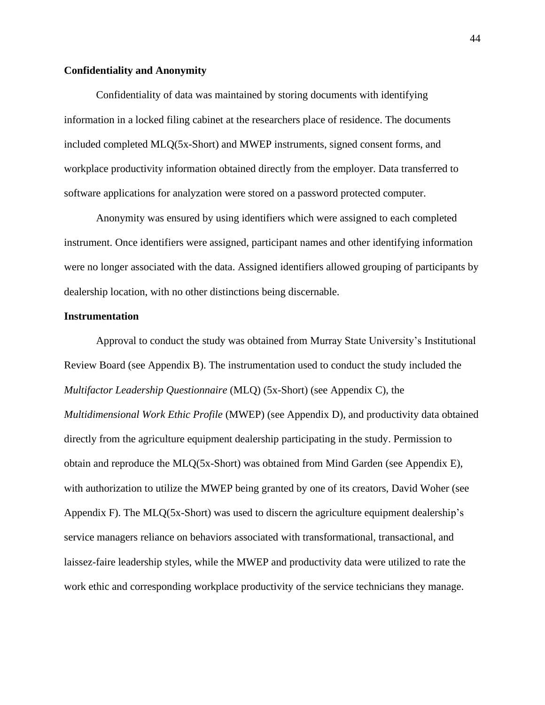## **Confidentiality and Anonymity**

Confidentiality of data was maintained by storing documents with identifying information in a locked filing cabinet at the researchers place of residence. The documents included completed MLQ(5x-Short) and MWEP instruments, signed consent forms, and workplace productivity information obtained directly from the employer. Data transferred to software applications for analyzation were stored on a password protected computer.

Anonymity was ensured by using identifiers which were assigned to each completed instrument. Once identifiers were assigned, participant names and other identifying information were no longer associated with the data. Assigned identifiers allowed grouping of participants by dealership location, with no other distinctions being discernable.

### **Instrumentation**

Approval to conduct the study was obtained from Murray State University's Institutional Review Board (see Appendix B). The instrumentation used to conduct the study included the *Multifactor Leadership Questionnaire* (MLQ) (5x-Short) (see Appendix C), the *Multidimensional Work Ethic Profile* (MWEP) (see Appendix D), and productivity data obtained directly from the agriculture equipment dealership participating in the study. Permission to obtain and reproduce the MLQ(5x-Short) was obtained from Mind Garden (see Appendix E), with authorization to utilize the MWEP being granted by one of its creators, David Woher (see Appendix F). The MLQ(5x-Short) was used to discern the agriculture equipment dealership's service managers reliance on behaviors associated with transformational, transactional, and laissez-faire leadership styles, while the MWEP and productivity data were utilized to rate the work ethic and corresponding workplace productivity of the service technicians they manage.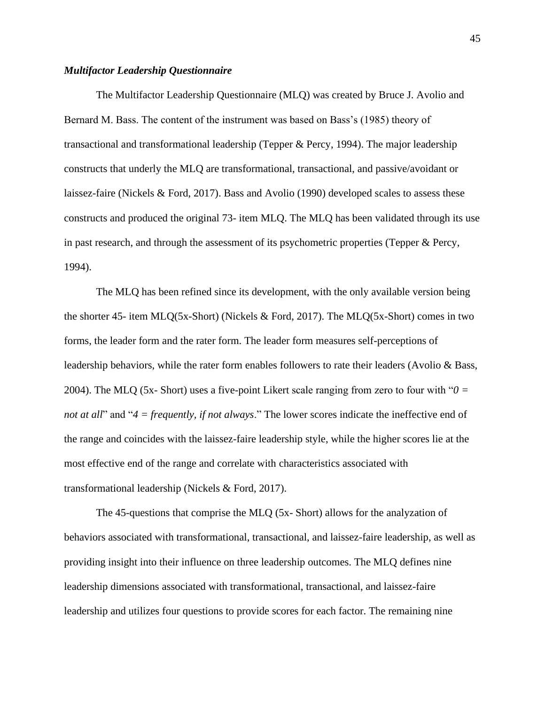## *Multifactor Leadership Questionnaire*

The Multifactor Leadership Questionnaire (MLQ) was created by Bruce J. Avolio and Bernard M. Bass. The content of the instrument was based on Bass's (1985) theory of transactional and transformational leadership (Tepper & Percy, 1994). The major leadership constructs that underly the MLQ are transformational, transactional, and passive/avoidant or laissez-faire (Nickels & Ford, 2017). Bass and Avolio (1990) developed scales to assess these constructs and produced the original 73- item MLQ. The MLQ has been validated through its use in past research, and through the assessment of its psychometric properties (Tepper & Percy, 1994).

The MLQ has been refined since its development, with the only available version being the shorter 45- item MLQ(5x-Short) (Nickels & Ford, 2017). The MLQ(5x-Short) comes in two forms, the leader form and the rater form. The leader form measures self-perceptions of leadership behaviors, while the rater form enables followers to rate their leaders (Avolio & Bass, 2004). The MLQ (5x- Short) uses a five-point Likert scale ranging from zero to four with "*0 = not at all*" and "*4 = frequently, if not always*." The lower scores indicate the ineffective end of the range and coincides with the laissez-faire leadership style, while the higher scores lie at the most effective end of the range and correlate with characteristics associated with transformational leadership (Nickels & Ford, 2017).

The 45-questions that comprise the MLQ (5x- Short) allows for the analyzation of behaviors associated with transformational, transactional, and laissez-faire leadership, as well as providing insight into their influence on three leadership outcomes. The MLQ defines nine leadership dimensions associated with transformational, transactional, and laissez-faire leadership and utilizes four questions to provide scores for each factor. The remaining nine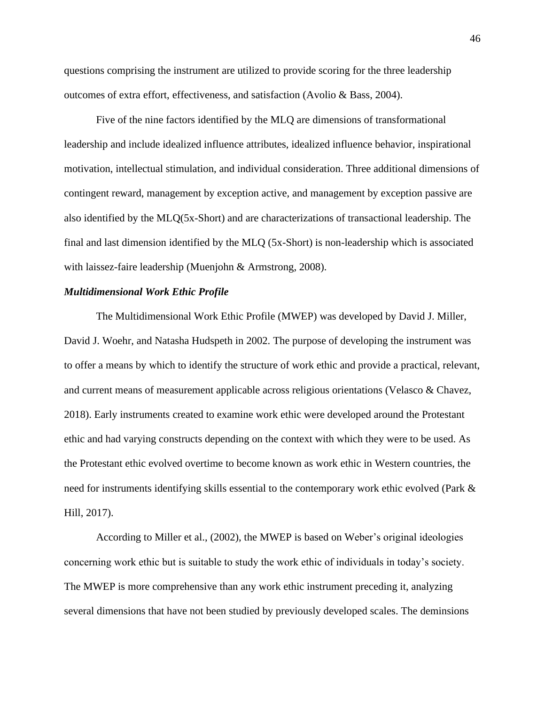questions comprising the instrument are utilized to provide scoring for the three leadership outcomes of extra effort, effectiveness, and satisfaction (Avolio & Bass, 2004).

Five of the nine factors identified by the MLQ are dimensions of transformational leadership and include idealized influence attributes, idealized influence behavior, inspirational motivation, intellectual stimulation, and individual consideration. Three additional dimensions of contingent reward, management by exception active, and management by exception passive are also identified by the MLQ(5x-Short) and are characterizations of transactional leadership. The final and last dimension identified by the MLQ (5x-Short) is non-leadership which is associated with laissez-faire leadership (Muenjohn & Armstrong, 2008).

#### *Multidimensional Work Ethic Profile*

The Multidimensional Work Ethic Profile (MWEP) was developed by David J. Miller, David J. Woehr, and Natasha Hudspeth in 2002. The purpose of developing the instrument was to offer a means by which to identify the structure of work ethic and provide a practical, relevant, and current means of measurement applicable across religious orientations (Velasco & Chavez, 2018). Early instruments created to examine work ethic were developed around the Protestant ethic and had varying constructs depending on the context with which they were to be used. As the Protestant ethic evolved overtime to become known as work ethic in Western countries, the need for instruments identifying skills essential to the contemporary work ethic evolved (Park & Hill, 2017).

According to Miller et al., (2002), the MWEP is based on Weber's original ideologies concerning work ethic but is suitable to study the work ethic of individuals in today's society. The MWEP is more comprehensive than any work ethic instrument preceding it, analyzing several dimensions that have not been studied by previously developed scales. The deminsions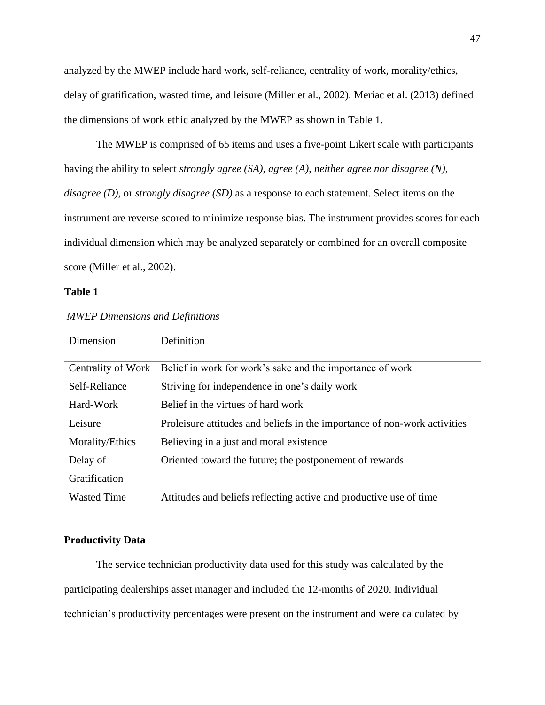analyzed by the MWEP include hard work, self-reliance, centrality of work, morality/ethics, delay of gratification, wasted time, and leisure (Miller et al., 2002). Meriac et al. (2013) defined the dimensions of work ethic analyzed by the MWEP as shown in Table 1.

The MWEP is comprised of 65 items and uses a five-point Likert scale with participants having the ability to select *strongly agree (SA)*, *agree (A)*, *neither agree nor disagree (N)*, *disagree (D)*, or *strongly disagree (SD)* as a response to each statement. Select items on the instrument are reverse scored to minimize response bias. The instrument provides scores for each individual dimension which may be analyzed separately or combined for an overall composite score (Miller et al., 2002).

## **Table 1**

| Centrality of Work | Belief in work for work's sake and the importance of work                 |
|--------------------|---------------------------------------------------------------------------|
| Self-Reliance      | Striving for independence in one's daily work                             |
| Hard-Work          | Belief in the virtues of hard work                                        |
| Leisure            | Proleisure attitudes and beliefs in the importance of non-work activities |
| Morality/Ethics    | Believing in a just and moral existence                                   |
| Delay of           | Oriented toward the future; the postponement of rewards                   |
| Gratification      |                                                                           |
| <b>Wasted Time</b> | Attitudes and beliefs reflecting active and productive use of time        |

# *MWEP Dimensions and Definitions*

Dimension Definition

#### **Productivity Data**

The service technician productivity data used for this study was calculated by the participating dealerships asset manager and included the 12-months of 2020. Individual technician's productivity percentages were present on the instrument and were calculated by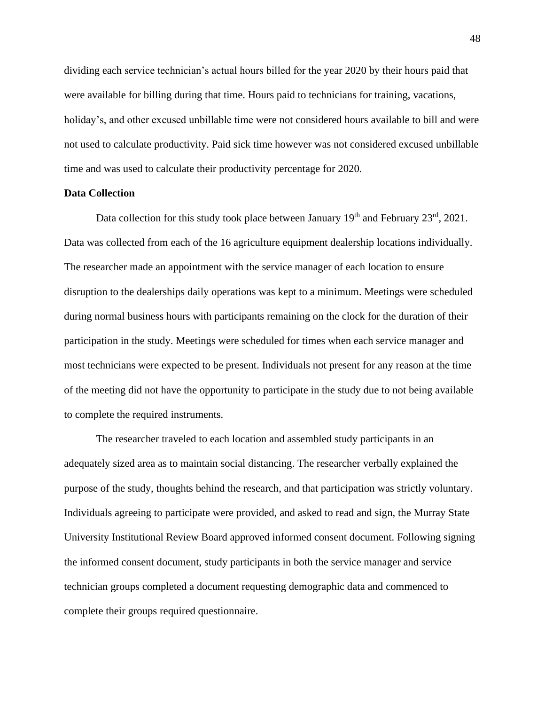dividing each service technician's actual hours billed for the year 2020 by their hours paid that were available for billing during that time. Hours paid to technicians for training, vacations, holiday's, and other excused unbillable time were not considered hours available to bill and were not used to calculate productivity. Paid sick time however was not considered excused unbillable time and was used to calculate their productivity percentage for 2020.

## **Data Collection**

Data collection for this study took place between January  $19<sup>th</sup>$  and February  $23<sup>rd</sup>$ ,  $2021$ . Data was collected from each of the 16 agriculture equipment dealership locations individually. The researcher made an appointment with the service manager of each location to ensure disruption to the dealerships daily operations was kept to a minimum. Meetings were scheduled during normal business hours with participants remaining on the clock for the duration of their participation in the study. Meetings were scheduled for times when each service manager and most technicians were expected to be present. Individuals not present for any reason at the time of the meeting did not have the opportunity to participate in the study due to not being available to complete the required instruments.

The researcher traveled to each location and assembled study participants in an adequately sized area as to maintain social distancing. The researcher verbally explained the purpose of the study, thoughts behind the research, and that participation was strictly voluntary. Individuals agreeing to participate were provided, and asked to read and sign, the Murray State University Institutional Review Board approved informed consent document. Following signing the informed consent document, study participants in both the service manager and service technician groups completed a document requesting demographic data and commenced to complete their groups required questionnaire.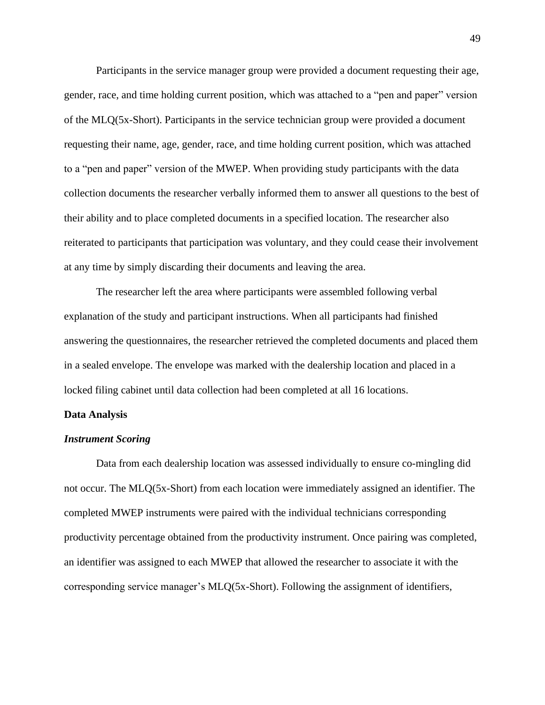Participants in the service manager group were provided a document requesting their age, gender, race, and time holding current position, which was attached to a "pen and paper" version of the MLQ(5x-Short). Participants in the service technician group were provided a document requesting their name, age, gender, race, and time holding current position, which was attached to a "pen and paper" version of the MWEP. When providing study participants with the data collection documents the researcher verbally informed them to answer all questions to the best of their ability and to place completed documents in a specified location. The researcher also reiterated to participants that participation was voluntary, and they could cease their involvement at any time by simply discarding their documents and leaving the area.

The researcher left the area where participants were assembled following verbal explanation of the study and participant instructions. When all participants had finished answering the questionnaires, the researcher retrieved the completed documents and placed them in a sealed envelope. The envelope was marked with the dealership location and placed in a locked filing cabinet until data collection had been completed at all 16 locations.

#### **Data Analysis**

#### *Instrument Scoring*

Data from each dealership location was assessed individually to ensure co-mingling did not occur. The MLQ(5x-Short) from each location were immediately assigned an identifier. The completed MWEP instruments were paired with the individual technicians corresponding productivity percentage obtained from the productivity instrument. Once pairing was completed, an identifier was assigned to each MWEP that allowed the researcher to associate it with the corresponding service manager's MLQ(5x-Short). Following the assignment of identifiers,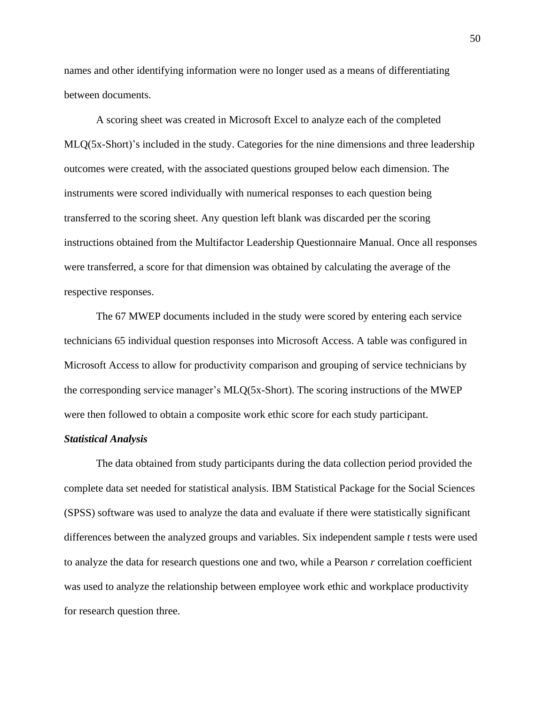names and other identifying information were no longer used as a means of differentiating between documents.

A scoring sheet was created in Microsoft Excel to analyze each of the completed MLQ(5x-Short)'s included in the study. Categories for the nine dimensions and three leadership outcomes were created, with the associated questions grouped below each dimension. The instruments were scored individually with numerical responses to each question being transferred to the scoring sheet. Any question left blank was discarded per the scoring instructions obtained from the Multifactor Leadership Questionnaire Manual. Once all responses were transferred, a score for that dimension was obtained by calculating the average of the respective responses.

The 67 MWEP documents included in the study were scored by entering each service technicians 65 individual question responses into Microsoft Access. A table was configured in Microsoft Access to allow for productivity comparison and grouping of service technicians by the corresponding service manager's MLQ(5x-Short). The scoring instructions of the MWEP were then followed to obtain a composite work ethic score for each study participant.

## *Statistical Analysis*

The data obtained from study participants during the data collection period provided the complete data set needed for statistical analysis. IBM Statistical Package for the Social Sciences (SPSS) software was used to analyze the data and evaluate if there were statistically significant differences between the analyzed groups and variables. Six independent sample *t* tests were used to analyze the data for research questions one and two, while a Pearson *r* correlation coefficient was used to analyze the relationship between employee work ethic and workplace productivity for research question three.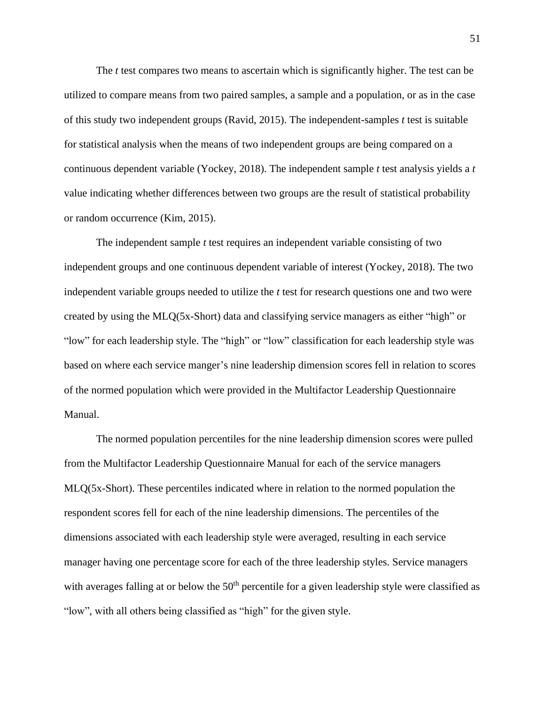The *t* test compares two means to ascertain which is significantly higher. The test can be utilized to compare means from two paired samples, a sample and a population, or as in the case of this study two independent groups (Ravid, 2015). The independent-samples *t* test is suitable for statistical analysis when the means of two independent groups are being compared on a continuous dependent variable (Yockey, 2018). The independent sample *t* test analysis yields a *t* value indicating whether differences between two groups are the result of statistical probability or random occurrence (Kim, 2015).

The independent sample *t* test requires an independent variable consisting of two independent groups and one continuous dependent variable of interest (Yockey, 2018). The two independent variable groups needed to utilize the *t* test for research questions one and two were created by using the MLQ(5x-Short) data and classifying service managers as either "high" or "low" for each leadership style. The "high" or "low" classification for each leadership style was based on where each service manger's nine leadership dimension scores fell in relation to scores of the normed population which were provided in the Multifactor Leadership Questionnaire Manual.

The normed population percentiles for the nine leadership dimension scores were pulled from the Multifactor Leadership Questionnaire Manual for each of the service managers MLQ(5x-Short). These percentiles indicated where in relation to the normed population the respondent scores fell for each of the nine leadership dimensions. The percentiles of the dimensions associated with each leadership style were averaged, resulting in each service manager having one percentage score for each of the three leadership styles. Service managers with averages falling at or below the  $50<sup>th</sup>$  percentile for a given leadership style were classified as "low", with all others being classified as "high" for the given style.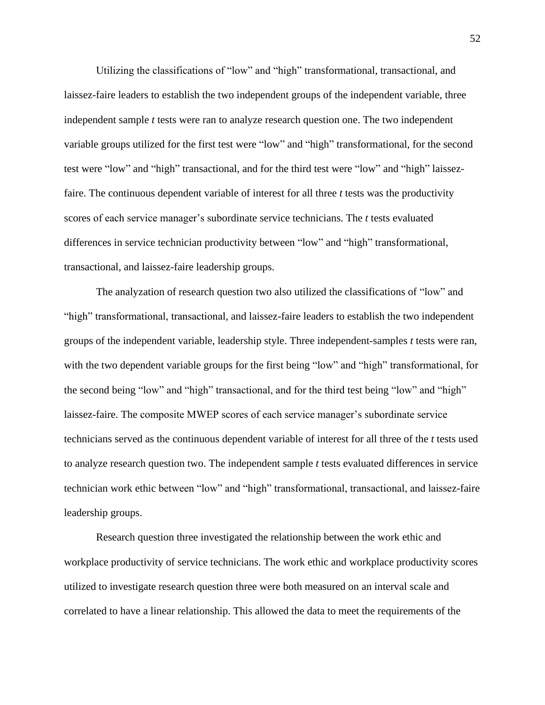Utilizing the classifications of "low" and "high" transformational, transactional, and laissez-faire leaders to establish the two independent groups of the independent variable, three independent sample *t* tests were ran to analyze research question one. The two independent variable groups utilized for the first test were "low" and "high" transformational, for the second test were "low" and "high" transactional, and for the third test were "low" and "high" laissezfaire. The continuous dependent variable of interest for all three *t* tests was the productivity scores of each service manager's subordinate service technicians. The *t* tests evaluated differences in service technician productivity between "low" and "high" transformational, transactional, and laissez-faire leadership groups.

The analyzation of research question two also utilized the classifications of "low" and "high" transformational, transactional, and laissez-faire leaders to establish the two independent groups of the independent variable, leadership style. Three independent-samples *t* tests were ran, with the two dependent variable groups for the first being "low" and "high" transformational, for the second being "low" and "high" transactional, and for the third test being "low" and "high" laissez-faire. The composite MWEP scores of each service manager's subordinate service technicians served as the continuous dependent variable of interest for all three of the *t* tests used to analyze research question two. The independent sample *t* tests evaluated differences in service technician work ethic between "low" and "high" transformational, transactional, and laissez-faire leadership groups.

Research question three investigated the relationship between the work ethic and workplace productivity of service technicians. The work ethic and workplace productivity scores utilized to investigate research question three were both measured on an interval scale and correlated to have a linear relationship. This allowed the data to meet the requirements of the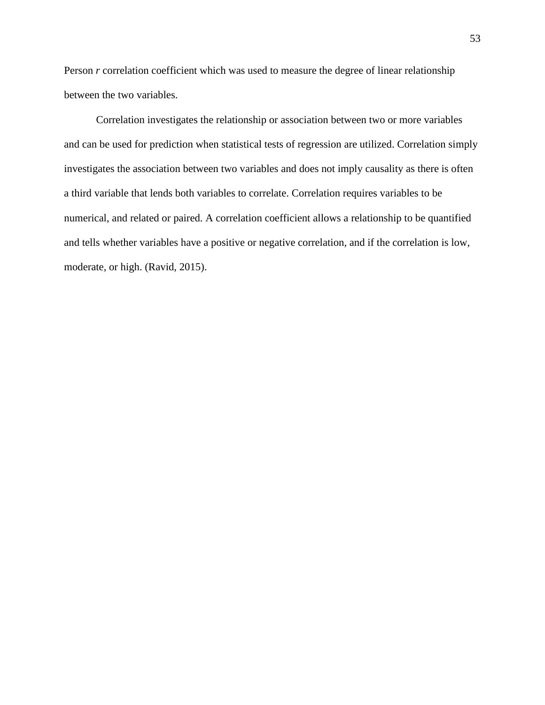Person *r* correlation coefficient which was used to measure the degree of linear relationship between the two variables.

Correlation investigates the relationship or association between two or more variables and can be used for prediction when statistical tests of regression are utilized. Correlation simply investigates the association between two variables and does not imply causality as there is often a third variable that lends both variables to correlate. Correlation requires variables to be numerical, and related or paired. A correlation coefficient allows a relationship to be quantified and tells whether variables have a positive or negative correlation, and if the correlation is low, moderate, or high. (Ravid, 2015).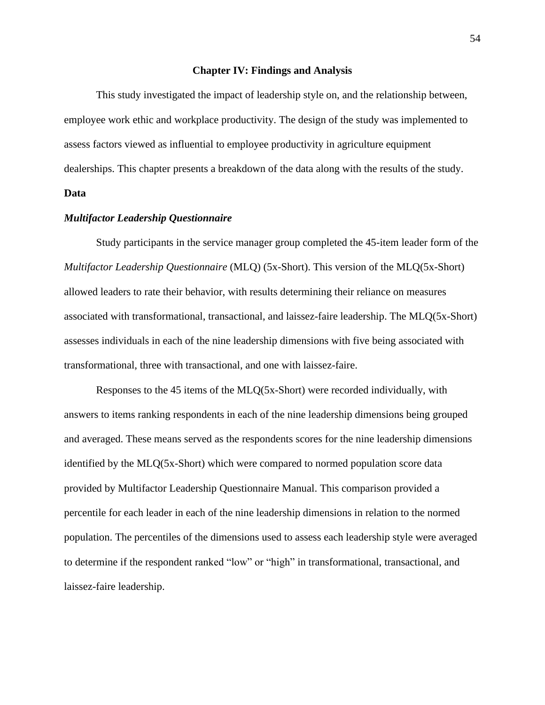#### **Chapter IV: Findings and Analysis**

This study investigated the impact of leadership style on, and the relationship between, employee work ethic and workplace productivity. The design of the study was implemented to assess factors viewed as influential to employee productivity in agriculture equipment dealerships. This chapter presents a breakdown of the data along with the results of the study.

# **Data**

#### *Multifactor Leadership Questionnaire*

Study participants in the service manager group completed the 45-item leader form of the *Multifactor Leadership Questionnaire* (MLQ) (5x-Short). This version of the MLQ(5x-Short) allowed leaders to rate their behavior, with results determining their reliance on measures associated with transformational, transactional, and laissez-faire leadership. The MLQ(5x-Short) assesses individuals in each of the nine leadership dimensions with five being associated with transformational, three with transactional, and one with laissez-faire.

Responses to the 45 items of the MLQ(5x-Short) were recorded individually, with answers to items ranking respondents in each of the nine leadership dimensions being grouped and averaged. These means served as the respondents scores for the nine leadership dimensions identified by the MLQ(5x-Short) which were compared to normed population score data provided by Multifactor Leadership Questionnaire Manual. This comparison provided a percentile for each leader in each of the nine leadership dimensions in relation to the normed population. The percentiles of the dimensions used to assess each leadership style were averaged to determine if the respondent ranked "low" or "high" in transformational, transactional, and laissez-faire leadership.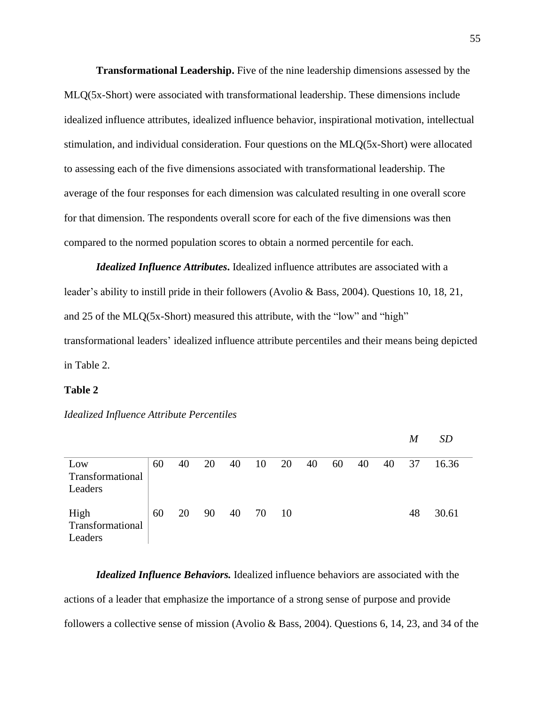**Transformational Leadership.** Five of the nine leadership dimensions assessed by the MLQ(5x-Short) were associated with transformational leadership. These dimensions include idealized influence attributes, idealized influence behavior, inspirational motivation, intellectual stimulation, and individual consideration. Four questions on the MLQ(5x-Short) were allocated to assessing each of the five dimensions associated with transformational leadership. The average of the four responses for each dimension was calculated resulting in one overall score for that dimension. The respondents overall score for each of the five dimensions was then compared to the normed population scores to obtain a normed percentile for each.

*Idealized Influence Attributes***.** Idealized influence attributes are associated with a leader's ability to instill pride in their followers (Avolio & Bass, 2004). Questions 10, 18, 21, and 25 of the MLQ(5x-Short) measured this attribute, with the "low" and "high" transformational leaders' idealized influence attribute percentiles and their means being depicted in Table 2.

#### **Table 2**

*Idealized Influence Attribute Percentiles* 

|                  |    |    |    |    |     |     |    |    |    |    | IИ | ΩD    |
|------------------|----|----|----|----|-----|-----|----|----|----|----|----|-------|
|                  |    |    |    |    |     |     |    |    |    |    |    |       |
| Low              | 60 | 40 | 20 | 40 | -10 | 20  | 40 | 60 | 40 | 40 | 37 | 16.36 |
| Transformational |    |    |    |    |     |     |    |    |    |    |    |       |
| Leaders          |    |    |    |    |     |     |    |    |    |    |    |       |
|                  |    |    |    |    |     |     |    |    |    |    |    |       |
| High             | 60 | 20 | 90 | 40 | 70  | -10 |    |    |    |    | 48 | 30.61 |
| Transformational |    |    |    |    |     |     |    |    |    |    |    |       |
| Leaders          |    |    |    |    |     |     |    |    |    |    |    |       |

*Idealized Influence Behaviors.* Idealized influence behaviors are associated with the actions of a leader that emphasize the importance of a strong sense of purpose and provide followers a collective sense of mission (Avolio & Bass, 2004). Questions 6, 14, 23, and 34 of the

 $M$  *CD*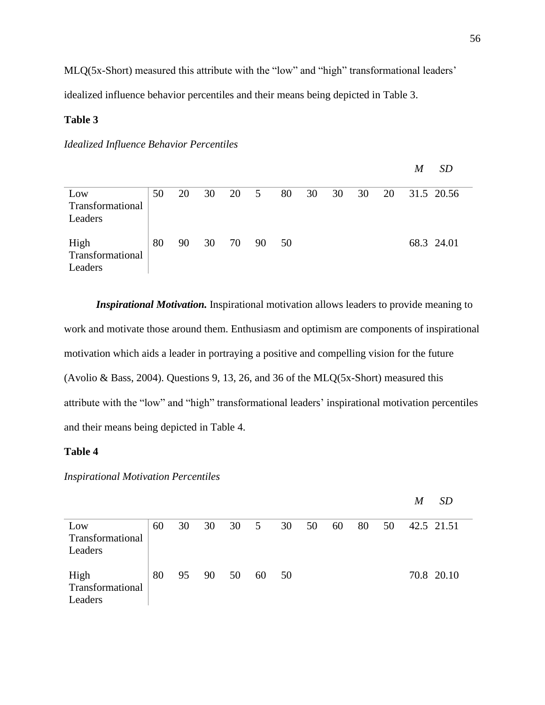MLQ(5x-Short) measured this attribute with the "low" and "high" transformational leaders' idealized influence behavior percentiles and their means being depicted in Table 3.

# **Table 3**

# *Idealized Influence Behavior Percentiles*

|                                     |    |    |    |      |    |    |    |    |    |    | M | <i>SD</i>  |
|-------------------------------------|----|----|----|------|----|----|----|----|----|----|---|------------|
| Low<br>Transformational<br>Leaders  | 50 | 20 | 30 | 20 5 |    | 80 | 30 | 30 | 30 | 20 |   | 31.5 20.56 |
| High<br>Transformational<br>Leaders | 80 | 90 | 30 | -70  | 90 | 50 |    |    |    |    |   | 68.3 24.01 |

*Inspirational Motivation.* Inspirational motivation allows leaders to provide meaning to work and motivate those around them. Enthusiasm and optimism are components of inspirational motivation which aids a leader in portraying a positive and compelling vision for the future (Avolio & Bass, 2004). Questions 9, 13, 26, and 36 of the MLQ(5x-Short) measured this attribute with the "low" and "high" transformational leaders' inspirational motivation percentiles and their means being depicted in Table 4.

## **Table 4**

*Inspirational Motivation Percentiles* 

|                                     |    |    |          |         |       |    |    |    |    |    | M | <i>SD</i>  |
|-------------------------------------|----|----|----------|---------|-------|----|----|----|----|----|---|------------|
| Low<br>Transformational<br>Leaders  | 60 | 30 |          | 30 30 5 |       | 30 | 50 | 60 | 80 | 50 |   | 42.5 21.51 |
| High<br>Transformational<br>Leaders | 80 |    | 95 90 50 |         | 60 50 |    |    |    |    |    |   | 70.8 20.10 |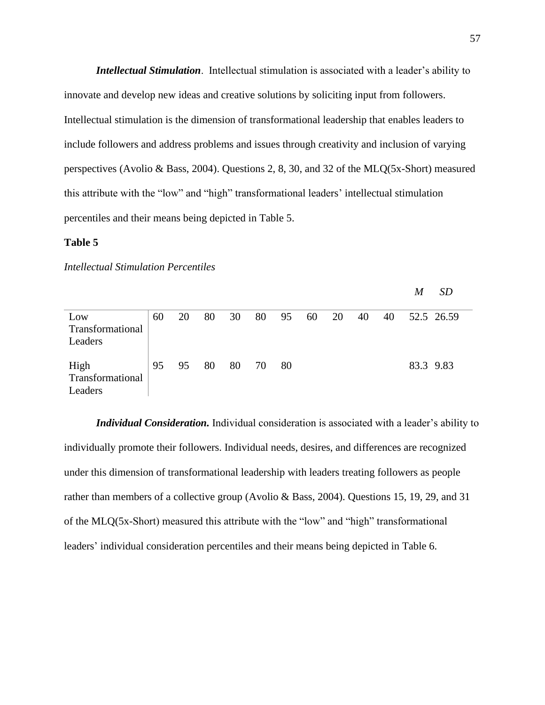*Intellectual Stimulation*. Intellectual stimulation is associated with a leader's ability to innovate and develop new ideas and creative solutions by soliciting input from followers. Intellectual stimulation is the dimension of transformational leadership that enables leaders to include followers and address problems and issues through creativity and inclusion of varying perspectives (Avolio & Bass, 2004). Questions 2, 8, 30, and 32 of the MLQ(5x-Short) measured this attribute with the "low" and "high" transformational leaders' intellectual stimulation percentiles and their means being depicted in Table 5.

#### **Table 5**

### *Intellectual Stimulation Percentiles*

|                                     |    |    |    |    |    |    |    |    |    |    | M         | <i>SD</i>  |
|-------------------------------------|----|----|----|----|----|----|----|----|----|----|-----------|------------|
| Low<br>Transformational<br>Leaders  | 60 | 20 | 80 | 30 | 80 | 95 | 60 | 20 | 40 | 40 |           | 52.5 26.59 |
| High<br>Transformational<br>Leaders | 95 | 95 | 80 | 80 | 70 | 80 |    |    |    |    | 83.3 9.83 |            |

*Individual Consideration.* Individual consideration is associated with a leader's ability to individually promote their followers. Individual needs, desires, and differences are recognized under this dimension of transformational leadership with leaders treating followers as people rather than members of a collective group (Avolio & Bass, 2004). Questions 15, 19, 29, and 31 of the MLQ(5x-Short) measured this attribute with the "low" and "high" transformational leaders' individual consideration percentiles and their means being depicted in Table 6.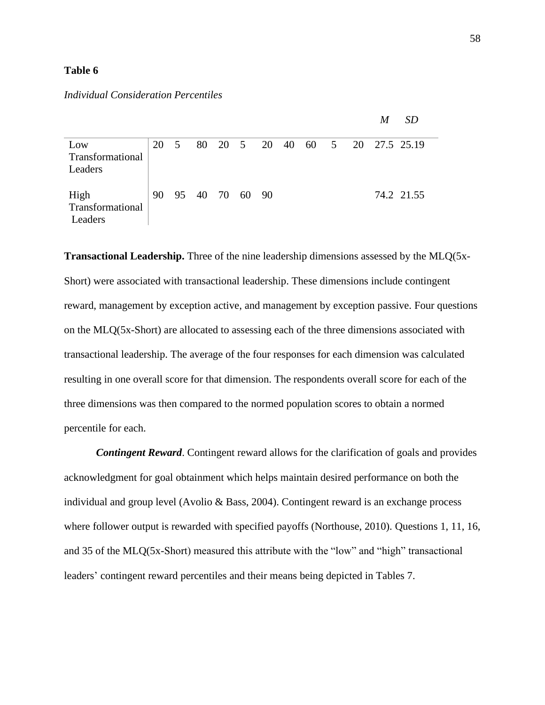## **Table 6**

# *Individual Consideration Percentiles*

|                                     |    |                |                |  |  |  | M | <i>SD</i>                        |  |
|-------------------------------------|----|----------------|----------------|--|--|--|---|----------------------------------|--|
| Low<br>Transformational<br>Leaders  | 20 | $5\phantom{0}$ |                |  |  |  |   | 80 20 5 20 40 60 5 20 27.5 25.19 |  |
| High<br>Transformational<br>Leaders | 90 |                | 95 40 70 60 90 |  |  |  |   | 74.2 21.55                       |  |

**Transactional Leadership.** Three of the nine leadership dimensions assessed by the MLQ(5x-Short) were associated with transactional leadership. These dimensions include contingent reward, management by exception active, and management by exception passive. Four questions on the MLQ(5x-Short) are allocated to assessing each of the three dimensions associated with transactional leadership. The average of the four responses for each dimension was calculated resulting in one overall score for that dimension. The respondents overall score for each of the three dimensions was then compared to the normed population scores to obtain a normed percentile for each.

*Contingent Reward*. Contingent reward allows for the clarification of goals and provides acknowledgment for goal obtainment which helps maintain desired performance on both the individual and group level (Avolio & Bass, 2004). Contingent reward is an exchange process where follower output is rewarded with specified payoffs (Northouse, 2010). Questions 1, 11, 16, and 35 of the MLQ(5x-Short) measured this attribute with the "low" and "high" transactional leaders' contingent reward percentiles and their means being depicted in Tables 7.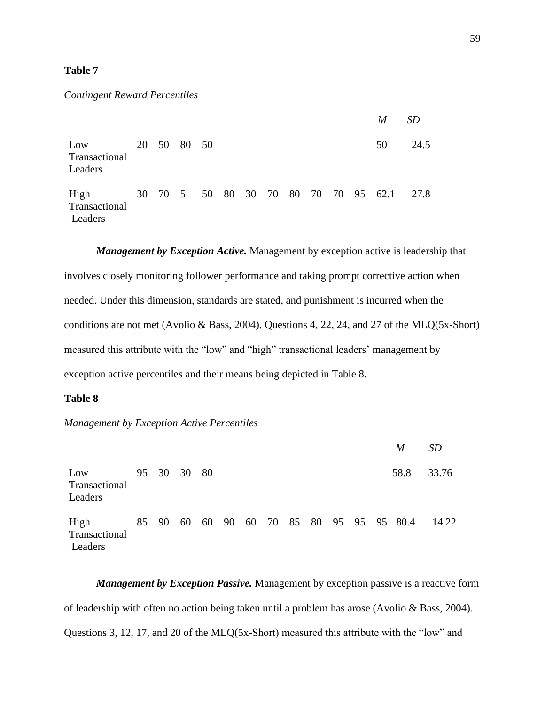# **Table 7**

# *Contingent Reward Percentiles*

|                                  |    |          |  |  |  |  | M                                 | <i>SD</i> |
|----------------------------------|----|----------|--|--|--|--|-----------------------------------|-----------|
| Low                              | 20 | 50 80 50 |  |  |  |  | 50                                | 24.5      |
| Transactional<br>Leaders         |    |          |  |  |  |  |                                   |           |
| High<br>Transactional<br>Leaders | 30 |          |  |  |  |  | 70 5 50 80 30 70 80 70 70 95 62.1 | 27.8      |

*Management by Exception Active.* Management by exception active is leadership that involves closely monitoring follower performance and taking prompt corrective action when needed. Under this dimension, standards are stated, and punishment is incurred when the conditions are not met (Avolio & Bass, 2004). Questions 4, 22, 24, and 27 of the MLQ(5x-Short) measured this attribute with the "low" and "high" transactional leaders' management by exception active percentiles and their means being depicted in Table 8.

## **Table 8**

*Management by Exception Active Percentiles*

|                                  |             |  |  |  |  |  | M                                        | <i>SD</i> |
|----------------------------------|-------------|--|--|--|--|--|------------------------------------------|-----------|
| Low<br>Transactional<br>Leaders  | 95 30 30 80 |  |  |  |  |  | 58.8                                     | 33.76     |
| High<br>Transactional<br>Leaders |             |  |  |  |  |  | 85 90 60 60 90 60 70 85 80 95 95 95 80.4 | 14.22     |

*Management by Exception Passive.* Management by exception passive is a reactive form of leadership with often no action being taken until a problem has arose (Avolio & Bass, 2004). Questions 3, 12, 17, and 20 of the MLQ(5x-Short) measured this attribute with the "low" and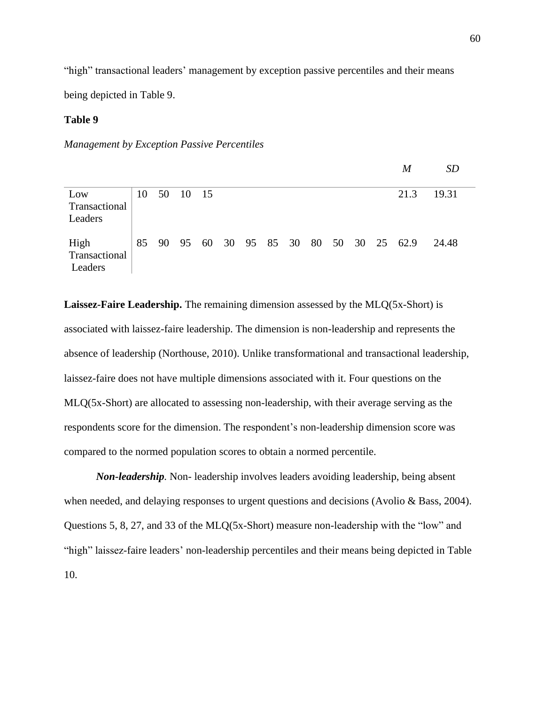"high" transactional leaders' management by exception passive percentiles and their means

being depicted in Table 9.

# **Table 9**

*Management by Exception Passive Percentiles*

|                                  |  |             |  |  |  |  | $\boldsymbol{M}$                         | SD    |
|----------------------------------|--|-------------|--|--|--|--|------------------------------------------|-------|
| Low<br>Transactional<br>Leaders  |  | 10 50 10 15 |  |  |  |  | 21.3                                     | 19.31 |
| High<br>Transactional<br>Leaders |  |             |  |  |  |  | 85 90 95 60 30 95 85 30 80 50 30 25 62.9 | 24.48 |

**Laissez-Faire Leadership.** The remaining dimension assessed by the MLQ(5x-Short) is associated with laissez-faire leadership. The dimension is non-leadership and represents the absence of leadership (Northouse, 2010). Unlike transformational and transactional leadership, laissez-faire does not have multiple dimensions associated with it. Four questions on the MLQ(5x-Short) are allocated to assessing non-leadership, with their average serving as the respondents score for the dimension. The respondent's non-leadership dimension score was compared to the normed population scores to obtain a normed percentile.

*Non-leadership.* Non- leadership involves leaders avoiding leadership, being absent when needed, and delaying responses to urgent questions and decisions (Avolio & Bass, 2004). Questions 5, 8, 27, and 33 of the MLQ(5x-Short) measure non-leadership with the "low" and "high" laissez-faire leaders' non-leadership percentiles and their means being depicted in Table 10.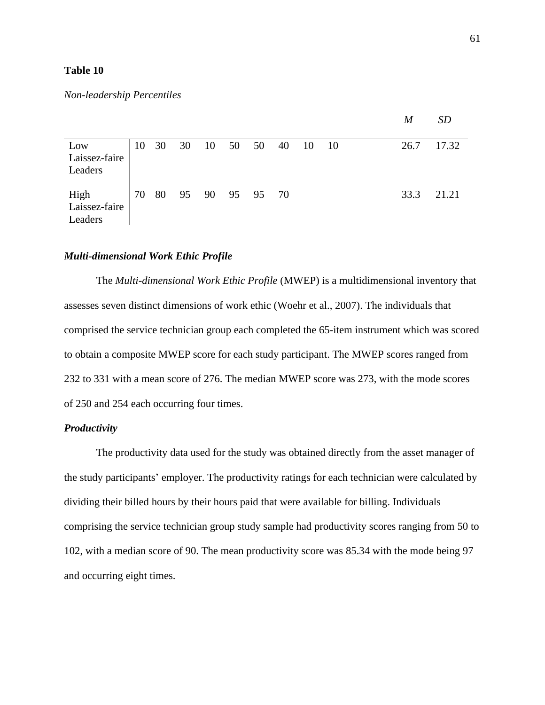## **Table 10**

## *Non-leadership Percentiles*

|               |    |    |    |       |                |    |     |     | M    | <b>SD</b> |
|---------------|----|----|----|-------|----------------|----|-----|-----|------|-----------|
|               |    |    |    |       |                |    |     |     |      |           |
| Low           | 10 | 30 | 30 | 10 50 | 50             | 40 | -10 | -10 | 26.7 | 17.32     |
| Laissez-faire |    |    |    |       |                |    |     |     |      |           |
| Leaders       |    |    |    |       |                |    |     |     |      |           |
|               |    |    |    |       |                |    |     |     |      |           |
| High          | 70 | 80 |    |       | 95 90 95 95 70 |    |     |     | 33.3 | 21.21     |
| Laissez-faire |    |    |    |       |                |    |     |     |      |           |
| Leaders       |    |    |    |       |                |    |     |     |      |           |

## *Multi-dimensional Work Ethic Profile*

The *Multi-dimensional Work Ethic Profile* (MWEP) is a multidimensional inventory that assesses seven distinct dimensions of work ethic (Woehr et al., 2007). The individuals that comprised the service technician group each completed the 65-item instrument which was scored to obtain a composite MWEP score for each study participant. The MWEP scores ranged from 232 to 331 with a mean score of 276. The median MWEP score was 273, with the mode scores of 250 and 254 each occurring four times.

## *Productivity*

The productivity data used for the study was obtained directly from the asset manager of the study participants' employer. The productivity ratings for each technician were calculated by dividing their billed hours by their hours paid that were available for billing. Individuals comprising the service technician group study sample had productivity scores ranging from 50 to 102, with a median score of 90. The mean productivity score was 85.34 with the mode being 97 and occurring eight times.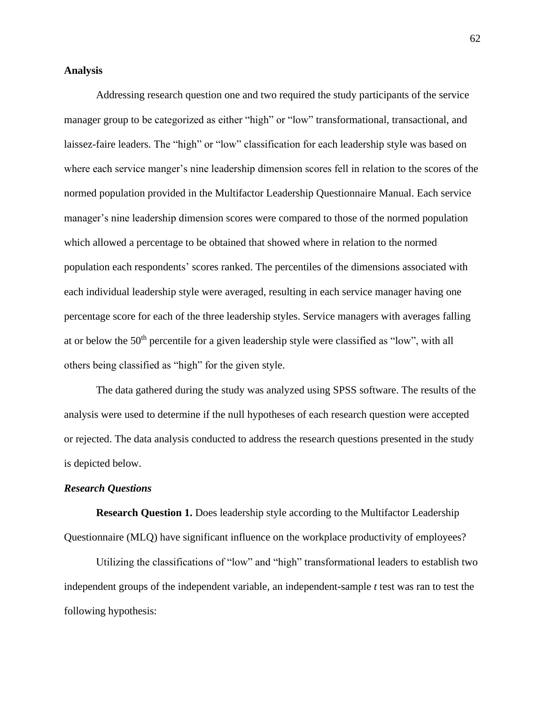# **Analysis**

Addressing research question one and two required the study participants of the service manager group to be categorized as either "high" or "low" transformational, transactional, and laissez-faire leaders. The "high" or "low" classification for each leadership style was based on where each service manger's nine leadership dimension scores fell in relation to the scores of the normed population provided in the Multifactor Leadership Questionnaire Manual. Each service manager's nine leadership dimension scores were compared to those of the normed population which allowed a percentage to be obtained that showed where in relation to the normed population each respondents' scores ranked. The percentiles of the dimensions associated with each individual leadership style were averaged, resulting in each service manager having one percentage score for each of the three leadership styles. Service managers with averages falling at or below the 50<sup>th</sup> percentile for a given leadership style were classified as "low", with all others being classified as "high" for the given style.

The data gathered during the study was analyzed using SPSS software. The results of the analysis were used to determine if the null hypotheses of each research question were accepted or rejected. The data analysis conducted to address the research questions presented in the study is depicted below.

### *Research Questions*

**Research Question 1.** Does leadership style according to the Multifactor Leadership Questionnaire (MLQ) have significant influence on the workplace productivity of employees?

Utilizing the classifications of "low" and "high" transformational leaders to establish two independent groups of the independent variable, an independent-sample *t* test was ran to test the following hypothesis: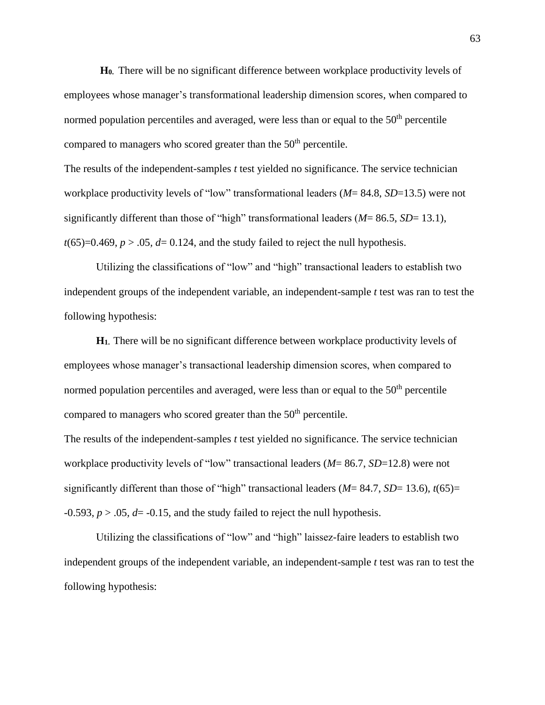**H0.** There will be no significant difference between workplace productivity levels of employees whose manager's transformational leadership dimension scores, when compared to normed population percentiles and averaged, were less than or equal to the  $50<sup>th</sup>$  percentile compared to managers who scored greater than the  $50<sup>th</sup>$  percentile.

The results of the independent-samples *t* test yielded no significance. The service technician workplace productivity levels of "low" transformational leaders (*M*= 84.8, *SD*=13.5) were not significantly different than those of "high" transformational leaders (*M*= 86.5, *SD*= 13.1),  $t(65)=0.469$ ,  $p > .05$ ,  $d=0.124$ , and the study failed to reject the null hypothesis.

Utilizing the classifications of "low" and "high" transactional leaders to establish two independent groups of the independent variable, an independent-sample *t* test was ran to test the following hypothesis:

**H1.** There will be no significant difference between workplace productivity levels of employees whose manager's transactional leadership dimension scores, when compared to normed population percentiles and averaged, were less than or equal to the  $50<sup>th</sup>$  percentile compared to managers who scored greater than the 50<sup>th</sup> percentile.

The results of the independent-samples *t* test yielded no significance. The service technician workplace productivity levels of "low" transactional leaders (*M*= 86.7, *SD*=12.8) were not significantly different than those of "high" transactional leaders (*M*= 84.7, *SD*= 13.6), *t*(65)=  $-0.593$ ,  $p > 0.05$ ,  $d = -0.15$ , and the study failed to reject the null hypothesis.

Utilizing the classifications of "low" and "high" laissez-faire leaders to establish two independent groups of the independent variable, an independent-sample *t* test was ran to test the following hypothesis: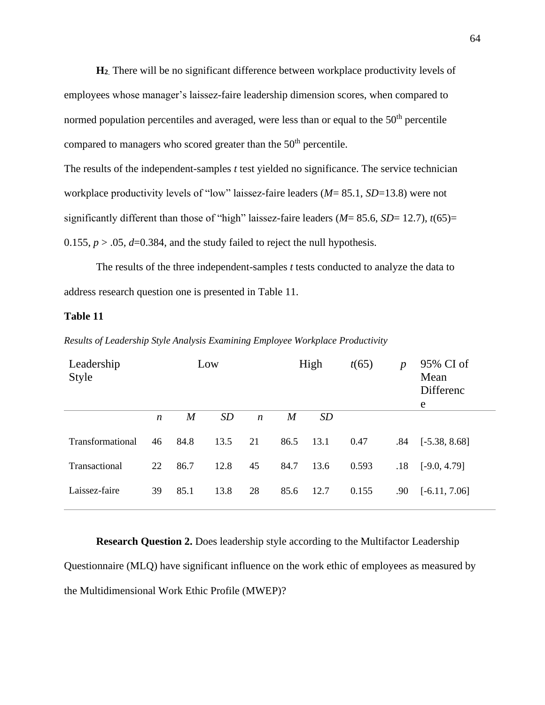**H<sup>2</sup>**. There will be no significant difference between workplace productivity levels of employees whose manager's laissez-faire leadership dimension scores, when compared to normed population percentiles and averaged, were less than or equal to the  $50<sup>th</sup>$  percentile compared to managers who scored greater than the  $50<sup>th</sup>$  percentile.

The results of the independent-samples *t* test yielded no significance. The service technician workplace productivity levels of "low" laissez-faire leaders (*M*= 85.1, *SD*=13.8) were not significantly different than those of "high" laissez-faire leaders  $(M = 85.6, SD = 12.7)$ ,  $t(65) =$ 0.155,  $p > 0.05$ ,  $d=0.384$ , and the study failed to reject the null hypothesis.

The results of the three independent-samples *t* tests conducted to analyze the data to address research question one is presented in Table 11.

## **Table 11**

| Leadership<br><b>Style</b> | Low              |                  |           |                  | High | t(65)     | $\boldsymbol{p}$ | 95% CI of<br>Mean<br>Differenc<br>e |                 |
|----------------------------|------------------|------------------|-----------|------------------|------|-----------|------------------|-------------------------------------|-----------------|
|                            | $\boldsymbol{n}$ | $\boldsymbol{M}$ | <i>SD</i> | $\boldsymbol{n}$ | M    | <i>SD</i> |                  |                                     |                 |
| <b>Transformational</b>    | 46               | 84.8             | 13.5      | 21               | 86.5 | 13.1      | 0.47             | .84                                 | $[-5.38, 8.68]$ |
| Transactional              | 22               | 86.7             | 12.8      | 45               | 84.7 | 13.6      | 0.593            | .18                                 | $[-9.0, 4.79]$  |
| Laissez-faire              | 39               | 85.1             | 13.8      | 28               | 85.6 | 12.7      | 0.155            | .90                                 | $[-6.11, 7.06]$ |

*Results of Leadership Style Analysis Examining Employee Workplace Productivity*

**Research Question 2.** Does leadership style according to the Multifactor Leadership Questionnaire (MLQ) have significant influence on the work ethic of employees as measured by the Multidimensional Work Ethic Profile (MWEP)?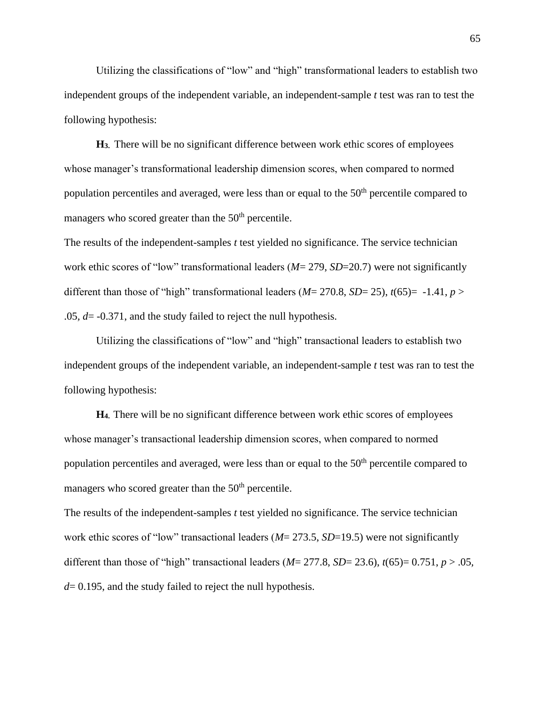Utilizing the classifications of "low" and "high" transformational leaders to establish two independent groups of the independent variable, an independent-sample *t* test was ran to test the following hypothesis:

**H3.** There will be no significant difference between work ethic scores of employees whose manager's transformational leadership dimension scores, when compared to normed population percentiles and averaged, were less than or equal to the 50<sup>th</sup> percentile compared to managers who scored greater than the  $50<sup>th</sup>$  percentile.

The results of the independent-samples *t* test yielded no significance. The service technician work ethic scores of "low" transformational leaders (*M*= 279, *SD*=20.7) were not significantly different than those of "high" transformational leaders ( $M = 270.8$ ,  $SD = 25$ ),  $t(65) = -1.41$ ,  $p >$ .05*, d*= -0.371, and the study failed to reject the null hypothesis.

Utilizing the classifications of "low" and "high" transactional leaders to establish two independent groups of the independent variable, an independent-sample *t* test was ran to test the following hypothesis:

**H4.** There will be no significant difference between work ethic scores of employees whose manager's transactional leadership dimension scores, when compared to normed population percentiles and averaged, were less than or equal to the  $50<sup>th</sup>$  percentile compared to managers who scored greater than the  $50<sup>th</sup>$  percentile.

The results of the independent-samples *t* test yielded no significance. The service technician work ethic scores of "low" transactional leaders (*M*= 273.5, *SD*=19.5) were not significantly different than those of "high" transactional leaders ( $M = 277.8$ ,  $SD = 23.6$ ),  $t(65) = 0.751$ ,  $p > .05$ , *d*= 0.195, and the study failed to reject the null hypothesis.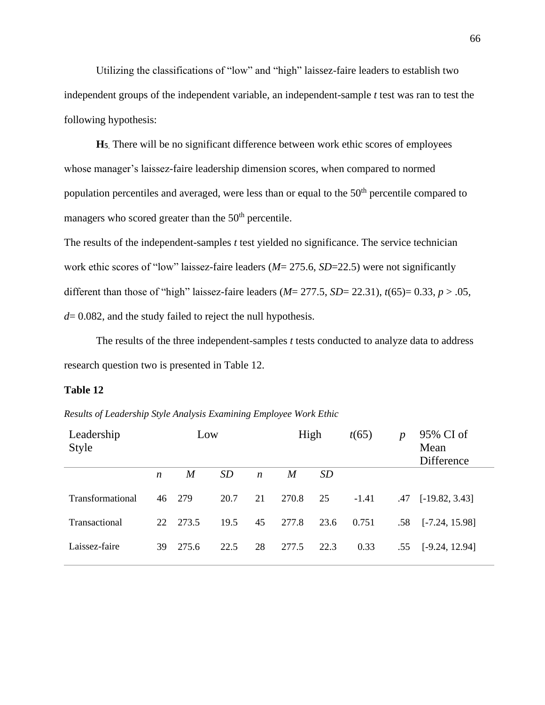Utilizing the classifications of "low" and "high" laissez-faire leaders to establish two independent groups of the independent variable, an independent-sample *t* test was ran to test the following hypothesis:

**H<sup>5</sup>**. There will be no significant difference between work ethic scores of employees whose manager's laissez-faire leadership dimension scores, when compared to normed population percentiles and averaged, were less than or equal to the 50<sup>th</sup> percentile compared to managers who scored greater than the  $50<sup>th</sup>$  percentile.

The results of the independent-samples *t* test yielded no significance. The service technician work ethic scores of "low" laissez-faire leaders (*M*= 275.6, *SD*=22.5) were not significantly different than those of "high" laissez-faire leaders (*M*= 277.5, *SD*= 22.31), *t*(65)= 0.33, *p* > .05*, d*= 0.082, and the study failed to reject the null hypothesis.

The results of the three independent-samples *t* tests conducted to analyze data to address research question two is presented in Table 12.

### **Table 12**

*Results of Leadership Style Analysis Examining Employee Work Ethic*

| Leadership<br><b>Style</b> |                  | Low   |           | High             |       |           | t(65)   | $\boldsymbol{p}$ | 95% CI of<br>Mean<br>Difference |
|----------------------------|------------------|-------|-----------|------------------|-------|-----------|---------|------------------|---------------------------------|
|                            | $\boldsymbol{n}$ | M     | <i>SD</i> | $\boldsymbol{n}$ | M     | <i>SD</i> |         |                  |                                 |
| <b>Transformational</b>    | 46               | 279   | 20.7      | 21               | 270.8 | 25        | $-1.41$ | .47              | $[-19.82, 3.43]$                |
| Transactional              | 22               | 273.5 | 19.5      | 45               | 277.8 | 23.6      | 0.751   | .58              | $[-7.24, 15.98]$                |
| Laissez-faire              | 39               | 275.6 | 22.5      | 28               | 277.5 | 22.3      | 0.33    | .55              | $[-9.24, 12.94]$                |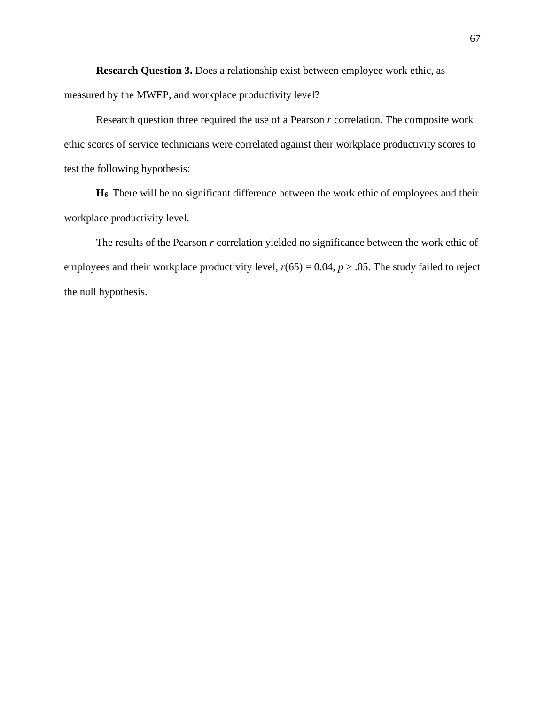**Research Question 3.** Does a relationship exist between employee work ethic, as measured by the MWEP, and workplace productivity level?

Research question three required the use of a Pearson *r* correlation. The composite work ethic scores of service technicians were correlated against their workplace productivity scores to test the following hypothesis:

**H<sup>6</sup>**. There will be no significant difference between the work ethic of employees and their workplace productivity level.

The results of the Pearson *r* correlation yielded no significance between the work ethic of employees and their workplace productivity level,  $r(65) = 0.04$ ,  $p > .05$ . The study failed to reject the null hypothesis.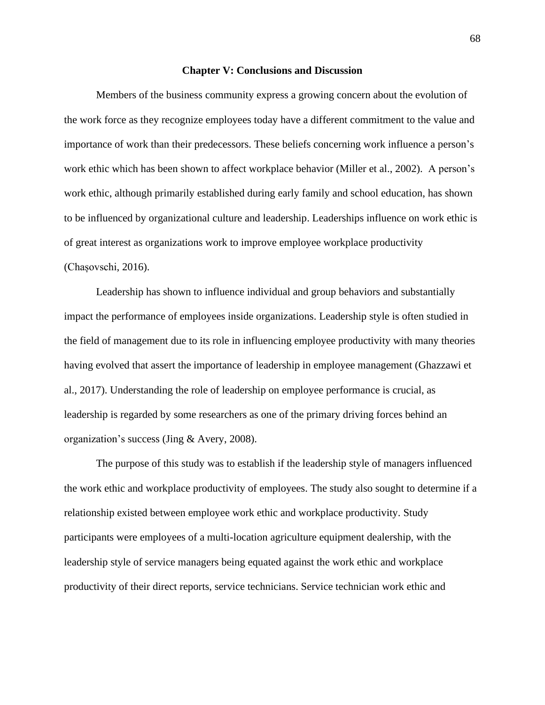#### **Chapter V: Conclusions and Discussion**

Members of the business community express a growing concern about the evolution of the work force as they recognize employees today have a different commitment to the value and importance of work than their predecessors. These beliefs concerning work influence a person's work ethic which has been shown to affect workplace behavior (Miller et al., 2002). A person's work ethic, although primarily established during early family and school education, has shown to be influenced by organizational culture and leadership. Leaderships influence on work ethic is of great interest as organizations work to improve employee workplace productivity (Chașovschi, 2016).

Leadership has shown to influence individual and group behaviors and substantially impact the performance of employees inside organizations. Leadership style is often studied in the field of management due to its role in influencing employee productivity with many theories having evolved that assert the importance of leadership in employee management (Ghazzawi et al., 2017). Understanding the role of leadership on employee performance is crucial, as leadership is regarded by some researchers as one of the primary driving forces behind an organization's success (Jing & Avery, 2008).

The purpose of this study was to establish if the leadership style of managers influenced the work ethic and workplace productivity of employees. The study also sought to determine if a relationship existed between employee work ethic and workplace productivity. Study participants were employees of a multi-location agriculture equipment dealership, with the leadership style of service managers being equated against the work ethic and workplace productivity of their direct reports, service technicians. Service technician work ethic and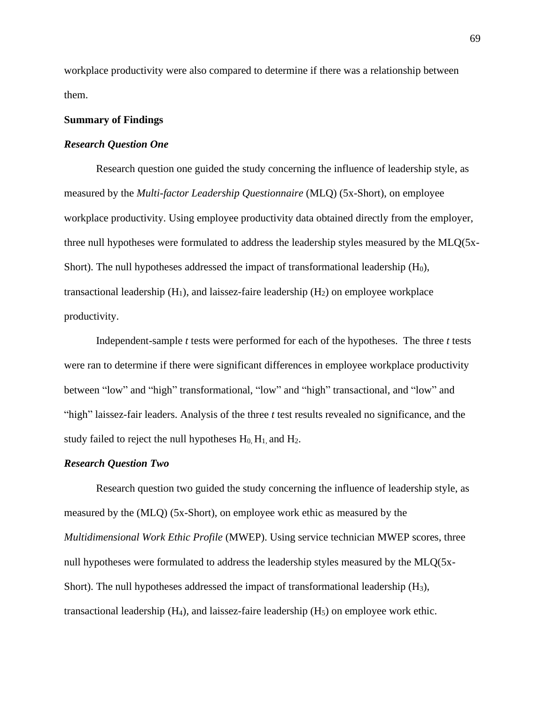workplace productivity were also compared to determine if there was a relationship between them.

## **Summary of Findings**

## *Research Question One*

Research question one guided the study concerning the influence of leadership style, as measured by the *Multi-factor Leadership Questionnaire* (MLQ) (5x-Short), on employee workplace productivity. Using employee productivity data obtained directly from the employer, three null hypotheses were formulated to address the leadership styles measured by the MLQ(5x-Short). The null hypotheses addressed the impact of transformational leadership  $(H_0)$ , transactional leadership  $(H_1)$ , and laissez-faire leadership  $(H_2)$  on employee workplace productivity.

Independent-sample *t* tests were performed for each of the hypotheses. The three *t* tests were ran to determine if there were significant differences in employee workplace productivity between "low" and "high" transformational, "low" and "high" transactional, and "low" and "high" laissez-fair leaders. Analysis of the three *t* test results revealed no significance, and the study failed to reject the null hypotheses  $H_0$ ,  $H_1$ , and  $H_2$ .

## *Research Question Two*

Research question two guided the study concerning the influence of leadership style, as measured by the (MLQ) (5x-Short), on employee work ethic as measured by the *Multidimensional Work Ethic Profile* (MWEP). Using service technician MWEP scores, three null hypotheses were formulated to address the leadership styles measured by the MLQ(5x-Short). The null hypotheses addressed the impact of transformational leadership (H3), transactional leadership  $(H_4)$ , and laissez-faire leadership  $(H_5)$  on employee work ethic.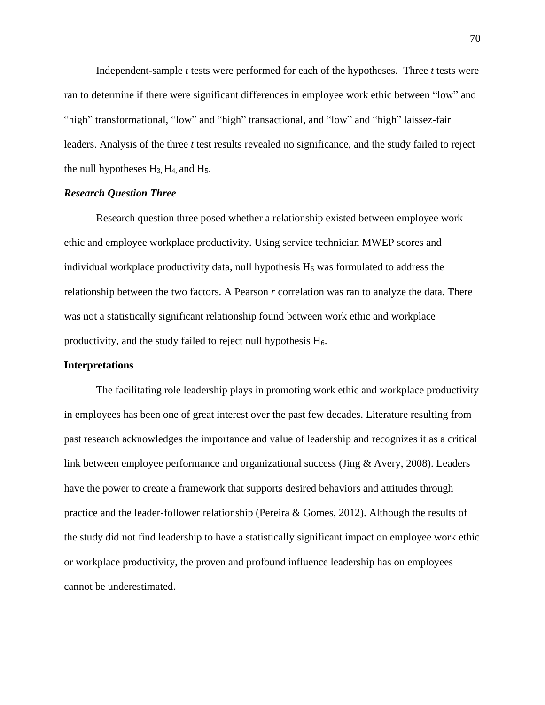Independent-sample *t* tests were performed for each of the hypotheses. Three *t* tests were ran to determine if there were significant differences in employee work ethic between "low" and "high" transformational, "low" and "high" transactional, and "low" and "high" laissez-fair leaders. Analysis of the three *t* test results revealed no significance, and the study failed to reject the null hypotheses  $H_3$ ,  $H_4$ , and  $H_5$ .

### *Research Question Three*

Research question three posed whether a relationship existed between employee work ethic and employee workplace productivity. Using service technician MWEP scores and individual workplace productivity data, null hypothesis  $H_6$  was formulated to address the relationship between the two factors. A Pearson *r* correlation was ran to analyze the data. There was not a statistically significant relationship found between work ethic and workplace productivity, and the study failed to reject null hypothesis  $H_6$ .

## **Interpretations**

The facilitating role leadership plays in promoting work ethic and workplace productivity in employees has been one of great interest over the past few decades. Literature resulting from past research acknowledges the importance and value of leadership and recognizes it as a critical link between employee performance and organizational success (Jing & Avery, 2008). Leaders have the power to create a framework that supports desired behaviors and attitudes through practice and the leader-follower relationship (Pereira & Gomes, 2012). Although the results of the study did not find leadership to have a statistically significant impact on employee work ethic or workplace productivity, the proven and profound influence leadership has on employees cannot be underestimated.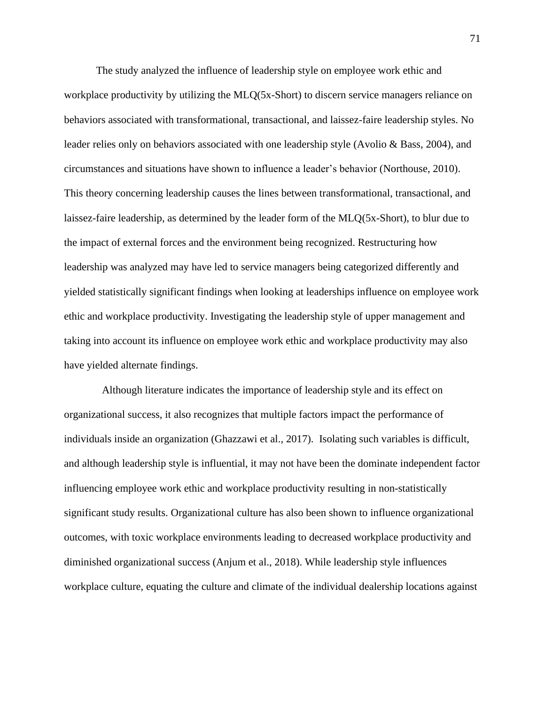The study analyzed the influence of leadership style on employee work ethic and workplace productivity by utilizing the MLQ(5x-Short) to discern service managers reliance on behaviors associated with transformational, transactional, and laissez-faire leadership styles. No leader relies only on behaviors associated with one leadership style (Avolio & Bass, 2004), and circumstances and situations have shown to influence a leader's behavior (Northouse, 2010). This theory concerning leadership causes the lines between transformational, transactional, and laissez-faire leadership, as determined by the leader form of the MLQ(5x-Short), to blur due to the impact of external forces and the environment being recognized. Restructuring how leadership was analyzed may have led to service managers being categorized differently and yielded statistically significant findings when looking at leaderships influence on employee work ethic and workplace productivity. Investigating the leadership style of upper management and taking into account its influence on employee work ethic and workplace productivity may also have yielded alternate findings.

Although literature indicates the importance of leadership style and its effect on organizational success, it also recognizes that multiple factors impact the performance of individuals inside an organization (Ghazzawi et al., 2017). Isolating such variables is difficult, and although leadership style is influential, it may not have been the dominate independent factor influencing employee work ethic and workplace productivity resulting in non-statistically significant study results. Organizational culture has also been shown to influence organizational outcomes, with toxic workplace environments leading to decreased workplace productivity and diminished organizational success (Anjum et al., 2018). While leadership style influences workplace culture, equating the culture and climate of the individual dealership locations against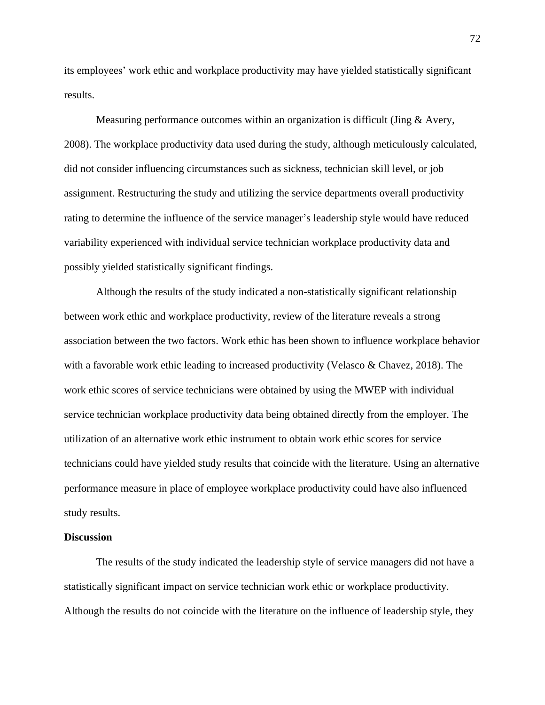its employees' work ethic and workplace productivity may have yielded statistically significant results.

Measuring performance outcomes within an organization is difficult (Jing  $&$  Avery, 2008). The workplace productivity data used during the study, although meticulously calculated, did not consider influencing circumstances such as sickness, technician skill level, or job assignment. Restructuring the study and utilizing the service departments overall productivity rating to determine the influence of the service manager's leadership style would have reduced variability experienced with individual service technician workplace productivity data and possibly yielded statistically significant findings.

Although the results of the study indicated a non-statistically significant relationship between work ethic and workplace productivity, review of the literature reveals a strong association between the two factors. Work ethic has been shown to influence workplace behavior with a favorable work ethic leading to increased productivity (Velasco  $\&$  Chavez, 2018). The work ethic scores of service technicians were obtained by using the MWEP with individual service technician workplace productivity data being obtained directly from the employer. The utilization of an alternative work ethic instrument to obtain work ethic scores for service technicians could have yielded study results that coincide with the literature. Using an alternative performance measure in place of employee workplace productivity could have also influenced study results.

## **Discussion**

The results of the study indicated the leadership style of service managers did not have a statistically significant impact on service technician work ethic or workplace productivity. Although the results do not coincide with the literature on the influence of leadership style, they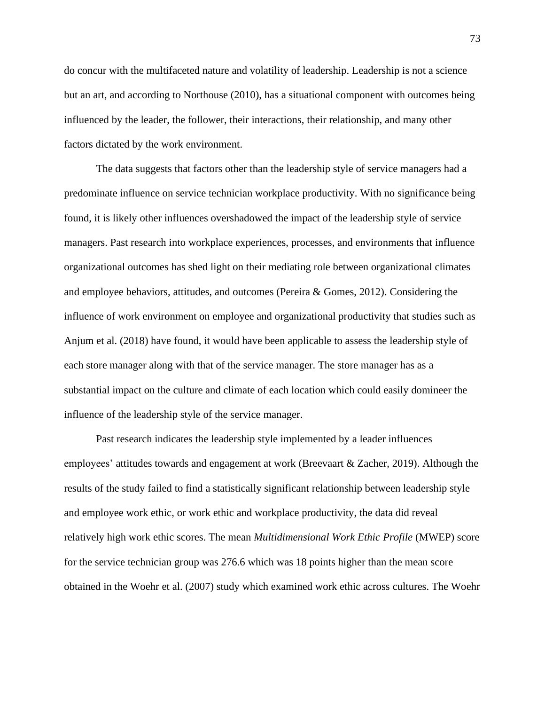do concur with the multifaceted nature and volatility of leadership. Leadership is not a science but an art, and according to Northouse (2010), has a situational component with outcomes being influenced by the leader, the follower, their interactions, their relationship, and many other factors dictated by the work environment.

The data suggests that factors other than the leadership style of service managers had a predominate influence on service technician workplace productivity. With no significance being found, it is likely other influences overshadowed the impact of the leadership style of service managers. Past research into workplace experiences, processes, and environments that influence organizational outcomes has shed light on their mediating role between organizational climates and employee behaviors, attitudes, and outcomes (Pereira & Gomes, 2012). Considering the influence of work environment on employee and organizational productivity that studies such as Anjum et al. (2018) have found, it would have been applicable to assess the leadership style of each store manager along with that of the service manager. The store manager has as a substantial impact on the culture and climate of each location which could easily domineer the influence of the leadership style of the service manager.

Past research indicates the leadership style implemented by a leader influences employees' attitudes towards and engagement at work (Breevaart & Zacher, 2019). Although the results of the study failed to find a statistically significant relationship between leadership style and employee work ethic, or work ethic and workplace productivity, the data did reveal relatively high work ethic scores. The mean *Multidimensional Work Ethic Profile* (MWEP) score for the service technician group was 276.6 which was 18 points higher than the mean score obtained in the Woehr et al. (2007) study which examined work ethic across cultures. The Woehr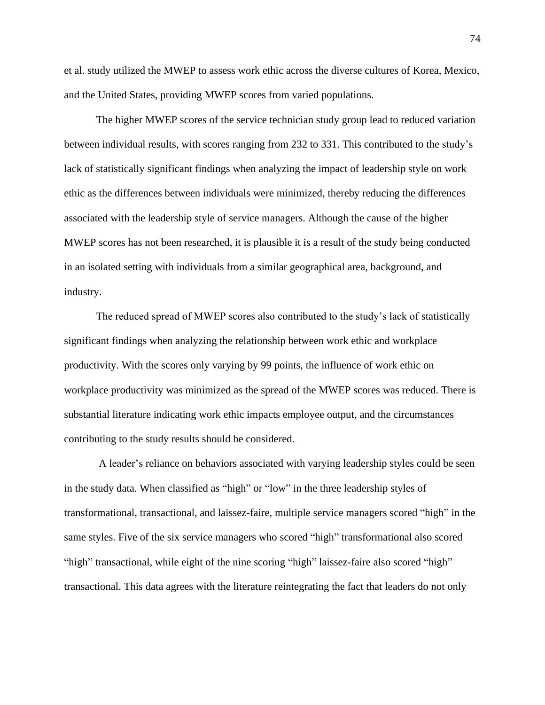et al. study utilized the MWEP to assess work ethic across the diverse cultures of Korea, Mexico, and the United States, providing MWEP scores from varied populations.

The higher MWEP scores of the service technician study group lead to reduced variation between individual results, with scores ranging from 232 to 331. This contributed to the study's lack of statistically significant findings when analyzing the impact of leadership style on work ethic as the differences between individuals were minimized, thereby reducing the differences associated with the leadership style of service managers. Although the cause of the higher MWEP scores has not been researched, it is plausible it is a result of the study being conducted in an isolated setting with individuals from a similar geographical area, background, and industry.

The reduced spread of MWEP scores also contributed to the study's lack of statistically significant findings when analyzing the relationship between work ethic and workplace productivity. With the scores only varying by 99 points, the influence of work ethic on workplace productivity was minimized as the spread of the MWEP scores was reduced. There is substantial literature indicating work ethic impacts employee output, and the circumstances contributing to the study results should be considered.

A leader's reliance on behaviors associated with varying leadership styles could be seen in the study data. When classified as "high" or "low" in the three leadership styles of transformational, transactional, and laissez-faire, multiple service managers scored "high" in the same styles. Five of the six service managers who scored "high" transformational also scored "high" transactional, while eight of the nine scoring "high" laissez-faire also scored "high" transactional. This data agrees with the literature reintegrating the fact that leaders do not only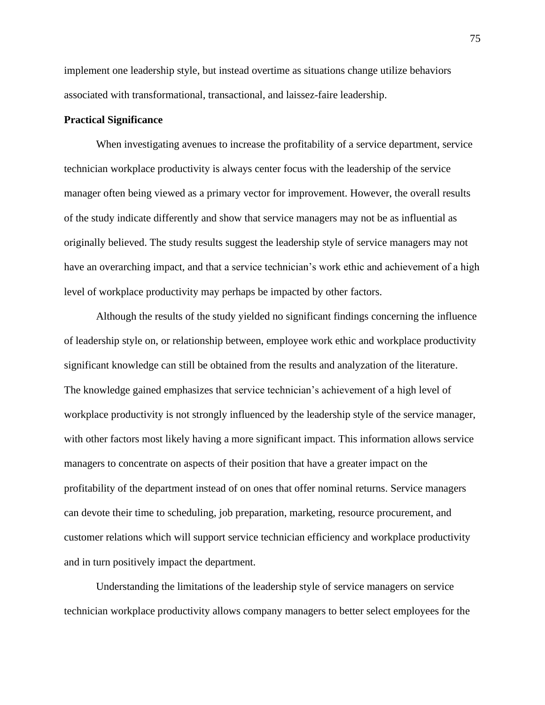implement one leadership style, but instead overtime as situations change utilize behaviors associated with transformational, transactional, and laissez-faire leadership.

## **Practical Significance**

When investigating avenues to increase the profitability of a service department, service technician workplace productivity is always center focus with the leadership of the service manager often being viewed as a primary vector for improvement. However, the overall results of the study indicate differently and show that service managers may not be as influential as originally believed. The study results suggest the leadership style of service managers may not have an overarching impact, and that a service technician's work ethic and achievement of a high level of workplace productivity may perhaps be impacted by other factors.

Although the results of the study yielded no significant findings concerning the influence of leadership style on, or relationship between, employee work ethic and workplace productivity significant knowledge can still be obtained from the results and analyzation of the literature. The knowledge gained emphasizes that service technician's achievement of a high level of workplace productivity is not strongly influenced by the leadership style of the service manager, with other factors most likely having a more significant impact. This information allows service managers to concentrate on aspects of their position that have a greater impact on the profitability of the department instead of on ones that offer nominal returns. Service managers can devote their time to scheduling, job preparation, marketing, resource procurement, and customer relations which will support service technician efficiency and workplace productivity and in turn positively impact the department.

Understanding the limitations of the leadership style of service managers on service technician workplace productivity allows company managers to better select employees for the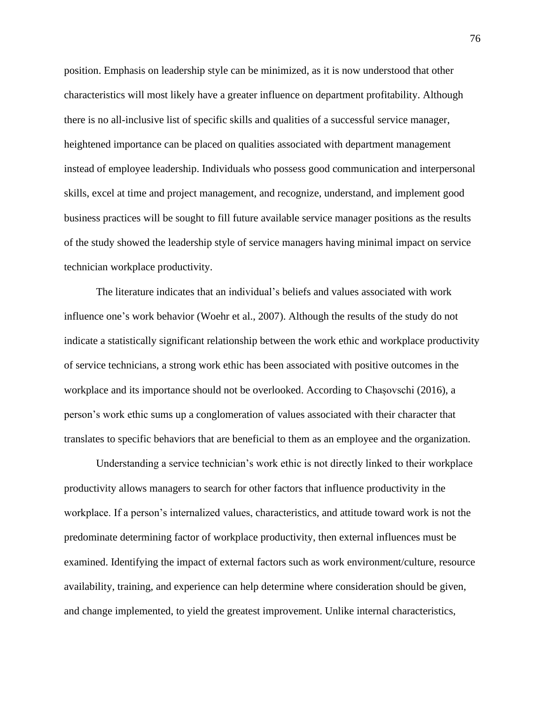position. Emphasis on leadership style can be minimized, as it is now understood that other characteristics will most likely have a greater influence on department profitability. Although there is no all-inclusive list of specific skills and qualities of a successful service manager, heightened importance can be placed on qualities associated with department management instead of employee leadership. Individuals who possess good communication and interpersonal skills, excel at time and project management, and recognize, understand, and implement good business practices will be sought to fill future available service manager positions as the results of the study showed the leadership style of service managers having minimal impact on service technician workplace productivity.

The literature indicates that an individual's beliefs and values associated with work influence one's work behavior (Woehr et al., 2007). Although the results of the study do not indicate a statistically significant relationship between the work ethic and workplace productivity of service technicians, a strong work ethic has been associated with positive outcomes in the workplace and its importance should not be overlooked. According to Chașovschi (2016), a person's work ethic sums up a conglomeration of values associated with their character that translates to specific behaviors that are beneficial to them as an employee and the organization.

Understanding a service technician's work ethic is not directly linked to their workplace productivity allows managers to search for other factors that influence productivity in the workplace. If a person's internalized values, characteristics, and attitude toward work is not the predominate determining factor of workplace productivity, then external influences must be examined. Identifying the impact of external factors such as work environment/culture, resource availability, training, and experience can help determine where consideration should be given, and change implemented, to yield the greatest improvement. Unlike internal characteristics,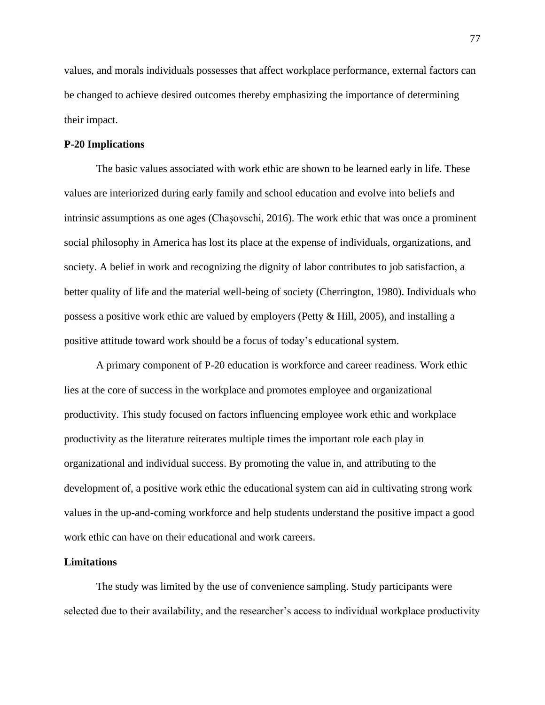values, and morals individuals possesses that affect workplace performance, external factors can be changed to achieve desired outcomes thereby emphasizing the importance of determining their impact.

## **P-20 Implications**

The basic values associated with work ethic are shown to be learned early in life. These values are interiorized during early family and school education and evolve into beliefs and intrinsic assumptions as one ages (Chașovschi, 2016). The work ethic that was once a prominent social philosophy in America has lost its place at the expense of individuals, organizations, and society. A belief in work and recognizing the dignity of labor contributes to job satisfaction, a better quality of life and the material well-being of society (Cherrington, 1980). Individuals who possess a positive work ethic are valued by employers (Petty & Hill, 2005), and installing a positive attitude toward work should be a focus of today's educational system.

A primary component of P-20 education is workforce and career readiness. Work ethic lies at the core of success in the workplace and promotes employee and organizational productivity. This study focused on factors influencing employee work ethic and workplace productivity as the literature reiterates multiple times the important role each play in organizational and individual success. By promoting the value in, and attributing to the development of, a positive work ethic the educational system can aid in cultivating strong work values in the up-and-coming workforce and help students understand the positive impact a good work ethic can have on their educational and work careers.

#### **Limitations**

The study was limited by the use of convenience sampling. Study participants were selected due to their availability, and the researcher's access to individual workplace productivity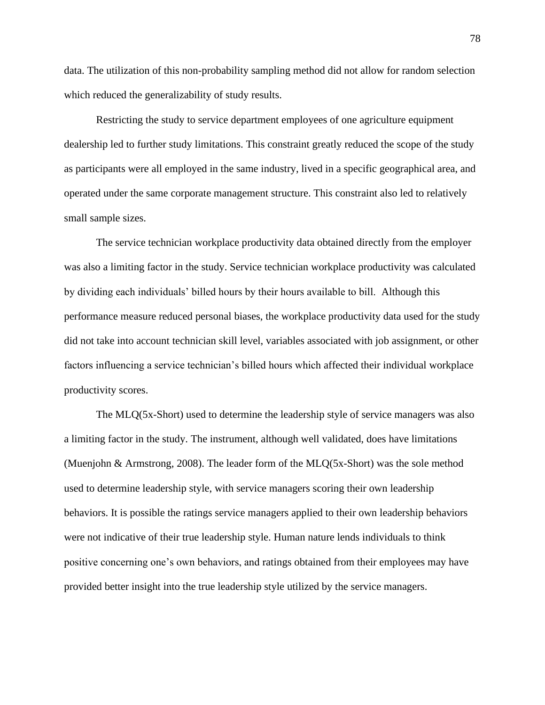data. The utilization of this non-probability sampling method did not allow for random selection which reduced the generalizability of study results.

Restricting the study to service department employees of one agriculture equipment dealership led to further study limitations. This constraint greatly reduced the scope of the study as participants were all employed in the same industry, lived in a specific geographical area, and operated under the same corporate management structure. This constraint also led to relatively small sample sizes.

The service technician workplace productivity data obtained directly from the employer was also a limiting factor in the study. Service technician workplace productivity was calculated by dividing each individuals' billed hours by their hours available to bill. Although this performance measure reduced personal biases, the workplace productivity data used for the study did not take into account technician skill level, variables associated with job assignment, or other factors influencing a service technician's billed hours which affected their individual workplace productivity scores.

The MLQ(5x-Short) used to determine the leadership style of service managers was also a limiting factor in the study. The instrument, although well validated, does have limitations (Muenjohn & Armstrong, 2008). The leader form of the MLQ(5x-Short) was the sole method used to determine leadership style, with service managers scoring their own leadership behaviors. It is possible the ratings service managers applied to their own leadership behaviors were not indicative of their true leadership style. Human nature lends individuals to think positive concerning one's own behaviors, and ratings obtained from their employees may have provided better insight into the true leadership style utilized by the service managers.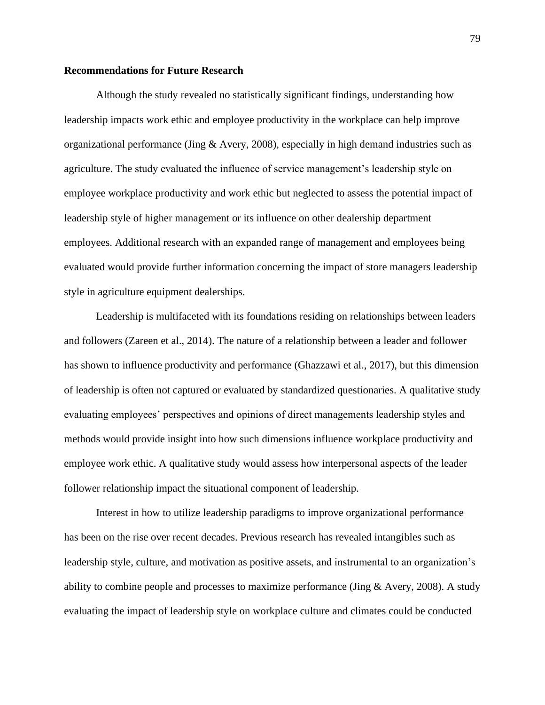## **Recommendations for Future Research**

Although the study revealed no statistically significant findings, understanding how leadership impacts work ethic and employee productivity in the workplace can help improve organizational performance (Jing & Avery, 2008), especially in high demand industries such as agriculture. The study evaluated the influence of service management's leadership style on employee workplace productivity and work ethic but neglected to assess the potential impact of leadership style of higher management or its influence on other dealership department employees. Additional research with an expanded range of management and employees being evaluated would provide further information concerning the impact of store managers leadership style in agriculture equipment dealerships.

Leadership is multifaceted with its foundations residing on relationships between leaders and followers (Zareen et al., 2014). The nature of a relationship between a leader and follower has shown to influence productivity and performance (Ghazzawi et al., 2017), but this dimension of leadership is often not captured or evaluated by standardized questionaries. A qualitative study evaluating employees' perspectives and opinions of direct managements leadership styles and methods would provide insight into how such dimensions influence workplace productivity and employee work ethic. A qualitative study would assess how interpersonal aspects of the leader follower relationship impact the situational component of leadership.

Interest in how to utilize leadership paradigms to improve organizational performance has been on the rise over recent decades. Previous research has revealed intangibles such as leadership style, culture, and motivation as positive assets, and instrumental to an organization's ability to combine people and processes to maximize performance (Jing & Avery, 2008). A study evaluating the impact of leadership style on workplace culture and climates could be conducted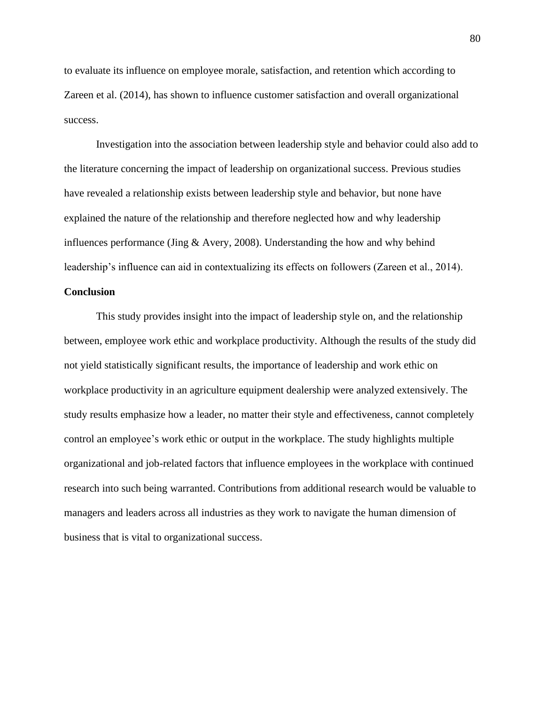to evaluate its influence on employee morale, satisfaction, and retention which according to Zareen et al. (2014), has shown to influence customer satisfaction and overall organizational success.

Investigation into the association between leadership style and behavior could also add to the literature concerning the impact of leadership on organizational success. Previous studies have revealed a relationship exists between leadership style and behavior, but none have explained the nature of the relationship and therefore neglected how and why leadership influences performance (Jing  $&$  Avery, 2008). Understanding the how and why behind leadership's influence can aid in contextualizing its effects on followers (Zareen et al., 2014).

### **Conclusion**

This study provides insight into the impact of leadership style on, and the relationship between, employee work ethic and workplace productivity. Although the results of the study did not yield statistically significant results, the importance of leadership and work ethic on workplace productivity in an agriculture equipment dealership were analyzed extensively. The study results emphasize how a leader, no matter their style and effectiveness, cannot completely control an employee's work ethic or output in the workplace. The study highlights multiple organizational and job-related factors that influence employees in the workplace with continued research into such being warranted. Contributions from additional research would be valuable to managers and leaders across all industries as they work to navigate the human dimension of business that is vital to organizational success.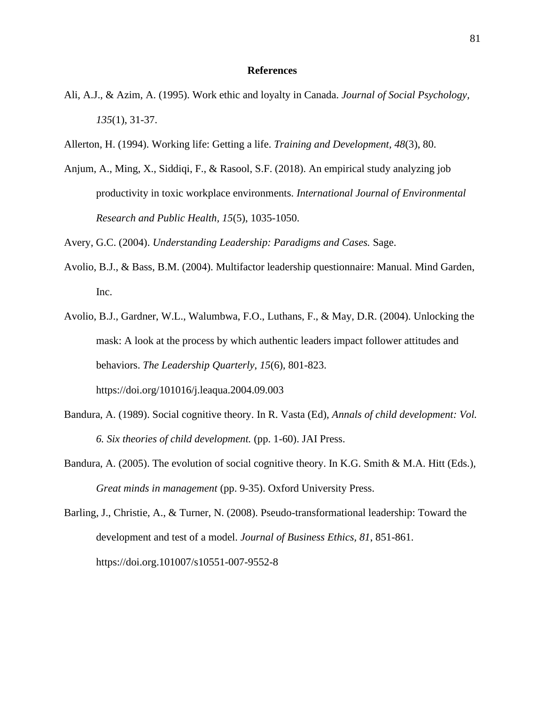#### **References**

- Ali, A.J., & Azim, A. (1995). Work ethic and loyalty in Canada. *Journal of Social Psychology, 135*(1), 31-37.
- Allerton, H. (1994). Working life: Getting a life. *Training and Development, 48*(3), 80.
- Anjum, A., Ming, X., Siddiqi, F., & Rasool, S.F. (2018). An empirical study analyzing job productivity in toxic workplace environments. *International Journal of Environmental Research and Public Health, 15*(5), 1035-1050.

Avery, G.C. (2004). *Understanding Leadership: Paradigms and Cases.* Sage.

- Avolio, B.J., & Bass, B.M. (2004). Multifactor leadership questionnaire: Manual. Mind Garden, Inc.
- Avolio, B.J., Gardner, W.L., Walumbwa, F.O., Luthans, F., & May, D.R. (2004). Unlocking the mask: A look at the process by which authentic leaders impact follower attitudes and behaviors. *The Leadership Quarterly*, *15*(6), 801-823. https://doi.org/101016/j.leaqua.2004.09.003
- Bandura, A. (1989). Social cognitive theory. In R. Vasta (Ed), *Annals of child development: Vol. 6. Six theories of child development.* (pp. 1-60). JAI Press.
- Bandura, A. (2005). The evolution of social cognitive theory. In K.G. Smith & M.A. Hitt (Eds.), *Great minds in management* (pp. 9-35). Oxford University Press.
- Barling, J., Christie, A., & Turner, N. (2008). Pseudo-transformational leadership: Toward the development and test of a model. *Journal of Business Ethics, 81*, 851-861. https://doi.org.101007/s10551-007-9552-8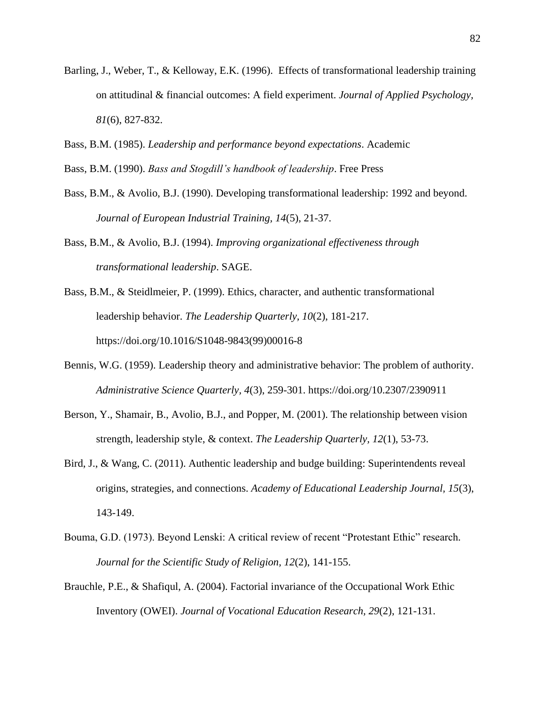- Barling, J., Weber, T., & Kelloway, E.K. (1996). Effects of transformational leadership training on attitudinal & financial outcomes: A field experiment. *Journal of Applied Psychology, 81*(6), 827-832.
- Bass, B.M. (1985). *Leadership and performance beyond expectations*. Academic
- Bass, B.M. (1990). *Bass and Stogdill's handbook of leadership*. Free Press
- Bass, B.M., & Avolio, B.J. (1990). Developing transformational leadership: 1992 and beyond. *Journal of European Industrial Training, 14*(5), 21-37.
- Bass, B.M., & Avolio, B.J. (1994). *Improving organizational effectiveness through transformational leadership*. SAGE.
- Bass, B.M., & Steidlmeier, P. (1999). Ethics, character, and authentic transformational leadership behavior. *The Leadership Quarterly, 10*(2), 181-217. https://doi.org/10.1016/S1048-9843(99)00016-8
- Bennis, W.G. (1959). Leadership theory and administrative behavior: The problem of authority. *Administrative Science Quarterly, 4*(3), 259-301. https://doi.org/10.2307/2390911
- Berson, Y., Shamair, B., Avolio, B.J., and Popper, M. (2001). The relationship between vision strength, leadership style, & context. *The Leadership Quarterly, 12*(1), 53-73.
- Bird, J., & Wang, C. (2011). Authentic leadership and budge building: Superintendents reveal origins, strategies, and connections. *Academy of Educational Leadership Journal, 15*(3), 143-149.
- Bouma, G.D. (1973). Beyond Lenski: A critical review of recent "Protestant Ethic" research*. Journal for the Scientific Study of Religion, 12*(2), 141-155.
- Brauchle, P.E., & Shafiqul, A. (2004). Factorial invariance of the Occupational Work Ethic Inventory (OWEI). *Journal of Vocational Education Research, 29*(2), 121-131.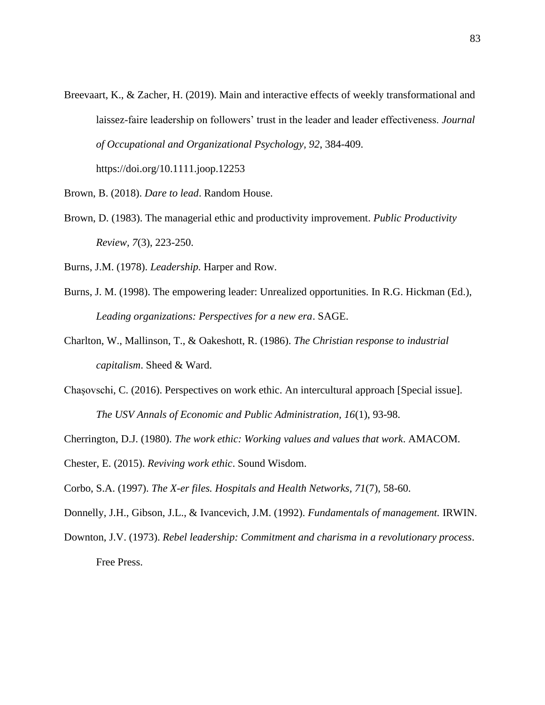Breevaart, K., & Zacher, H. (2019). Main and interactive effects of weekly transformational and laissez-faire leadership on followers' trust in the leader and leader effectiveness. *Journal of Occupational and Organizational Psychology, 92*, 384-409.

https://doi.org/10.1111.joop.12253

Brown, B. (2018). *Dare to lead*. Random House.

- Brown, D. (1983). The managerial ethic and productivity improvement. *Public Productivity Review, 7*(3), 223-250.
- Burns, J.M. (1978). *Leadership.* Harper and Row.
- Burns, J. M. (1998). The empowering leader: Unrealized opportunities. In R.G. Hickman (Ed.), *Leading organizations: Perspectives for a new era*. SAGE.
- Charlton, W., Mallinson, T., & Oakeshott, R. (1986). *The Christian response to industrial capitalism*. Sheed & Ward.
- Chașovschi, C. (2016). Perspectives on work ethic. An intercultural approach [Special issue]. *The USV Annals of Economic and Public Administration, 16*(1), 93-98.
- Cherrington, D.J. (1980). *The work ethic: Working values and values that work*. AMACOM.
- Chester, E. (2015). *Reviving work ethic*. Sound Wisdom.
- Corbo, S.A. (1997). *The X-er files. Hospitals and Health Networks, 71*(7), 58-60.
- Donnelly, J.H., Gibson, J.L., & Ivancevich, J.M. (1992). *Fundamentals of management.* IRWIN.
- Downton, J.V. (1973). *Rebel leadership: Commitment and charisma in a revolutionary process*. Free Press.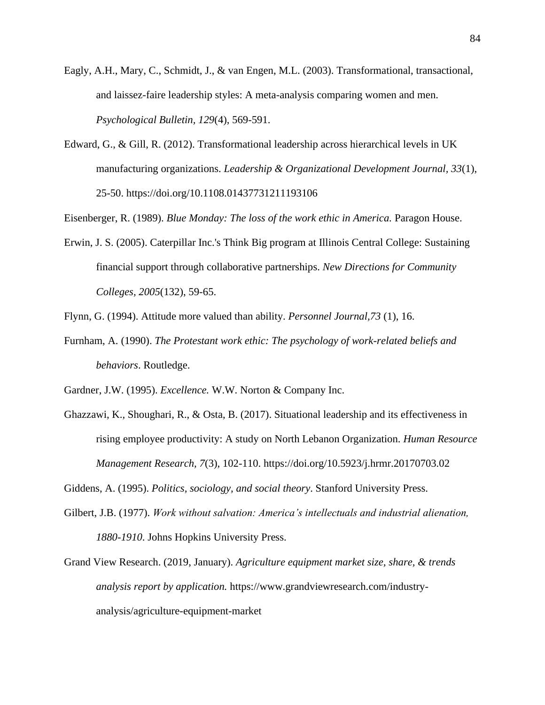- Eagly, A.H., Mary, C., Schmidt, J., & van Engen, M.L. (2003). Transformational, transactional, and laissez-faire leadership styles: A meta-analysis comparing women and men. *Psychological Bulletin, 129*(4), 569-591.
- Edward, G., & Gill, R. (2012). Transformational leadership across hierarchical levels in UK manufacturing organizations. *Leadership & Organizational Development Journal, 33*(1), 25-50. https://doi.org/10.1108.01437731211193106

Eisenberger, R. (1989). *Blue Monday: The loss of the work ethic in America.* Paragon House.

Erwin, J. S. (2005). Caterpillar Inc.'s Think Big program at Illinois Central College: Sustaining financial support through collaborative partnerships. *New Directions for Community Colleges, 2005*(132), 59-65.

Flynn, G. (1994). Attitude more valued than ability. *Personnel Journal,73* (1), 16.

- Furnham, A. (1990). *The Protestant work ethic: The psychology of work-related beliefs and behaviors*. Routledge.
- Gardner, J.W. (1995). *Excellence.* W.W. Norton & Company Inc.
- Ghazzawi, K., Shoughari, R., & Osta, B. (2017). Situational leadership and its effectiveness in rising employee productivity: A study on North Lebanon Organization. *Human Resource Management Research, 7*(3), 102-110. https://doi.org/10.5923/j.hrmr.20170703.02

Giddens, A. (1995). *Politics, sociology, and social theory*. Stanford University Press.

- Gilbert, J.B. (1977). *Work without salvation: America's intellectuals and industrial alienation, 1880-1910*. Johns Hopkins University Press.
- Grand View Research. (2019, January). *Agriculture equipment market size, share, & trends analysis report by application.* https://www.grandviewresearch.com/industryanalysis/agriculture-equipment-market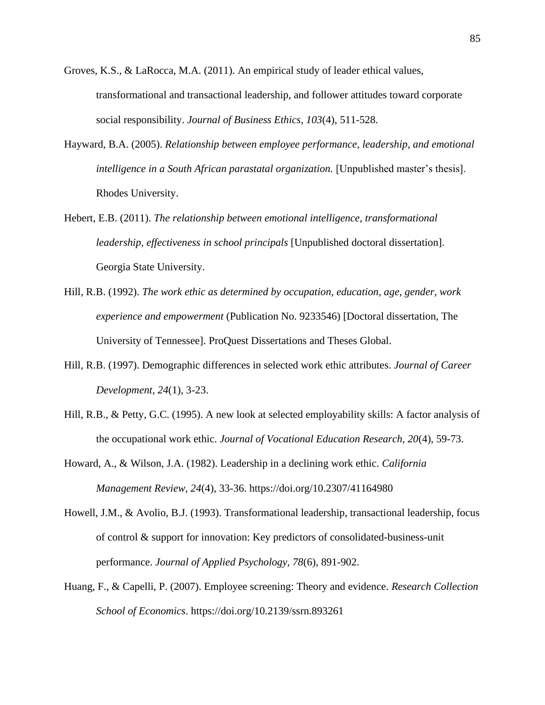- Groves, K.S., & LaRocca, M.A. (2011). An empirical study of leader ethical values, transformational and transactional leadership, and follower attitudes toward corporate social responsibility. *Journal of Business Ethics, 103*(4), 511-528.
- Hayward, B.A. (2005). *Relationship between employee performance, leadership, and emotional intelligence in a South African parastatal organization.* [Unpublished master's thesis]. Rhodes University.
- Hebert, E.B. (2011). *The relationship between emotional intelligence, transformational leadership, effectiveness in school principals* [Unpublished doctoral dissertation]. Georgia State University.
- Hill, R.B. (1992). *The work ethic as determined by occupation, education, age, gender, work experience and empowerment* (Publication No. 9233546) [Doctoral dissertation, The University of Tennessee]. ProQuest Dissertations and Theses Global.
- Hill, R.B. (1997). Demographic differences in selected work ethic attributes. *Journal of Career Development, 24*(1), 3-23.
- Hill, R.B., & Petty, G.C. (1995). A new look at selected employability skills: A factor analysis of the occupational work ethic. *Journal of Vocational Education Research, 20*(4), 59-73.
- Howard, A., & Wilson, J.A. (1982). Leadership in a declining work ethic. *California Management Review, 24*(4), 33-36. https://doi.org/10.2307/41164980
- Howell, J.M., & Avolio, B.J. (1993). Transformational leadership, transactional leadership, focus of control & support for innovation: Key predictors of consolidated-business-unit performance. *Journal of Applied Psychology, 78*(6), 891-902.
- Huang, F., & Capelli, P. (2007). Employee screening: Theory and evidence. *Research Collection School of Economics*. https://doi.org/10.2139/ssrn.893261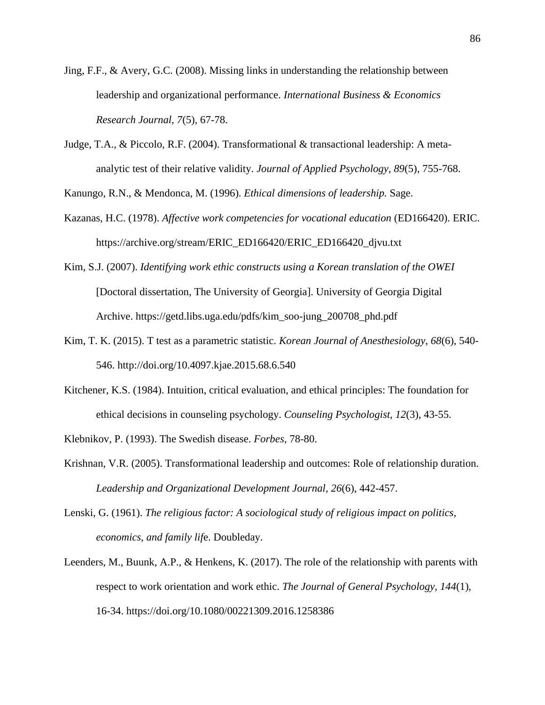- Jing, F.F., & Avery, G.C. (2008). Missing links in understanding the relationship between leadership and organizational performance. *International Business & Economics Research Journal, 7*(5), 67-78.
- Judge, T.A., & Piccolo, R.F. (2004). Transformational & transactional leadership: A metaanalytic test of their relative validity. *Journal of Applied Psychology, 89*(5), 755-768.

Kanungo, R.N., & Mendonca, M. (1996). *Ethical dimensions of leadership.* Sage.

- Kazanas, H.C. (1978). *Affective work competencies for vocational education* (ED166420). ERIC. https://archive.org/stream/ERIC\_ED166420/ERIC\_ED166420\_djvu.txt
- Kim, S.J. (2007). *Identifying work ethic constructs using a Korean translation of the OWEI* [Doctoral dissertation, The University of Georgia]. University of Georgia Digital Archive. https://getd.libs.uga.edu/pdfs/kim\_soo-jung\_200708\_phd.pdf
- Kim, T. K. (2015). T test as a parametric statistic. *Korean Journal of Anesthesiology*, *68*(6), 540- 546. http://doi.org/10.4097.kjae.2015.68.6.540
- Kitchener, K.S. (1984). Intuition, critical evaluation, and ethical principles: The foundation for ethical decisions in counseling psychology. *Counseling Psychologist, 12*(3), 43-55.
- Klebnikov, P. (1993). The Swedish disease. *Forbes,* 78-80.
- Krishnan, V.R. (2005). Transformational leadership and outcomes: Role of relationship duration. *Leadership and Organizational Development Journal, 26*(6), 442-457.
- Lenski, G. (1961). *The religious factor: A sociological study of religious impact on politics, economics, and family lif*e. Doubleday.
- Leenders, M., Buunk, A.P., & Henkens, K. (2017). The role of the relationship with parents with respect to work orientation and work ethic. *The Journal of General Psychology, 144*(1), 16-34. https://doi.org/10.1080/00221309.2016.1258386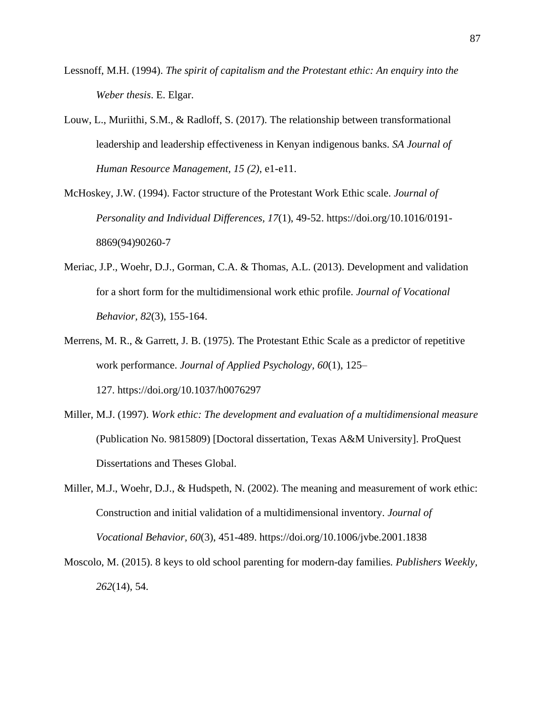- Lessnoff, M.H. (1994). *The spirit of capitalism and the Protestant ethic: An enquiry into the Weber thesis*. E. Elgar.
- Louw, L., Muriithi, S.M., & Radloff, S. (2017). The relationship between transformational leadership and leadership effectiveness in Kenyan indigenous banks. *SA Journal of Human Resource Management, 15 (2)*, e1-e11.
- McHoskey, J.W. (1994). Factor structure of the Protestant Work Ethic scale. *Journal of Personality and Individual Differences, 17*(1), 49-52. https://doi.org/10.1016/0191- 8869(94)90260-7
- Meriac, J.P., Woehr, D.J., Gorman, C.A. & Thomas, A.L. (2013). Development and validation for a short form for the multidimensional work ethic profile. *Journal of Vocational Behavior, 82*(3), 155-164.
- Merrens, M. R., & Garrett, J. B. (1975). The Protestant Ethic Scale as a predictor of repetitive work performance. *Journal of Applied Psychology, 60*(1), 125– 127. https://doi.org/10.1037/h0076297
- Miller, M.J. (1997). *Work ethic: The development and evaluation of a multidimensional measure* (Publication No. 9815809) [Doctoral dissertation, Texas A&M University]. ProQuest Dissertations and Theses Global.
- Miller, M.J., Woehr, D.J., & Hudspeth, N. (2002). The meaning and measurement of work ethic: Construction and initial validation of a multidimensional inventory*. Journal of Vocational Behavior, 60*(3), 451-489. https://doi.org/10.1006/jvbe.2001.1838
- Moscolo, M. (2015). 8 keys to old school parenting for modern-day families*. Publishers Weekly, 262*(14), 54.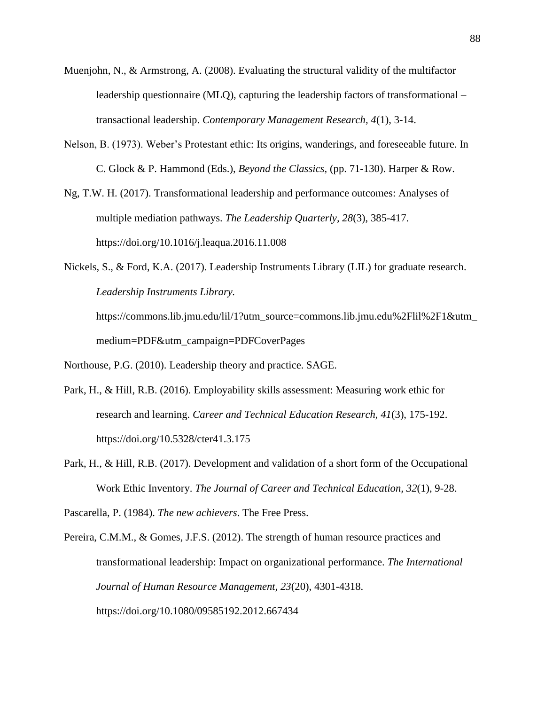- Muenjohn, N., & Armstrong, A. (2008). Evaluating the structural validity of the multifactor leadership questionnaire (MLQ), capturing the leadership factors of transformational – transactional leadership. *Contemporary Management Research, 4*(1), 3-14.
- Nelson, B. (1973). Weber's Protestant ethic: Its origins, wanderings, and foreseeable future. In C. Glock & P. Hammond (Eds.), *Beyond the Classics,* (pp. 71-130). Harper & Row.
- Ng, T.W. H. (2017). Transformational leadership and performance outcomes: Analyses of multiple mediation pathways. *The Leadership Quarterly, 28*(3), 385-417. https://doi.org/10.1016/j.leaqua.2016.11.008
- Nickels, S., & Ford, K.A. (2017). Leadership Instruments Library (LIL) for graduate research. *Leadership Instruments Library.*

https://commons.lib.jmu.edu/lil/1?utm\_source=commons.lib.jmu.edu%2Flil%2F1&utm medium=PDF&utm\_campaign=PDFCoverPages

Northouse, P.G. (2010). Leadership theory and practice. SAGE.

- Park, H., & Hill, R.B. (2016). Employability skills assessment: Measuring work ethic for research and learning. *Career and Technical Education Research, 41*(3), 175-192. https://doi.org/10.5328/cter41.3.175
- Park, H., & Hill, R.B. (2017). Development and validation of a short form of the Occupational Work Ethic Inventory. *The Journal of Career and Technical Education, 32*(1), 9-28.

Pascarella, P. (1984). *The new achievers*. The Free Press.

Pereira, C.M.M., & Gomes, J.F.S. (2012). The strength of human resource practices and transformational leadership: Impact on organizational performance. *The International Journal of Human Resource Management, 23*(20), 4301-4318. https://doi.org/10.1080/09585192.2012.667434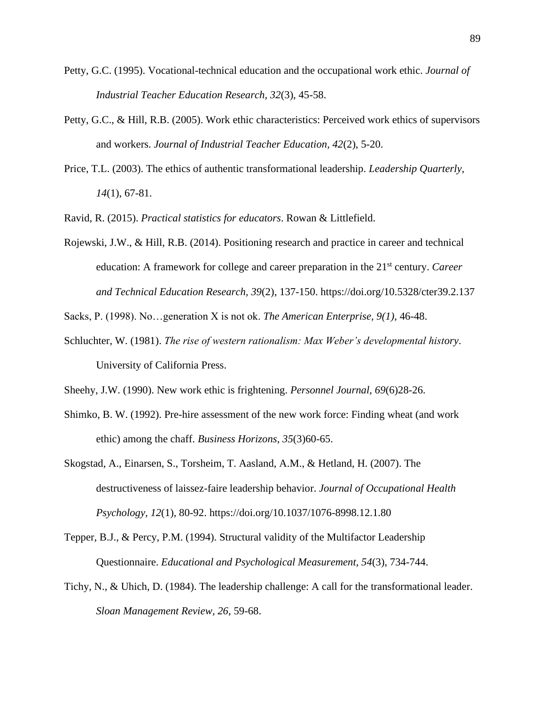- Petty, G.C. (1995). Vocational-technical education and the occupational work ethic. *Journal of Industrial Teacher Education Research, 32*(3), 45-58.
- Petty, G.C., & Hill, R.B. (2005). Work ethic characteristics: Perceived work ethics of supervisors and workers. *Journal of Industrial Teacher Education, 42*(2), 5-20.
- Price, T.L. (2003). The ethics of authentic transformational leadership. *Leadership Quarterly, 14*(1), 67-81.

Ravid, R. (2015). *Practical statistics for educators*. Rowan & Littlefield.

Rojewski, J.W., & Hill, R.B. (2014). Positioning research and practice in career and technical education: A framework for college and career preparation in the 21st century. *Career and Technical Education Research, 39*(2), 137-150. https://doi.org/10.5328/cter39.2.137

Sacks, P. (1998). No…generation X is not ok. *The American Enterprise, 9(1)*, 46-48.

Schluchter, W. (1981). *The rise of western rationalism: Max Weber's developmental history*. University of California Press.

Sheehy, J.W. (1990). New work ethic is frightening. *Personnel Journal*, *69*(6)28-26.

- Shimko, B. W. (1992). Pre-hire assessment of the new work force: Finding wheat (and work ethic) among the chaff. *Business Horizons*, *35*(3)60-65.
- Skogstad, A., Einarsen, S., Torsheim, T. Aasland, A.M., & Hetland, H. (2007). The destructiveness of laissez-faire leadership behavior. *Journal of Occupational Health Psychology, 12*(1), 80-92. https://doi.org/10.1037/1076-8998.12.1.80
- Tepper, B.J., & Percy, P.M. (1994). Structural validity of the Multifactor Leadership Questionnaire. *Educational and Psychological Measurement, 54*(3), 734-744.
- Tichy, N., & Uhich, D. (1984). The leadership challenge: A call for the transformational leader. *Sloan Management Review, 26*, 59-68.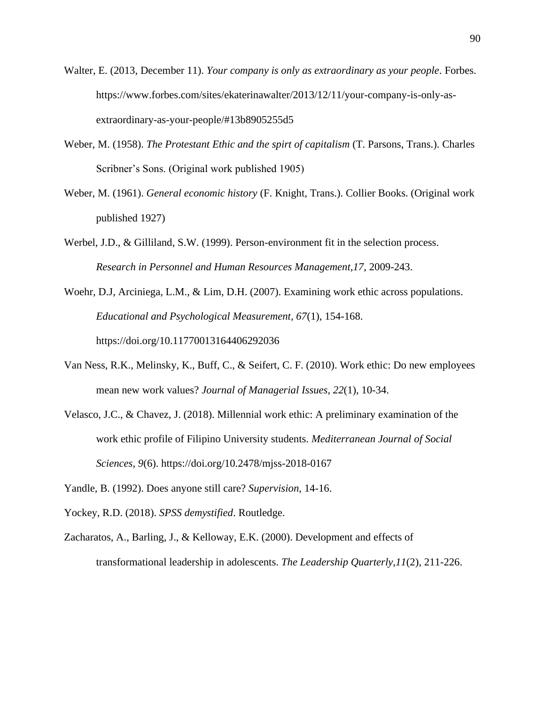- Walter, E. (2013, December 11). *Your company is only as extraordinary as your people*. Forbes. https://www.forbes.com/sites/ekaterinawalter/2013/12/11/your-company-is-only-asextraordinary-as-your-people/#13b8905255d5
- Weber, M. (1958). *The Protestant Ethic and the spirt of capitalism* (T. Parsons, Trans.). Charles Scribner's Sons. (Original work published 1905)
- Weber, M. (1961). *General economic history* (F. Knight, Trans.). Collier Books. (Original work published 1927)
- Werbel, J.D., & Gilliland, S.W. (1999). Person-environment fit in the selection process. *Research in Personnel and Human Resources Management,17*, 2009-243.
- Woehr, D.J, Arciniega, L.M., & Lim, D.H. (2007). Examining work ethic across populations. *Educational and Psychological Measurement, 67*(1), 154-168. https://doi.org/10.11770013164406292036
- Van Ness, R.K., Melinsky, K., Buff, C., & Seifert, C. F. (2010). Work ethic: Do new employees mean new work values? *Journal of Managerial Issues, 22*(1), 10-34.
- Velasco, J.C., & Chavez, J. (2018). Millennial work ethic: A preliminary examination of the work ethic profile of Filipino University students. *Mediterranean Journal of Social Sciences, 9*(6). https://doi.org/10.2478/mjss-2018-0167
- Yandle, B. (1992). Does anyone still care? *Supervision*, 14-16.
- Yockey, R.D. (2018). *SPSS demystified*. Routledge.
- Zacharatos, A., Barling, J., & Kelloway, E.K. (2000). Development and effects of transformational leadership in adolescents. *The Leadership Quarterly,11*(2), 211-226.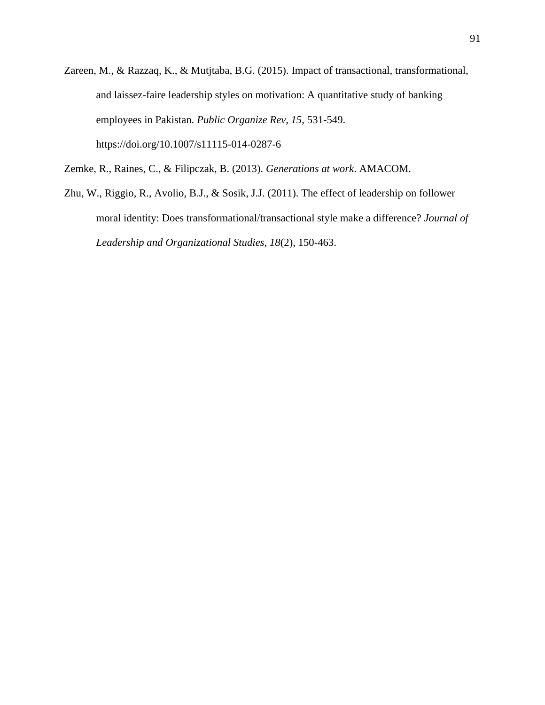Zareen, M., & Razzaq, K., & Mutjtaba, B.G. (2015). Impact of transactional, transformational, and laissez-faire leadership styles on motivation: A quantitative study of banking employees in Pakistan. *Public Organize Rev, 15*, 531-549. https://doi.org/10.1007/s11115-014-0287-6

Zemke, R., Raines, C., & Filipczak, B. (2013). *Generations at work*. AMACOM.

Zhu, W., Riggio, R., Avolio, B.J., & Sosik, J.J. (2011). The effect of leadership on follower moral identity: Does transformational/transactional style make a difference? *Journal of Leadership and Organizational Studies, 18*(2), 150-463.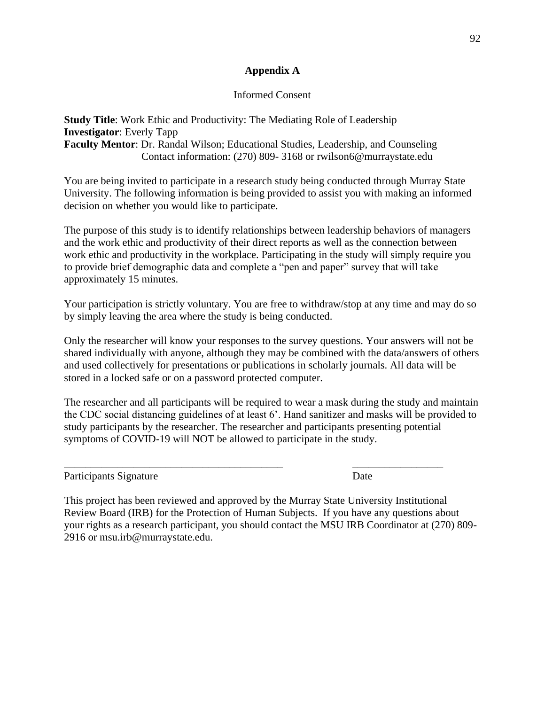## **Appendix A**

## Informed Consent

## **Study Title**: Work Ethic and Productivity: The Mediating Role of Leadership **Investigator**: Everly Tapp **Faculty Mentor**: Dr. Randal Wilson; Educational Studies, Leadership, and Counseling Contact information: (270) 809- 3168 or rwilson6@murraystate.edu

You are being invited to participate in a research study being conducted through Murray State University. The following information is being provided to assist you with making an informed decision on whether you would like to participate.

The purpose of this study is to identify relationships between leadership behaviors of managers and the work ethic and productivity of their direct reports as well as the connection between work ethic and productivity in the workplace. Participating in the study will simply require you to provide brief demographic data and complete a "pen and paper" survey that will take approximately 15 minutes.

Your participation is strictly voluntary. You are free to withdraw/stop at any time and may do so by simply leaving the area where the study is being conducted.

Only the researcher will know your responses to the survey questions. Your answers will not be shared individually with anyone, although they may be combined with the data/answers of others and used collectively for presentations or publications in scholarly journals. All data will be stored in a locked safe or on a password protected computer.

The researcher and all participants will be required to wear a mask during the study and maintain the CDC social distancing guidelines of at least 6'. Hand sanitizer and masks will be provided to study participants by the researcher. The researcher and participants presenting potential symptoms of COVID-19 will NOT be allowed to participate in the study.

 $\overline{\phantom{a}}$  , and the contribution of the contribution of the contribution of the contribution of  $\overline{\phantom{a}}$ 

Participants Signature Date

This project has been reviewed and approved by the Murray State University Institutional Review Board (IRB) for the Protection of Human Subjects. If you have any questions about your rights as a research participant, you should contact the MSU IRB Coordinator at (270) 809- 2916 or msu.irb@murraystate.edu.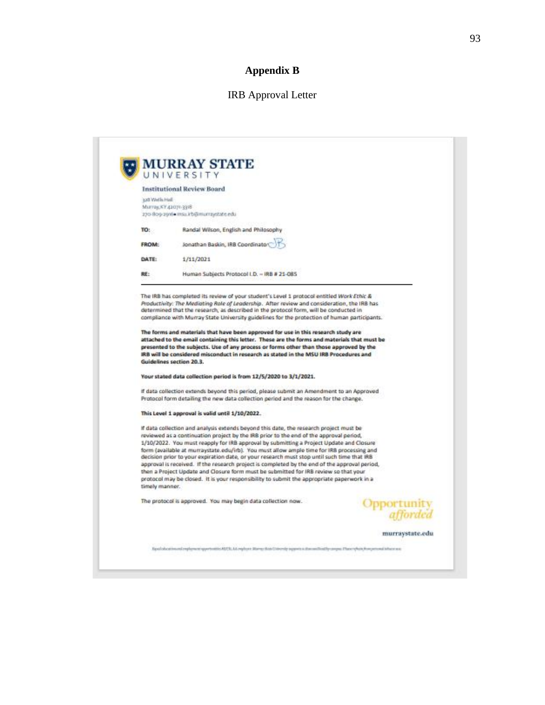# **Appendix B**

# IRB Approval Letter

| BartallwW.Bcc<br>Brei: Holla YA Jamhab<br>270 809 2916 Insuli b@munzystate.edu<br>Randal Wilson, English and Philosophy<br>TO:<br>Jonathan Baskin, IRB Coordinator<br><b>FROM:</b><br>DATE:<br>1/11/2021<br>RE:<br>Human Subjects Protocol I.D. - IRB # 21-085<br>The IRB has completed its review of your student's Level 1 protocol entitled Work Ethic &<br>Productivity: The Mediating Rale of Leadership. After review and consideration, the IRB has<br>determined that the research, as described in the protocol form, will be conducted in<br>compliance with Murray State University guidelines for the protection of human participants.<br>The forms and materials that have been approved for use in this research study are<br>attached to the email containing this letter. These are the forms and materials that must be<br>presented to the subjects. Use of any process or forms other than those approved by the<br>IRB will be considered misconduct in research as stated in the MSU IRB Procedures and<br>Guidelines section 20.3.<br>Your stated data collection period is from 12/5/2020 to 3/1/2021.<br>If data collection extends beyond this period, please submit an Amendment to an Approved<br>Protocol form detailing the new data collection period and the reason for the change.<br>This Level 1 approval is valid until 1/10/2022.<br>If data collection and analysis extends beyond this date, the research project must be<br>reviewed as a continuation project by the IRB prior to the end of the approval period,<br>1/10/2022. You must reapply for IRB approval by submitting a Project Update and Closure<br>form (available at murraystate.edu/irb). You must allow ample time for IRB processing and<br>decision prior to your expiration date, or your research must stop until such time that IRB<br>approval is received. If the research project is completed by the end of the approval period,<br>then a Project Update and Closure form must be submitted for IRB review so that your<br>protocol may be closed. It is your responsibility to submit the appropriate paperwork in a<br>timely manner.<br>The protocol is approved. You may begin data collection now.<br>Opportunity<br>afforded | UNIVERSITY<br><b>Institutional Review Board</b> |  |
|-------------------------------------------------------------------------------------------------------------------------------------------------------------------------------------------------------------------------------------------------------------------------------------------------------------------------------------------------------------------------------------------------------------------------------------------------------------------------------------------------------------------------------------------------------------------------------------------------------------------------------------------------------------------------------------------------------------------------------------------------------------------------------------------------------------------------------------------------------------------------------------------------------------------------------------------------------------------------------------------------------------------------------------------------------------------------------------------------------------------------------------------------------------------------------------------------------------------------------------------------------------------------------------------------------------------------------------------------------------------------------------------------------------------------------------------------------------------------------------------------------------------------------------------------------------------------------------------------------------------------------------------------------------------------------------------------------------------------------------------------------------------------------------------------------------------------------------------------------------------------------------------------------------------------------------------------------------------------------------------------------------------------------------------------------------------------------------------------------------------------------------------------------------------------------------------------------------------------------------------------------|-------------------------------------------------|--|
|                                                                                                                                                                                                                                                                                                                                                                                                                                                                                                                                                                                                                                                                                                                                                                                                                                                                                                                                                                                                                                                                                                                                                                                                                                                                                                                                                                                                                                                                                                                                                                                                                                                                                                                                                                                                                                                                                                                                                                                                                                                                                                                                                                                                                                                       |                                                 |  |
|                                                                                                                                                                                                                                                                                                                                                                                                                                                                                                                                                                                                                                                                                                                                                                                                                                                                                                                                                                                                                                                                                                                                                                                                                                                                                                                                                                                                                                                                                                                                                                                                                                                                                                                                                                                                                                                                                                                                                                                                                                                                                                                                                                                                                                                       |                                                 |  |
|                                                                                                                                                                                                                                                                                                                                                                                                                                                                                                                                                                                                                                                                                                                                                                                                                                                                                                                                                                                                                                                                                                                                                                                                                                                                                                                                                                                                                                                                                                                                                                                                                                                                                                                                                                                                                                                                                                                                                                                                                                                                                                                                                                                                                                                       |                                                 |  |
|                                                                                                                                                                                                                                                                                                                                                                                                                                                                                                                                                                                                                                                                                                                                                                                                                                                                                                                                                                                                                                                                                                                                                                                                                                                                                                                                                                                                                                                                                                                                                                                                                                                                                                                                                                                                                                                                                                                                                                                                                                                                                                                                                                                                                                                       |                                                 |  |
|                                                                                                                                                                                                                                                                                                                                                                                                                                                                                                                                                                                                                                                                                                                                                                                                                                                                                                                                                                                                                                                                                                                                                                                                                                                                                                                                                                                                                                                                                                                                                                                                                                                                                                                                                                                                                                                                                                                                                                                                                                                                                                                                                                                                                                                       |                                                 |  |
|                                                                                                                                                                                                                                                                                                                                                                                                                                                                                                                                                                                                                                                                                                                                                                                                                                                                                                                                                                                                                                                                                                                                                                                                                                                                                                                                                                                                                                                                                                                                                                                                                                                                                                                                                                                                                                                                                                                                                                                                                                                                                                                                                                                                                                                       |                                                 |  |
|                                                                                                                                                                                                                                                                                                                                                                                                                                                                                                                                                                                                                                                                                                                                                                                                                                                                                                                                                                                                                                                                                                                                                                                                                                                                                                                                                                                                                                                                                                                                                                                                                                                                                                                                                                                                                                                                                                                                                                                                                                                                                                                                                                                                                                                       |                                                 |  |
|                                                                                                                                                                                                                                                                                                                                                                                                                                                                                                                                                                                                                                                                                                                                                                                                                                                                                                                                                                                                                                                                                                                                                                                                                                                                                                                                                                                                                                                                                                                                                                                                                                                                                                                                                                                                                                                                                                                                                                                                                                                                                                                                                                                                                                                       |                                                 |  |
|                                                                                                                                                                                                                                                                                                                                                                                                                                                                                                                                                                                                                                                                                                                                                                                                                                                                                                                                                                                                                                                                                                                                                                                                                                                                                                                                                                                                                                                                                                                                                                                                                                                                                                                                                                                                                                                                                                                                                                                                                                                                                                                                                                                                                                                       |                                                 |  |
|                                                                                                                                                                                                                                                                                                                                                                                                                                                                                                                                                                                                                                                                                                                                                                                                                                                                                                                                                                                                                                                                                                                                                                                                                                                                                                                                                                                                                                                                                                                                                                                                                                                                                                                                                                                                                                                                                                                                                                                                                                                                                                                                                                                                                                                       |                                                 |  |
|                                                                                                                                                                                                                                                                                                                                                                                                                                                                                                                                                                                                                                                                                                                                                                                                                                                                                                                                                                                                                                                                                                                                                                                                                                                                                                                                                                                                                                                                                                                                                                                                                                                                                                                                                                                                                                                                                                                                                                                                                                                                                                                                                                                                                                                       |                                                 |  |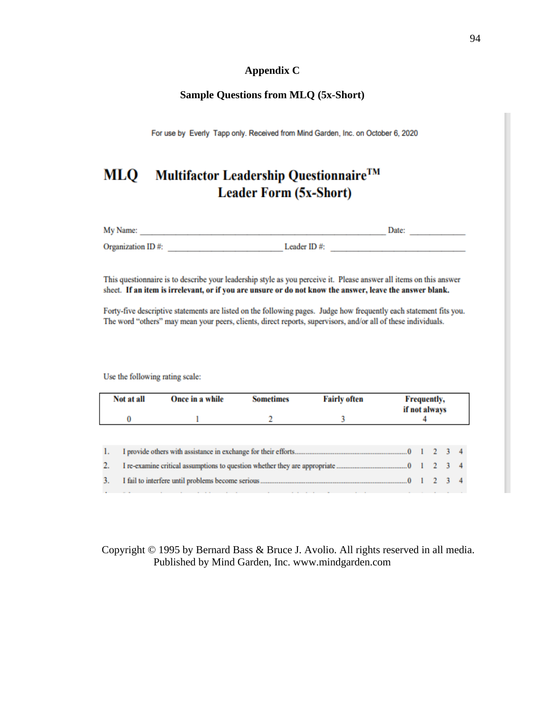## **Appendix C**

## **Sample Questions from MLQ (5x-Short)**

For use by Everly Tapp only. Received from Mind Garden, Inc. on October 6, 2020

## Multifactor Leadership Questionnaire™ **MLQ Leader Form (5x-Short)**

| My Name:          |             |  |
|-------------------|-------------|--|
| Organization ID#: | Leader ID#: |  |

This questionnaire is to describe your leadership style as you perceive it. Please answer all items on this answer sheet. If an item is irrelevant, or if you are unsure or do not know the answer, leave the answer blank.

Forty-five descriptive statements are listed on the following pages. Judge how frequently each statement fits you. The word "others" may mean your peers, clients, direct reports, supervisors, and/or all of these individuals.

Use the following rating scale:

|    | Not at all<br>Once in a while |  | <b>Fairly often</b><br><b>Sometimes</b> |  |  | <b>Frequently,</b><br>if not always |  |  |  |  |  |
|----|-------------------------------|--|-----------------------------------------|--|--|-------------------------------------|--|--|--|--|--|
|    | U                             |  |                                         |  |  |                                     |  |  |  |  |  |
|    |                               |  |                                         |  |  |                                     |  |  |  |  |  |
| 1. |                               |  |                                         |  |  |                                     |  |  |  |  |  |
|    |                               |  |                                         |  |  |                                     |  |  |  |  |  |
| 3. |                               |  |                                         |  |  |                                     |  |  |  |  |  |

## Copyright © 1995 by Bernard Bass & Bruce J. Avolio. All rights reserved in all media. Published by Mind Garden, Inc. www.mindgarden.com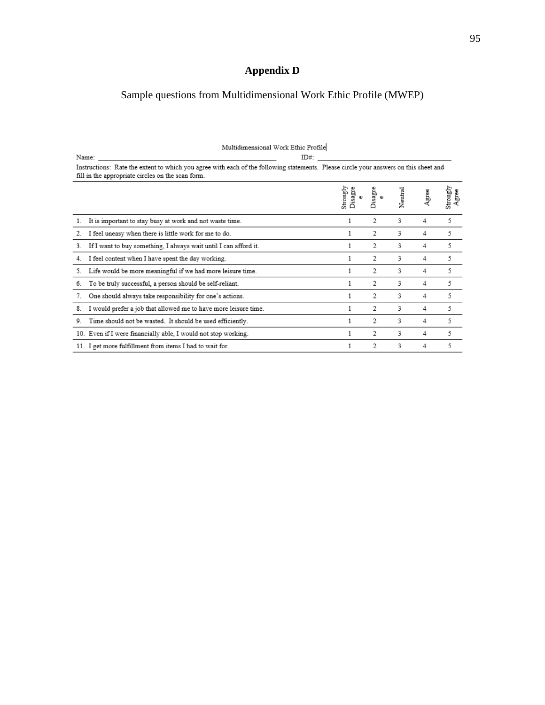# **Appendix D**

# Sample questions from Multidimensional Work Ethic Profile (MWEP)

| Name: | ID#:                                                                                                                                                                                      |                     |         |         |       |                   |  |  |  |
|-------|-------------------------------------------------------------------------------------------------------------------------------------------------------------------------------------------|---------------------|---------|---------|-------|-------------------|--|--|--|
|       | Instructions: Rate the extent to which you agree with each of the following statements. Please circle your answers on this sheet and<br>fill in the appropriate circles on the scan form. |                     |         |         |       |                   |  |  |  |
|       |                                                                                                                                                                                           | Strongly<br>Disagre | Disagre | Neutral | Agree | Strongly<br>Agree |  |  |  |
| 1.    | It is important to stay busy at work and not waste time.                                                                                                                                  |                     | 2       | 3       | 4     | 5                 |  |  |  |
| 2.    | I feel uneasy when there is little work for me to do.                                                                                                                                     |                     | 2       | 3       | 4     | 5                 |  |  |  |
| 3.    | If I want to buy something, I always wait until I can afford it.                                                                                                                          |                     | 2       | 3       | 4     | 5                 |  |  |  |
| 4.    | I feel content when I have spent the day working.                                                                                                                                         |                     | 2       | 3       | 4     | 5                 |  |  |  |
| 5.    | Life would be more meaningful if we had more leisure time.                                                                                                                                |                     | 2       | 3       | 4     | 5                 |  |  |  |
| 6.    | To be truly successful, a person should be self-reliant.                                                                                                                                  |                     | 2       | 3       | 4     | 5                 |  |  |  |
| 7.    | One should always take responsibility for one's actions.                                                                                                                                  |                     | 2       | 3       | 4     | 5                 |  |  |  |
| 8.    | I would prefer a job that allowed me to have more leisure time.                                                                                                                           |                     | 2       | 3       | 4     | 5                 |  |  |  |
| 9.    | Time should not be wasted. It should be used efficiently.                                                                                                                                 |                     | 2       | 3       | 4     | 5                 |  |  |  |
|       | 10. Even if I were financially able, I would not stop working.                                                                                                                            |                     | 2       | 3       | 4     | 5                 |  |  |  |
|       | 11. I get more fulfillment from items I had to wait for.                                                                                                                                  |                     | 2       | 3       | 4     | 5                 |  |  |  |

#### Multidimensional Work Ethic Profile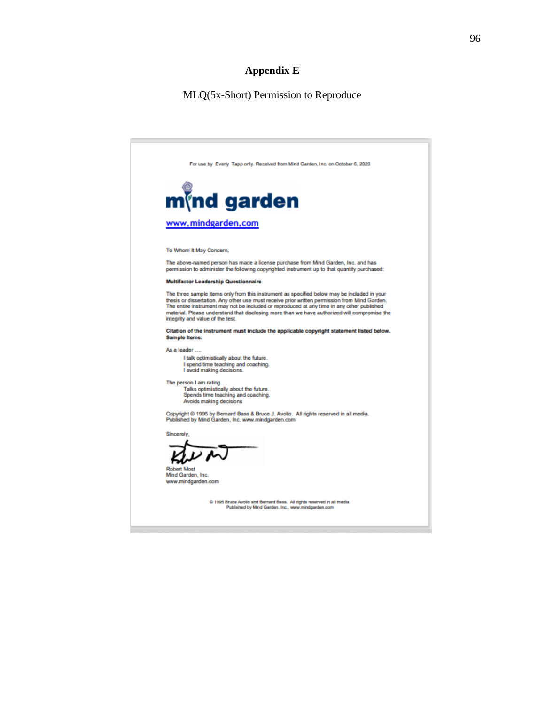## **Appendix E**

#### MLQ(5x-Short) Permission to Reproduce